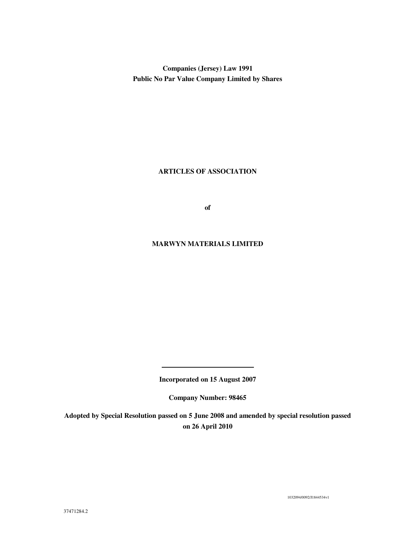**Companies (Jersey) Law 1991 Public No Par Value Company Limited by Shares** 

# **ARTICLES OF ASSOCIATION**

**of** 

# **MARWYN MATERIALS LIMITED**

**Incorporated on 15 August 2007** 

**Company Number: 98465** 

**Adopted by Special Resolution passed on 5 June 2008 and amended by special resolution passed on 26 April 2010** 

1032094/0092/J1844534v1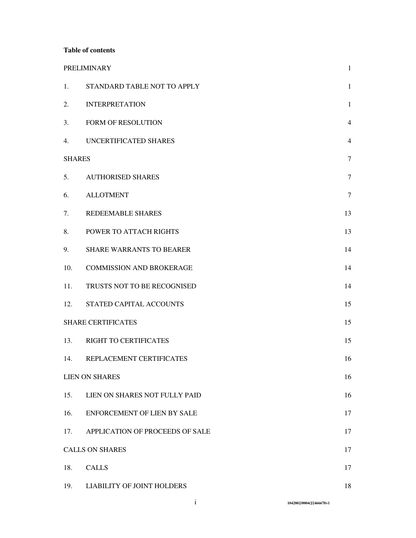# **Table of contents**

|               | <b>PRELIMINARY</b>              | $\mathbf{1}$   |
|---------------|---------------------------------|----------------|
| 1.            | STANDARD TABLE NOT TO APPLY     | $\mathbf{1}$   |
| 2.            | <b>INTERPRETATION</b>           | $\mathbf{1}$   |
| 3.            | FORM OF RESOLUTION              | $\overline{4}$ |
| 4.            | UNCERTIFICATED SHARES           | $\overline{4}$ |
| <b>SHARES</b> |                                 | $\overline{7}$ |
| 5.            | <b>AUTHORISED SHARES</b>        | $\overline{7}$ |
| 6.            | <b>ALLOTMENT</b>                | $\tau$         |
| 7.            | REDEEMABLE SHARES               | 13             |
| 8.            | POWER TO ATTACH RIGHTS          | 13             |
| 9.            | <b>SHARE WARRANTS TO BEARER</b> | 14             |
| 10.           | <b>COMMISSION AND BROKERAGE</b> | 14             |
| 11.           | TRUSTS NOT TO BE RECOGNISED     | 14             |
| 12.           | STATED CAPITAL ACCOUNTS         | 15             |
|               | <b>SHARE CERTIFICATES</b>       | 15             |
| 13.           | RIGHT TO CERTIFICATES           | 15             |
| 14.           | REPLACEMENT CERTIFICATES        | 16             |
|               | <b>LIEN ON SHARES</b>           | 16             |
| 15.           | LIEN ON SHARES NOT FULLY PAID   | 16             |
| 16.           | ENFORCEMENT OF LIEN BY SALE     | 17             |
| 17.           | APPLICATION OF PROCEEDS OF SALE | 17             |
|               | <b>CALLS ON SHARES</b>          | 17             |
| 18.           | <b>CALLS</b>                    | 17             |
| 19.           | LIABILITY OF JOINT HOLDERS      | 18             |

i **1042802/0004/J2466678v1**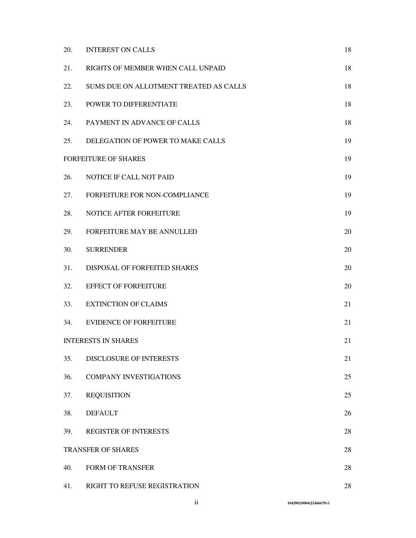| 20. | <b>INTEREST ON CALLS</b>               | 18 |
|-----|----------------------------------------|----|
| 21. | RIGHTS OF MEMBER WHEN CALL UNPAID      | 18 |
| 22. | SUMS DUE ON ALLOTMENT TREATED AS CALLS | 18 |
| 23. | POWER TO DIFFERENTIATE                 | 18 |
| 24. | PAYMENT IN ADVANCE OF CALLS            | 18 |
| 25. | DELEGATION OF POWER TO MAKE CALLS      | 19 |
|     | <b>FORFEITURE OF SHARES</b>            | 19 |
| 26. | NOTICE IF CALL NOT PAID                | 19 |
| 27. | FORFEITURE FOR NON-COMPLIANCE          | 19 |
| 28. | NOTICE AFTER FORFEITURE                | 19 |
| 29. | FORFEITURE MAY BE ANNULLED             | 20 |
| 30. | <b>SURRENDER</b>                       | 20 |
| 31. | DISPOSAL OF FORFEITED SHARES           | 20 |
| 32. | <b>EFFECT OF FORFEITURE</b>            | 20 |
| 33. | <b>EXTINCTION OF CLAIMS</b>            | 21 |
| 34. | <b>EVIDENCE OF FORFEITURE</b>          | 21 |
|     | <b>INTERESTS IN SHARES</b>             | 21 |
| 35. | <b>DISCLOSURE OF INTERESTS</b>         | 21 |
| 36. | <b>COMPANY INVESTIGATIONS</b>          | 25 |
| 37. | <b>REQUISITION</b>                     | 25 |
| 38. | <b>DEFAULT</b>                         | 26 |
| 39. | <b>REGISTER OF INTERESTS</b>           | 28 |
|     | TRANSFER OF SHARES                     | 28 |
| 40. | <b>FORM OF TRANSFER</b>                | 28 |
| 41. | RIGHT TO REFUSE REGISTRATION           | 28 |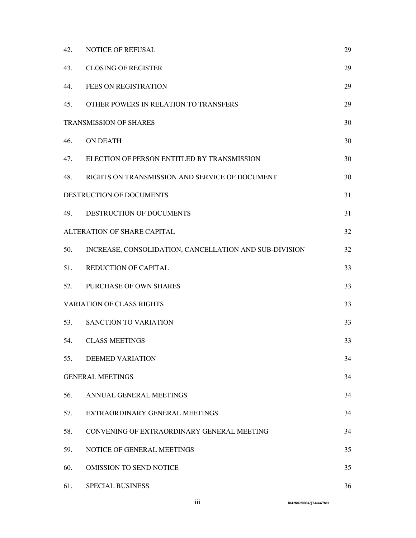| 42.                              | NOTICE OF REFUSAL                                      | 29 |
|----------------------------------|--------------------------------------------------------|----|
| 43.                              | <b>CLOSING OF REGISTER</b>                             | 29 |
| 44.                              | <b>FEES ON REGISTRATION</b>                            | 29 |
| 45.                              | OTHER POWERS IN RELATION TO TRANSFERS                  | 29 |
| <b>TRANSMISSION OF SHARES</b>    |                                                        | 30 |
| 46.                              | <b>ON DEATH</b>                                        | 30 |
| 47.                              | ELECTION OF PERSON ENTITLED BY TRANSMISSION            | 30 |
| 48.                              | RIGHTS ON TRANSMISSION AND SERVICE OF DOCUMENT         | 30 |
|                                  | DESTRUCTION OF DOCUMENTS                               | 31 |
| 49.                              | DESTRUCTION OF DOCUMENTS                               | 31 |
|                                  | ALTERATION OF SHARE CAPITAL                            | 32 |
| 50.                              | INCREASE, CONSOLIDATION, CANCELLATION AND SUB-DIVISION | 32 |
| 51.                              | <b>REDUCTION OF CAPITAL</b>                            | 33 |
| 52.                              | PURCHASE OF OWN SHARES                                 | 33 |
| <b>VARIATION OF CLASS RIGHTS</b> |                                                        | 33 |
| 53.                              | SANCTION TO VARIATION                                  | 33 |
| 54.                              | <b>CLASS MEETINGS</b>                                  | 33 |
| 55.                              | <b>DEEMED VARIATION</b>                                | 34 |
|                                  | <b>GENERAL MEETINGS</b>                                | 34 |
| 56.                              | ANNUAL GENERAL MEETINGS                                | 34 |
| 57.                              | EXTRAORDINARY GENERAL MEETINGS                         | 34 |
| 58.                              | CONVENING OF EXTRAORDINARY GENERAL MEETING             | 34 |
| 59.                              | NOTICE OF GENERAL MEETINGS                             | 35 |
| 60.                              | <b>OMISSION TO SEND NOTICE</b>                         | 35 |
| 61.                              | SPECIAL BUSINESS                                       | 36 |

iii **1042802/0004/J2466678v1**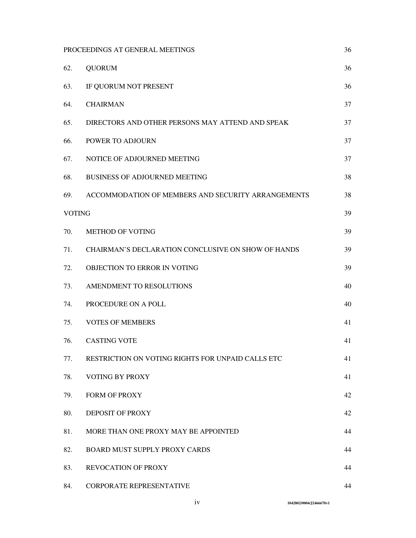| PROCEEDINGS AT GENERAL MEETINGS |                                                    | 36 |
|---------------------------------|----------------------------------------------------|----|
| 62.                             | <b>QUORUM</b>                                      | 36 |
| 63.                             | IF QUORUM NOT PRESENT                              | 36 |
| 64.                             | <b>CHAIRMAN</b>                                    | 37 |
| 65.                             | DIRECTORS AND OTHER PERSONS MAY ATTEND AND SPEAK   | 37 |
| 66.                             | POWER TO ADJOURN                                   | 37 |
| 67.                             | NOTICE OF ADJOURNED MEETING                        | 37 |
| 68.                             | <b>BUSINESS OF ADJOURNED MEETING</b>               | 38 |
| 69.                             | ACCOMMODATION OF MEMBERS AND SECURITY ARRANGEMENTS | 38 |
| <b>VOTING</b>                   |                                                    | 39 |
| 70.                             | <b>METHOD OF VOTING</b>                            | 39 |
| 71.                             | CHAIRMAN'S DECLARATION CONCLUSIVE ON SHOW OF HANDS | 39 |
| 72.                             | OBJECTION TO ERROR IN VOTING                       | 39 |
| 73.                             | AMENDMENT TO RESOLUTIONS                           | 40 |
| 74.                             | PROCEDURE ON A POLL                                | 40 |
| 75.                             | <b>VOTES OF MEMBERS</b>                            | 41 |
| 76.                             | <b>CASTING VOTE</b>                                | 41 |
| 77.                             | RESTRICTION ON VOTING RIGHTS FOR UNPAID CALLS ETC  | 41 |
| 78.                             | VOTING BY PROXY                                    | 41 |
| 79.                             | FORM OF PROXY                                      | 42 |
| 80.                             | DEPOSIT OF PROXY                                   | 42 |
| 81.                             | MORE THAN ONE PROXY MAY BE APPOINTED               | 44 |
| 82.                             | BOARD MUST SUPPLY PROXY CARDS                      | 44 |
| 83.                             | <b>REVOCATION OF PROXY</b>                         | 44 |
| 84.                             | CORPORATE REPRESENTATIVE                           | 44 |

iv **1042802/0004/J2466678v1**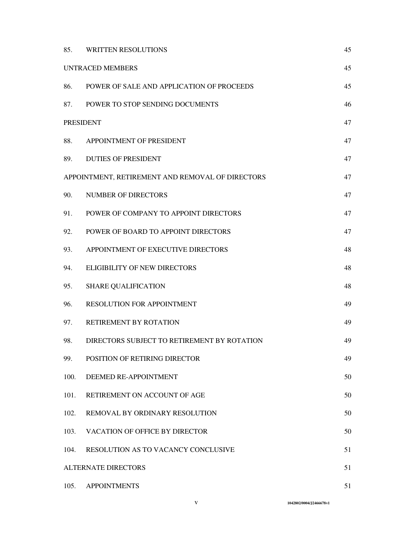| 85.              | <b>WRITTEN RESOLUTIONS</b>                       | 45 |
|------------------|--------------------------------------------------|----|
|                  | <b>UNTRACED MEMBERS</b>                          | 45 |
| 86.              | POWER OF SALE AND APPLICATION OF PROCEEDS        | 45 |
| 87.              | POWER TO STOP SENDING DOCUMENTS                  | 46 |
| <b>PRESIDENT</b> |                                                  | 47 |
| 88.              | APPOINTMENT OF PRESIDENT                         | 47 |
| 89.              | <b>DUTIES OF PRESIDENT</b>                       | 47 |
|                  | APPOINTMENT, RETIREMENT AND REMOVAL OF DIRECTORS | 47 |
| 90.              | NUMBER OF DIRECTORS                              | 47 |
| 91.              | POWER OF COMPANY TO APPOINT DIRECTORS            | 47 |
| 92.              | POWER OF BOARD TO APPOINT DIRECTORS              | 47 |
| 93.              | APPOINTMENT OF EXECUTIVE DIRECTORS               | 48 |
| 94.              | <b>ELIGIBILITY OF NEW DIRECTORS</b>              | 48 |
| 95.              | <b>SHARE QUALIFICATION</b>                       | 48 |
| 96.              | RESOLUTION FOR APPOINTMENT                       | 49 |
| 97.              | RETIREMENT BY ROTATION                           | 49 |
| 98.              | DIRECTORS SUBJECT TO RETIREMENT BY ROTATION      | 49 |
| 99.              | POSITION OF RETIRING DIRECTOR                    | 49 |
| 100.             | DEEMED RE-APPOINTMENT                            | 50 |
| 101.             | RETIREMENT ON ACCOUNT OF AGE                     | 50 |
| 102.             | REMOVAL BY ORDINARY RESOLUTION                   | 50 |
| 103.             | <b>VACATION OF OFFICE BY DIRECTOR</b>            | 50 |
| 104.             | <b>RESOLUTION AS TO VACANCY CONCLUSIVE</b>       | 51 |
|                  | <b>ALTERNATE DIRECTORS</b>                       | 51 |
| 105.             | <b>APPOINTMENTS</b>                              | 51 |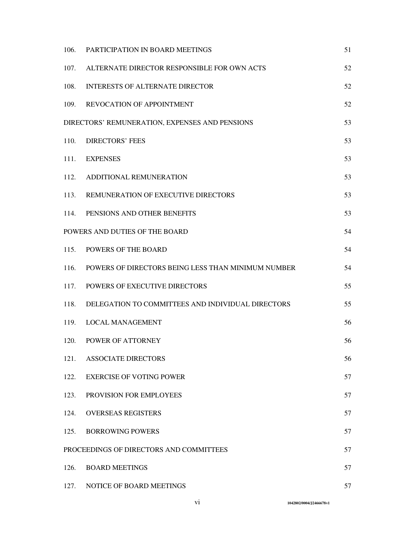| 106.                                           | PARTICIPATION IN BOARD MEETINGS                    | 51 |
|------------------------------------------------|----------------------------------------------------|----|
| 107.                                           | ALTERNATE DIRECTOR RESPONSIBLE FOR OWN ACTS        | 52 |
| 108.                                           | <b>INTERESTS OF ALTERNATE DIRECTOR</b>             | 52 |
|                                                | 109. REVOCATION OF APPOINTMENT                     | 52 |
| DIRECTORS' REMUNERATION, EXPENSES AND PENSIONS |                                                    | 53 |
| 110.                                           | <b>DIRECTORS' FEES</b>                             | 53 |
| 111.                                           | <b>EXPENSES</b>                                    | 53 |
| 112.                                           | ADDITIONAL REMUNERATION                            | 53 |
| 113.                                           | REMUNERATION OF EXECUTIVE DIRECTORS                | 53 |
| 114.                                           | PENSIONS AND OTHER BENEFITS                        | 53 |
| POWERS AND DUTIES OF THE BOARD                 |                                                    | 54 |
|                                                | 115. POWERS OF THE BOARD                           | 54 |
| 116.                                           | POWERS OF DIRECTORS BEING LESS THAN MINIMUM NUMBER | 54 |
| 117.                                           | POWERS OF EXECUTIVE DIRECTORS                      | 55 |
| 118.                                           | DELEGATION TO COMMITTEES AND INDIVIDUAL DIRECTORS  | 55 |
| 119.                                           | <b>LOCAL MANAGEMENT</b>                            | 56 |
| 120.                                           | POWER OF ATTORNEY                                  | 56 |
| 121.                                           | <b>ASSOCIATE DIRECTORS</b>                         | 56 |
| 122.                                           | <b>EXERCISE OF VOTING POWER</b>                    | 57 |
| 123.                                           | PROVISION FOR EMPLOYEES                            | 57 |
| 124.                                           | <b>OVERSEAS REGISTERS</b>                          | 57 |
| 125.                                           | <b>BORROWING POWERS</b>                            | 57 |
|                                                | PROCEEDINGS OF DIRECTORS AND COMMITTEES            | 57 |
| 126.                                           | <b>BOARD MEETINGS</b>                              | 57 |
| 127.                                           | NOTICE OF BOARD MEETINGS                           | 57 |

vi **1042802/0004/J2466678v1**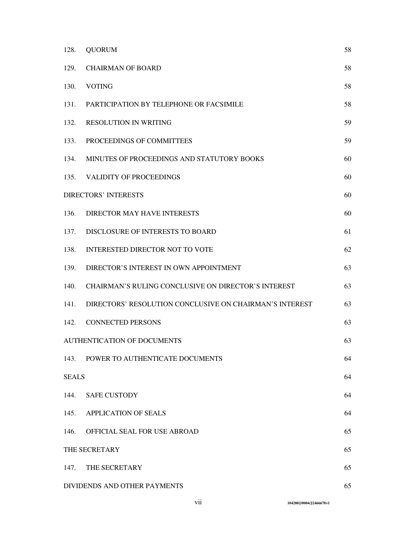| 128.                         | <b>QUORUM</b>                                           | 58 |
|------------------------------|---------------------------------------------------------|----|
| 129.                         | <b>CHAIRMAN OF BOARD</b>                                | 58 |
| 130.                         | <b>VOTING</b>                                           | 58 |
| 131.                         | PARTICIPATION BY TELEPHONE OR FACSIMILE                 | 58 |
| 132.                         | <b>RESOLUTION IN WRITING</b>                            | 59 |
| 133.                         | PROCEEDINGS OF COMMITTEES                               | 59 |
| 134.                         | MINUTES OF PROCEEDINGS AND STATUTORY BOOKS              | 60 |
|                              | 135. VALIDITY OF PROCEEDINGS                            | 60 |
|                              | <b>DIRECTORS' INTERESTS</b>                             | 60 |
| 136.                         | DIRECTOR MAY HAVE INTERESTS                             | 60 |
| 137.                         | DISCLOSURE OF INTERESTS TO BOARD                        | 61 |
| 138.                         | <b>INTERESTED DIRECTOR NOT TO VOTE</b>                  | 62 |
| 139.                         | DIRECTOR'S INTEREST IN OWN APPOINTMENT                  | 63 |
| 140.                         | CHAIRMAN'S RULING CONCLUSIVE ON DIRECTOR'S INTEREST     | 63 |
| 141.                         | DIRECTORS' RESOLUTION CONCLUSIVE ON CHAIRMAN'S INTEREST | 63 |
| 142.                         | <b>CONNECTED PERSONS</b>                                | 63 |
|                              | <b>AUTHENTICATION OF DOCUMENTS</b>                      | 63 |
|                              | 143. POWER TO AUTHENTICATE DOCUMENTS                    | 64 |
| <b>SEALS</b>                 |                                                         | 64 |
| 144.                         | <b>SAFE CUSTODY</b>                                     | 64 |
|                              | 145. APPLICATION OF SEALS                               | 64 |
| 146.                         | OFFICIAL SEAL FOR USE ABROAD                            | 65 |
|                              | THE SECRETARY                                           | 65 |
| 147.                         | THE SECRETARY                                           | 65 |
| DIVIDENDS AND OTHER PAYMENTS |                                                         | 65 |

vii **1042802/0004/J2466678v1**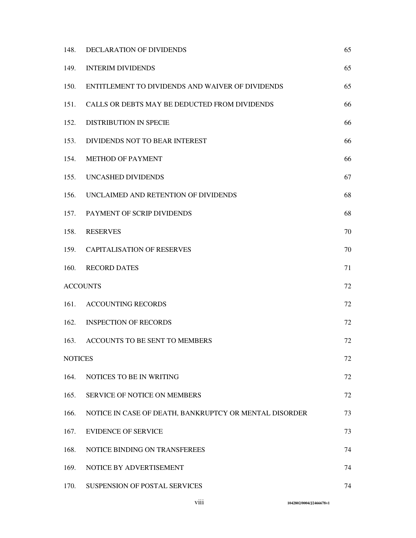| 148.            | DECLARATION OF DIVIDENDS                               | 65 |
|-----------------|--------------------------------------------------------|----|
| 149.            | <b>INTERIM DIVIDENDS</b>                               | 65 |
| 150.            | ENTITLEMENT TO DIVIDENDS AND WAIVER OF DIVIDENDS       | 65 |
| 151.            | CALLS OR DEBTS MAY BE DEDUCTED FROM DIVIDENDS          | 66 |
| 152.            | <b>DISTRIBUTION IN SPECIE</b>                          | 66 |
| 153.            | DIVIDENDS NOT TO BEAR INTEREST                         | 66 |
| 154.            | <b>METHOD OF PAYMENT</b>                               | 66 |
| 155.            | UNCASHED DIVIDENDS                                     | 67 |
| 156.            | UNCLAIMED AND RETENTION OF DIVIDENDS                   | 68 |
| 157.            | PAYMENT OF SCRIP DIVIDENDS                             | 68 |
| 158.            | <b>RESERVES</b>                                        | 70 |
| 159.            | <b>CAPITALISATION OF RESERVES</b>                      | 70 |
| 160.            | <b>RECORD DATES</b>                                    | 71 |
| <b>ACCOUNTS</b> |                                                        | 72 |
| 161.            | <b>ACCOUNTING RECORDS</b>                              | 72 |
| 162.            | <b>INSPECTION OF RECORDS</b>                           | 72 |
| 163.            | ACCOUNTS TO BE SENT TO MEMBERS                         | 72 |
| <b>NOTICES</b>  |                                                        | 72 |
| 164.            | NOTICES TO BE IN WRITING                               | 72 |
| 165.            | SERVICE OF NOTICE ON MEMBERS                           | 72 |
| 166.            | NOTICE IN CASE OF DEATH, BANKRUPTCY OR MENTAL DISORDER | 73 |
| 167.            | <b>EVIDENCE OF SERVICE</b>                             | 73 |
| 168.            | NOTICE BINDING ON TRANSFEREES                          | 74 |
| 169.            | NOTICE BY ADVERTISEMENT                                | 74 |
| 170.            | SUSPENSION OF POSTAL SERVICES                          | 74 |

viii **1042802/0004/J2466678v1**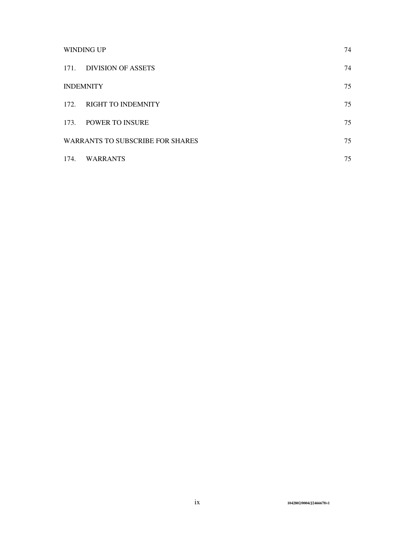| <b>WINDING UP</b> |                                         | 74 |
|-------------------|-----------------------------------------|----|
| 171.              | <b>DIVISION OF ASSETS</b>               | 74 |
|                   | <b>INDEMNITY</b>                        | 75 |
| 172.              | <b>RIGHT TO INDEMNITY</b>               | 75 |
| 173.              | <b>POWER TO INSURE</b>                  | 75 |
|                   | <b>WARRANTS TO SUBSCRIBE FOR SHARES</b> |    |
| 174.              | <b>WARRANTS</b>                         | 75 |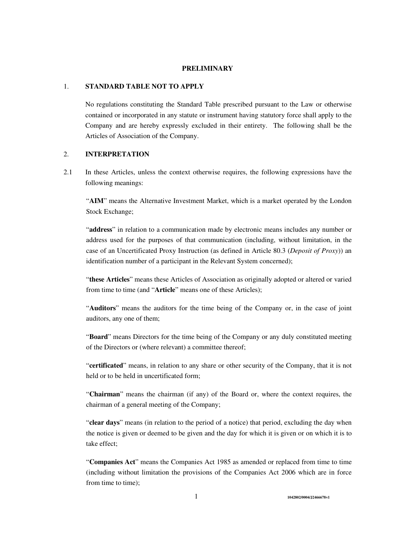#### **PRELIMINARY**

### 1. **STANDARD TABLE NOT TO APPLY**

No regulations constituting the Standard Table prescribed pursuant to the Law or otherwise contained or incorporated in any statute or instrument having statutory force shall apply to the Company and are hereby expressly excluded in their entirety. The following shall be the Articles of Association of the Company.

# 2. **INTERPRETATION**

2.1 In these Articles, unless the context otherwise requires, the following expressions have the following meanings:

"**AIM**" means the Alternative Investment Market, which is a market operated by the London Stock Exchange;

"**address**" in relation to a communication made by electronic means includes any number or address used for the purposes of that communication (including, without limitation, in the case of an Uncertificated Proxy Instruction (as defined in Article 80.3 (*Deposit of Proxy*)) an identification number of a participant in the Relevant System concerned);

"**these Articles**" means these Articles of Association as originally adopted or altered or varied from time to time (and "**Article**" means one of these Articles);

"**Auditors**" means the auditors for the time being of the Company or, in the case of joint auditors, any one of them;

"**Board**" means Directors for the time being of the Company or any duly constituted meeting of the Directors or (where relevant) a committee thereof;

"**certificated**" means, in relation to any share or other security of the Company, that it is not held or to be held in uncertificated form;

"**Chairman**" means the chairman (if any) of the Board or, where the context requires, the chairman of a general meeting of the Company;

"**clear days**" means (in relation to the period of a notice) that period, excluding the day when the notice is given or deemed to be given and the day for which it is given or on which it is to take effect;

"**Companies Act**" means the Companies Act 1985 as amended or replaced from time to time (including without limitation the provisions of the Companies Act 2006 which are in force from time to time);

1 **1042802/0004/J2466678v1**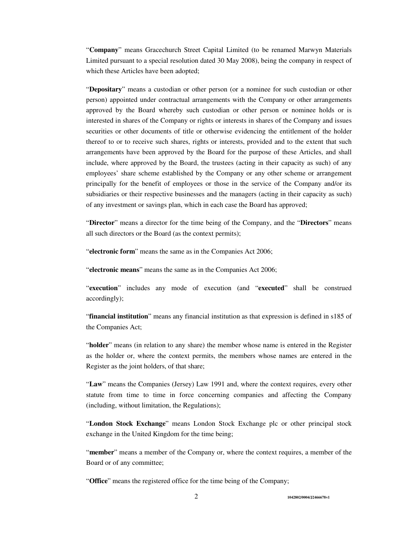"**Company**" means Gracechurch Street Capital Limited (to be renamed Marwyn Materials Limited pursuant to a special resolution dated 30 May 2008), being the company in respect of which these Articles have been adopted;

"**Depositary**" means a custodian or other person (or a nominee for such custodian or other person) appointed under contractual arrangements with the Company or other arrangements approved by the Board whereby such custodian or other person or nominee holds or is interested in shares of the Company or rights or interests in shares of the Company and issues securities or other documents of title or otherwise evidencing the entitlement of the holder thereof to or to receive such shares, rights or interests, provided and to the extent that such arrangements have been approved by the Board for the purpose of these Articles, and shall include, where approved by the Board, the trustees (acting in their capacity as such) of any employees' share scheme established by the Company or any other scheme or arrangement principally for the benefit of employees or those in the service of the Company and/or its subsidiaries or their respective businesses and the managers (acting in their capacity as such) of any investment or savings plan, which in each case the Board has approved;

"**Director**" means a director for the time being of the Company, and the "**Directors**" means all such directors or the Board (as the context permits);

"**electronic form**" means the same as in the Companies Act 2006;

"**electronic means**" means the same as in the Companies Act 2006;

"**execution**" includes any mode of execution (and "**executed**" shall be construed accordingly);

"**financial institution**" means any financial institution as that expression is defined in s185 of the Companies Act;

"**holder**" means (in relation to any share) the member whose name is entered in the Register as the holder or, where the context permits, the members whose names are entered in the Register as the joint holders, of that share;

"**Law**" means the Companies (Jersey) Law 1991 and, where the context requires, every other statute from time to time in force concerning companies and affecting the Company (including, without limitation, the Regulations);

"**London Stock Exchange**" means London Stock Exchange plc or other principal stock exchange in the United Kingdom for the time being;

"**member**" means a member of the Company or, where the context requires, a member of the Board or of any committee;

"**Office**" means the registered office for the time being of the Company;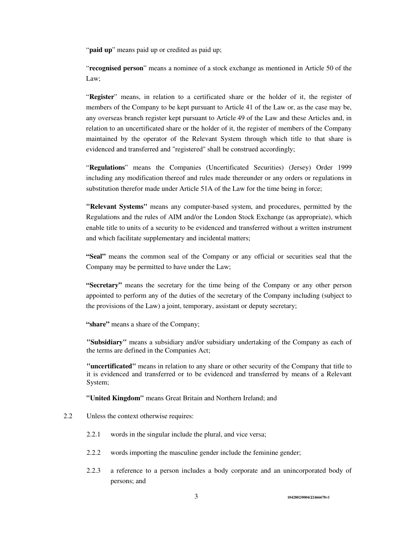"**paid up**" means paid up or credited as paid up;

"**recognised person**" means a nominee of a stock exchange as mentioned in Article 50 of the Law;

"**Register**" means, in relation to a certificated share or the holder of it, the register of members of the Company to be kept pursuant to Article 41 of the Law or, as the case may be, any overseas branch register kept pursuant to Article 49 of the Law and these Articles and, in relation to an uncertificated share or the holder of it, the register of members of the Company maintained by the operator of the Relevant System through which title to that share is evidenced and transferred and "registered" shall be construed accordingly;

"**Regulations**" means the Companies (Uncertificated Securities) (Jersey) Order 1999 including any modification thereof and rules made thereunder or any orders or regulations in substitution therefor made under Article 51A of the Law for the time being in force;

**"Relevant Systems"** means any computer-based system, and procedures, permitted by the Regulations and the rules of AIM and/or the London Stock Exchange (as appropriate), which enable title to units of a security to be evidenced and transferred without a written instrument and which facilitate supplementary and incidental matters;

**"Seal"** means the common seal of the Company or any official or securities seal that the Company may be permitted to have under the Law;

**"Secretary"** means the secretary for the time being of the Company or any other person appointed to perform any of the duties of the secretary of the Company including (subject to the provisions of the Law) a joint, temporary, assistant or deputy secretary;

**"share"** means a share of the Company;

**"Subsidiary"** means a subsidiary and/or subsidiary undertaking of the Company as each of the terms are defined in the Companies Act;

**"uncertificated"** means in relation to any share or other security of the Company that title to it is evidenced and transferred or to be evidenced and transferred by means of a Relevant System;

**"United Kingdom"** means Great Britain and Northern Ireland; and

- 2.2 Unless the context otherwise requires:
	- 2.2.1 words in the singular include the plural, and vice versa;
	- 2.2.2 words importing the masculine gender include the feminine gender;
	- 2.2.3 a reference to a person includes a body corporate and an unincorporated body of persons; and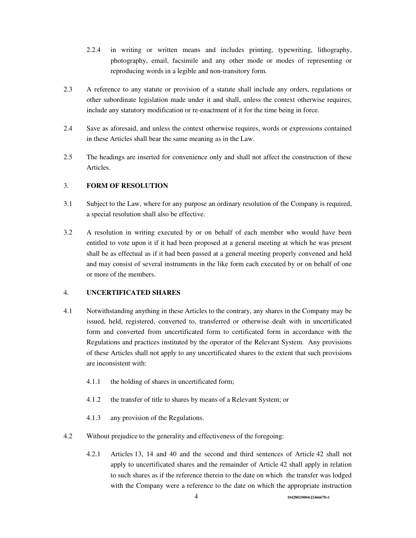- 2.2.4 in writing or written means and includes printing, typewriting, lithography, photography, email, facsimile and any other mode or modes of representing or reproducing words in a legible and non-transitory form.
- 2.3 A reference to any statute or provision of a statute shall include any orders, regulations or other subordinate legislation made under it and shall, unless the context otherwise requires, include any statutory modification or re-enactment of it for the time being in force.
- 2.4 Save as aforesaid, and unless the context otherwise requires, words or expressions contained in these Articles shall bear the same meaning as in the Law.
- 2.5 The headings are inserted for convenience only and shall not affect the construction of these Articles.

## 3. **FORM OF RESOLUTION**

- 3.1 Subject to the Law, where for any purpose an ordinary resolution of the Company is required, a special resolution shall also be effective.
- 3.2 A resolution in writing executed by or on behalf of each member who would have been entitled to vote upon it if it had been proposed at a general meeting at which he was present shall be as effectual as if it had been passed at a general meeting properly convened and held and may consist of several instruments in the like form each executed by or on behalf of one or more of the members.

### 4. **UNCERTIFICATED SHARES**

- 4.1 Notwithstanding anything in these Articles to the contrary, any shares in the Company may be issued, held, registered, converted to, transferred or otherwise dealt with in uncertificated form and converted from uncertificated form to certificated form in accordance with the Regulations and practices instituted by the operator of the Relevant System. Any provisions of these Articles shall not apply to any uncertificated shares to the extent that such provisions are inconsistent with:
	- 4.1.1 the holding of shares in uncertificated form;
	- 4.1.2 the transfer of title to shares by means of a Relevant System; or
	- 4.1.3 any provision of the Regulations.
- 4.2 Without prejudice to the generality and effectiveness of the foregoing:
	- 4.2.1 Articles 13, 14 and 40 and the second and third sentences of Article 42 shall not apply to uncertificated shares and the remainder of Article 42 shall apply in relation to such shares as if the reference therein to the date on which the transfer was lodged with the Company were a reference to the date on which the appropriate instruction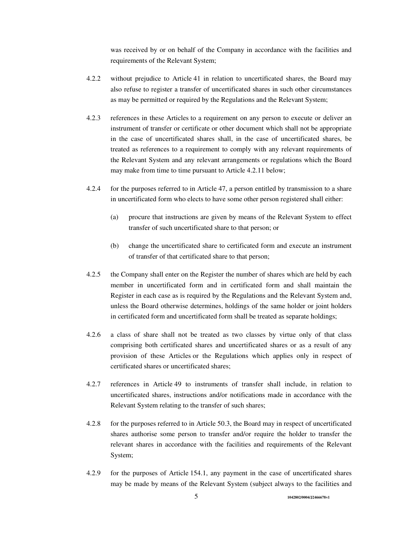was received by or on behalf of the Company in accordance with the facilities and requirements of the Relevant System;

- 4.2.2 without prejudice to Article 41 in relation to uncertificated shares, the Board may also refuse to register a transfer of uncertificated shares in such other circumstances as may be permitted or required by the Regulations and the Relevant System;
- 4.2.3 references in these Articles to a requirement on any person to execute or deliver an instrument of transfer or certificate or other document which shall not be appropriate in the case of uncertificated shares shall, in the case of uncertificated shares, be treated as references to a requirement to comply with any relevant requirements of the Relevant System and any relevant arrangements or regulations which the Board may make from time to time pursuant to Article 4.2.11 below;
- 4.2.4 for the purposes referred to in Article 47, a person entitled by transmission to a share in uncertificated form who elects to have some other person registered shall either:
	- (a) procure that instructions are given by means of the Relevant System to effect transfer of such uncertificated share to that person; or
	- (b) change the uncertificated share to certificated form and execute an instrument of transfer of that certificated share to that person;
- 4.2.5 the Company shall enter on the Register the number of shares which are held by each member in uncertificated form and in certificated form and shall maintain the Register in each case as is required by the Regulations and the Relevant System and, unless the Board otherwise determines, holdings of the same holder or joint holders in certificated form and uncertificated form shall be treated as separate holdings;
- 4.2.6 a class of share shall not be treated as two classes by virtue only of that class comprising both certificated shares and uncertificated shares or as a result of any provision of these Articles or the Regulations which applies only in respect of certificated shares or uncertificated shares;
- 4.2.7 references in Article 49 to instruments of transfer shall include, in relation to uncertificated shares, instructions and/or notifications made in accordance with the Relevant System relating to the transfer of such shares;
- 4.2.8 for the purposes referred to in Article 50.3, the Board may in respect of uncertificated shares authorise some person to transfer and/or require the holder to transfer the relevant shares in accordance with the facilities and requirements of the Relevant System;
- 4.2.9 for the purposes of Article 154.1, any payment in the case of uncertificated shares may be made by means of the Relevant System (subject always to the facilities and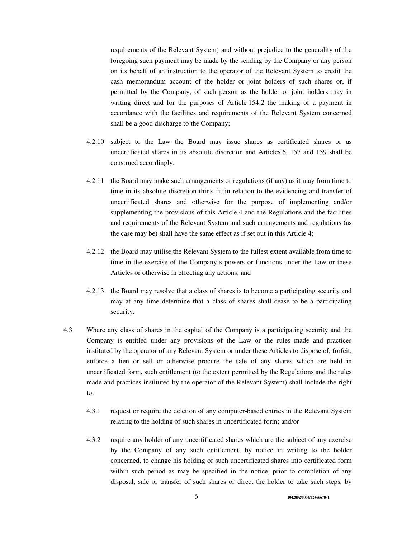requirements of the Relevant System) and without prejudice to the generality of the foregoing such payment may be made by the sending by the Company or any person on its behalf of an instruction to the operator of the Relevant System to credit the cash memorandum account of the holder or joint holders of such shares or, if permitted by the Company, of such person as the holder or joint holders may in writing direct and for the purposes of Article 154.2 the making of a payment in accordance with the facilities and requirements of the Relevant System concerned shall be a good discharge to the Company;

- 4.2.10 subject to the Law the Board may issue shares as certificated shares or as uncertificated shares in its absolute discretion and Articles 6, 157 and 159 shall be construed accordingly;
- 4.2.11 the Board may make such arrangements or regulations (if any) as it may from time to time in its absolute discretion think fit in relation to the evidencing and transfer of uncertificated shares and otherwise for the purpose of implementing and/or supplementing the provisions of this Article 4 and the Regulations and the facilities and requirements of the Relevant System and such arrangements and regulations (as the case may be) shall have the same effect as if set out in this Article 4;
- 4.2.12 the Board may utilise the Relevant System to the fullest extent available from time to time in the exercise of the Company's powers or functions under the Law or these Articles or otherwise in effecting any actions; and
- 4.2.13 the Board may resolve that a class of shares is to become a participating security and may at any time determine that a class of shares shall cease to be a participating security.
- 4.3 Where any class of shares in the capital of the Company is a participating security and the Company is entitled under any provisions of the Law or the rules made and practices instituted by the operator of any Relevant System or under these Articles to dispose of, forfeit, enforce a lien or sell or otherwise procure the sale of any shares which are held in uncertificated form, such entitlement (to the extent permitted by the Regulations and the rules made and practices instituted by the operator of the Relevant System) shall include the right to:
	- 4.3.1 request or require the deletion of any computer-based entries in the Relevant System relating to the holding of such shares in uncertificated form; and/or
	- 4.3.2 require any holder of any uncertificated shares which are the subject of any exercise by the Company of any such entitlement, by notice in writing to the holder concerned, to change his holding of such uncertificated shares into certificated form within such period as may be specified in the notice, prior to completion of any disposal, sale or transfer of such shares or direct the holder to take such steps, by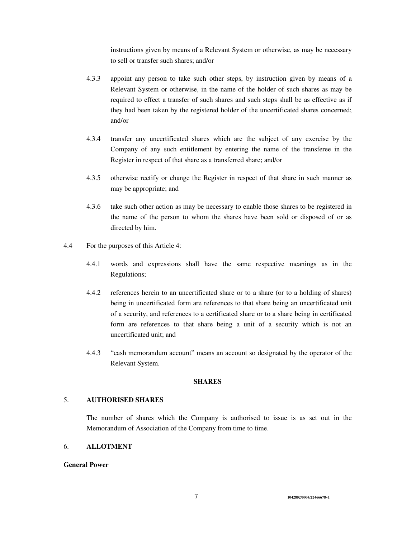instructions given by means of a Relevant System or otherwise, as may be necessary to sell or transfer such shares; and/or

- 4.3.3 appoint any person to take such other steps, by instruction given by means of a Relevant System or otherwise, in the name of the holder of such shares as may be required to effect a transfer of such shares and such steps shall be as effective as if they had been taken by the registered holder of the uncertificated shares concerned; and/or
- 4.3.4 transfer any uncertificated shares which are the subject of any exercise by the Company of any such entitlement by entering the name of the transferee in the Register in respect of that share as a transferred share; and/or
- 4.3.5 otherwise rectify or change the Register in respect of that share in such manner as may be appropriate; and
- 4.3.6 take such other action as may be necessary to enable those shares to be registered in the name of the person to whom the shares have been sold or disposed of or as directed by him.
- 4.4 For the purposes of this Article 4:
	- 4.4.1 words and expressions shall have the same respective meanings as in the Regulations;
	- 4.4.2 references herein to an uncertificated share or to a share (or to a holding of shares) being in uncertificated form are references to that share being an uncertificated unit of a security, and references to a certificated share or to a share being in certificated form are references to that share being a unit of a security which is not an uncertificated unit; and
	- 4.4.3 "cash memorandum account" means an account so designated by the operator of the Relevant System.

## **SHARES**

# 5. **AUTHORISED SHARES**

The number of shares which the Company is authorised to issue is as set out in the Memorandum of Association of the Company from time to time.

#### 6. **ALLOTMENT**

#### **General Power**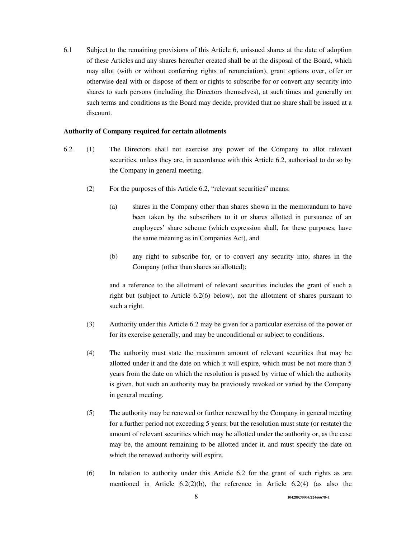6.1 Subject to the remaining provisions of this Article 6, unissued shares at the date of adoption of these Articles and any shares hereafter created shall be at the disposal of the Board, which may allot (with or without conferring rights of renunciation), grant options over, offer or otherwise deal with or dispose of them or rights to subscribe for or convert any security into shares to such persons (including the Directors themselves), at such times and generally on such terms and conditions as the Board may decide, provided that no share shall be issued at a discount.

### **Authority of Company required for certain allotments**

- 6.2 (1) The Directors shall not exercise any power of the Company to allot relevant securities, unless they are, in accordance with this Article 6.2, authorised to do so by the Company in general meeting.
	- (2) For the purposes of this Article 6.2, "relevant securities" means:
		- (a) shares in the Company other than shares shown in the memorandum to have been taken by the subscribers to it or shares allotted in pursuance of an employees' share scheme (which expression shall, for these purposes, have the same meaning as in Companies Act), and
		- (b) any right to subscribe for, or to convert any security into, shares in the Company (other than shares so allotted);

and a reference to the allotment of relevant securities includes the grant of such a right but (subject to Article 6.2(6) below), not the allotment of shares pursuant to such a right.

- (3) Authority under this Article 6.2 may be given for a particular exercise of the power or for its exercise generally, and may be unconditional or subject to conditions.
- (4) The authority must state the maximum amount of relevant securities that may be allotted under it and the date on which it will expire, which must be not more than 5 years from the date on which the resolution is passed by virtue of which the authority is given, but such an authority may be previously revoked or varied by the Company in general meeting.
- (5) The authority may be renewed or further renewed by the Company in general meeting for a further period not exceeding 5 years; but the resolution must state (or restate) the amount of relevant securities which may be allotted under the authority or, as the case may be, the amount remaining to be allotted under it, and must specify the date on which the renewed authority will expire.
- (6) In relation to authority under this Article 6.2 for the grant of such rights as are mentioned in Article  $6.2(2)(b)$ , the reference in Article  $6.2(4)$  (as also the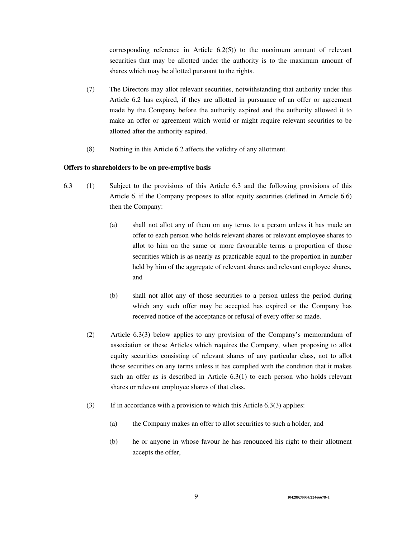corresponding reference in Article 6.2(5)) to the maximum amount of relevant securities that may be allotted under the authority is to the maximum amount of shares which may be allotted pursuant to the rights.

- (7) The Directors may allot relevant securities, notwithstanding that authority under this Article 6.2 has expired, if they are allotted in pursuance of an offer or agreement made by the Company before the authority expired and the authority allowed it to make an offer or agreement which would or might require relevant securities to be allotted after the authority expired.
- (8) Nothing in this Article 6.2 affects the validity of any allotment.

### **Offers to shareholders to be on pre-emptive basis**

- 6.3 (1) Subject to the provisions of this Article 6.3 and the following provisions of this Article 6, if the Company proposes to allot equity securities (defined in Article 6.6) then the Company:
	- (a) shall not allot any of them on any terms to a person unless it has made an offer to each person who holds relevant shares or relevant employee shares to allot to him on the same or more favourable terms a proportion of those securities which is as nearly as practicable equal to the proportion in number held by him of the aggregate of relevant shares and relevant employee shares, and
	- (b) shall not allot any of those securities to a person unless the period during which any such offer may be accepted has expired or the Company has received notice of the acceptance or refusal of every offer so made.
	- (2) Article 6.3(3) below applies to any provision of the Company's memorandum of association or these Articles which requires the Company, when proposing to allot equity securities consisting of relevant shares of any particular class, not to allot those securities on any terms unless it has complied with the condition that it makes such an offer as is described in Article 6.3(1) to each person who holds relevant shares or relevant employee shares of that class.
	- (3) If in accordance with a provision to which this Article 6.3(3) applies:
		- (a) the Company makes an offer to allot securities to such a holder, and
		- (b) he or anyone in whose favour he has renounced his right to their allotment accepts the offer,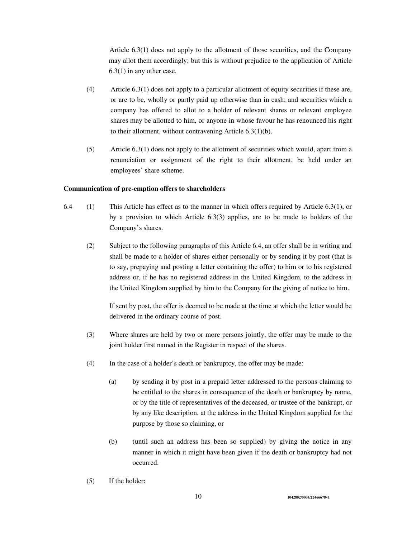Article 6.3(1) does not apply to the allotment of those securities, and the Company may allot them accordingly; but this is without prejudice to the application of Article 6.3(1) in any other case.

- (4) Article 6.3(1) does not apply to a particular allotment of equity securities if these are, or are to be, wholly or partly paid up otherwise than in cash; and securities which a company has offered to allot to a holder of relevant shares or relevant employee shares may be allotted to him, or anyone in whose favour he has renounced his right to their allotment, without contravening Article 6.3(1)(b).
- (5) Article 6.3(1) does not apply to the allotment of securities which would, apart from a renunciation or assignment of the right to their allotment, be held under an employees' share scheme.

#### **Communication of pre-emption offers to shareholders**

- 6.4 (1) This Article has effect as to the manner in which offers required by Article 6.3(1), or by a provision to which Article 6.3(3) applies, are to be made to holders of the Company's shares.
	- (2) Subject to the following paragraphs of this Article 6.4, an offer shall be in writing and shall be made to a holder of shares either personally or by sending it by post (that is to say, prepaying and posting a letter containing the offer) to him or to his registered address or, if he has no registered address in the United Kingdom, to the address in the United Kingdom supplied by him to the Company for the giving of notice to him.

 If sent by post, the offer is deemed to be made at the time at which the letter would be delivered in the ordinary course of post.

- (3) Where shares are held by two or more persons jointly, the offer may be made to the joint holder first named in the Register in respect of the shares.
- (4) In the case of a holder's death or bankruptcy, the offer may be made:
	- (a) by sending it by post in a prepaid letter addressed to the persons claiming to be entitled to the shares in consequence of the death or bankruptcy by name, or by the title of representatives of the deceased, or trustee of the bankrupt, or by any like description, at the address in the United Kingdom supplied for the purpose by those so claiming, or
	- (b) (until such an address has been so supplied) by giving the notice in any manner in which it might have been given if the death or bankruptcy had not occurred.
- (5) If the holder: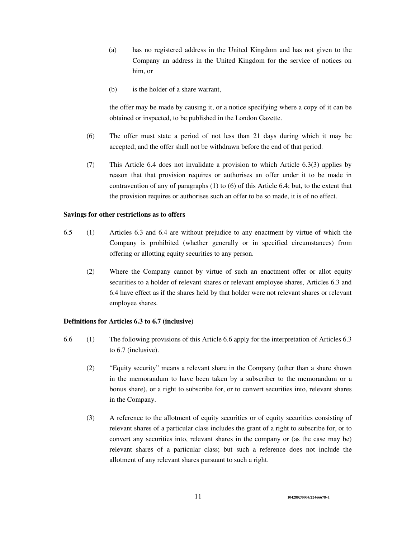- (a) has no registered address in the United Kingdom and has not given to the Company an address in the United Kingdom for the service of notices on him, or
- (b) is the holder of a share warrant,

 the offer may be made by causing it, or a notice specifying where a copy of it can be obtained or inspected, to be published in the London Gazette.

- (6) The offer must state a period of not less than 21 days during which it may be accepted; and the offer shall not be withdrawn before the end of that period.
- (7) This Article 6.4 does not invalidate a provision to which Article 6.3(3) applies by reason that that provision requires or authorises an offer under it to be made in contravention of any of paragraphs (1) to (6) of this Article 6.4; but, to the extent that the provision requires or authorises such an offer to be so made, it is of no effect.

#### **Savings for other restrictions as to offers**

- 6.5 (1) Articles 6.3 and 6.4 are without prejudice to any enactment by virtue of which the Company is prohibited (whether generally or in specified circumstances) from offering or allotting equity securities to any person.
	- (2) Where the Company cannot by virtue of such an enactment offer or allot equity securities to a holder of relevant shares or relevant employee shares, Articles 6.3 and 6.4 have effect as if the shares held by that holder were not relevant shares or relevant employee shares.

## **Definitions for Articles 6.3 to 6.7 (inclusive)**

- 6.6 (1) The following provisions of this Article 6.6 apply for the interpretation of Articles 6.3 to 6.7 (inclusive).
	- (2) "Equity security" means a relevant share in the Company (other than a share shown in the memorandum to have been taken by a subscriber to the memorandum or a bonus share), or a right to subscribe for, or to convert securities into, relevant shares in the Company.
	- (3) A reference to the allotment of equity securities or of equity securities consisting of relevant shares of a particular class includes the grant of a right to subscribe for, or to convert any securities into, relevant shares in the company or (as the case may be) relevant shares of a particular class; but such a reference does not include the allotment of any relevant shares pursuant to such a right.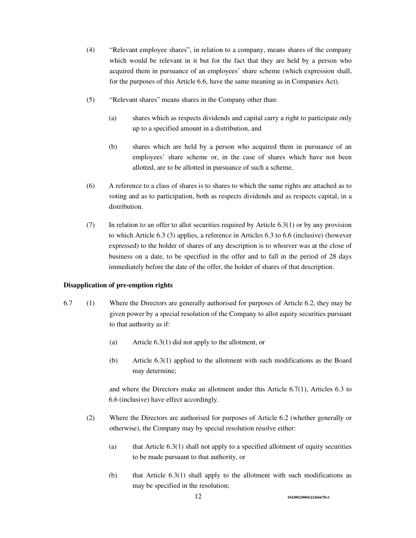- (4) "Relevant employee shares", in relation to a company, means shares of the company which would be relevant in it but for the fact that they are held by a person who acquired them in pursuance of an employees' share scheme (which expression shall, for the purposes of this Article 6.6, have the same meaning as in Companies Act).
- (5) "Relevant shares" means shares in the Company other than:
	- (a) shares which as respects dividends and capital carry a right to participate only up to a specified amount in a distribution, and
	- (b) shares which are held by a person who acquired them in pursuance of an employees' share scheme or, in the case of shares which have not been allotted, are to be allotted in pursuance of such a scheme.
- (6) A reference to a class of shares is to shares to which the same rights are attached as to voting and as to participation, both as respects dividends and as respects capital, in a distribution.
- (7) In relation to an offer to allot securities required by Article 6.3(1) or by any provision to which Article 6.3 (3) applies, a reference in Articles 6.3 to 6.6 (inclusive) (however expressed) to the holder of shares of any description is to whoever was at the close of business on a date, to be specified in the offer and to fall in the period of 28 days immediately before the date of the offer, the holder of shares of that description.

#### **Disapplication of pre-emption rights**

- 6.7 (1) Where the Directors are generally authorised for purposes of Article 6.2, they may be given power by a special resolution of the Company to allot equity securities pursuant to that authority as if:
	- (a) Article 6.3(1) did not apply to the allotment, or
	- (b) Article 6.3(1) applied to the allotment with such modifications as the Board may determine;

and where the Directors make an allotment under this Article 6.7(1), Articles 6.3 to 6.6 (inclusive) have effect accordingly.

- (2) Where the Directors are authorised for purposes of Article 6.2 (whether generally or otherwise), the Company may by special resolution resolve either:
	- (a) that Article  $6.3(1)$  shall not apply to a specified allotment of equity securities to be made pursuant to that authority, or
	- (b) that Article 6.3(1) shall apply to the allotment with such modifications as may be specified in the resolution;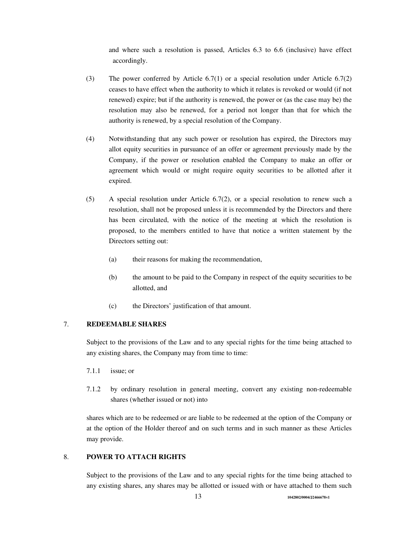and where such a resolution is passed, Articles 6.3 to 6.6 (inclusive) have effect accordingly.

- (3) The power conferred by Article 6.7(1) or a special resolution under Article 6.7(2) ceases to have effect when the authority to which it relates is revoked or would (if not renewed) expire; but if the authority is renewed, the power or (as the case may be) the resolution may also be renewed, for a period not longer than that for which the authority is renewed, by a special resolution of the Company.
- (4) Notwithstanding that any such power or resolution has expired, the Directors may allot equity securities in pursuance of an offer or agreement previously made by the Company, if the power or resolution enabled the Company to make an offer or agreement which would or might require equity securities to be allotted after it expired.
- (5) A special resolution under Article 6.7(2), or a special resolution to renew such a resolution, shall not be proposed unless it is recommended by the Directors and there has been circulated, with the notice of the meeting at which the resolution is proposed, to the members entitled to have that notice a written statement by the Directors setting out:
	- (a) their reasons for making the recommendation,
	- (b) the amount to be paid to the Company in respect of the equity securities to be allotted, and
	- (c) the Directors' justification of that amount.

### 7. **REDEEMABLE SHARES**

Subject to the provisions of the Law and to any special rights for the time being attached to any existing shares, the Company may from time to time:

- 7.1.1 issue; or
- 7.1.2 by ordinary resolution in general meeting, convert any existing non-redeemable shares (whether issued or not) into

shares which are to be redeemed or are liable to be redeemed at the option of the Company or at the option of the Holder thereof and on such terms and in such manner as these Articles may provide.

# 8. **POWER TO ATTACH RIGHTS**

Subject to the provisions of the Law and to any special rights for the time being attached to any existing shares, any shares may be allotted or issued with or have attached to them such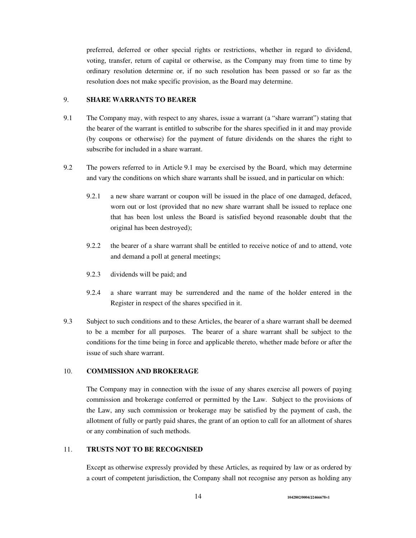preferred, deferred or other special rights or restrictions, whether in regard to dividend, voting, transfer, return of capital or otherwise, as the Company may from time to time by ordinary resolution determine or, if no such resolution has been passed or so far as the resolution does not make specific provision, as the Board may determine.

## 9. **SHARE WARRANTS TO BEARER**

- 9.1 The Company may, with respect to any shares, issue a warrant (a "share warrant") stating that the bearer of the warrant is entitled to subscribe for the shares specified in it and may provide (by coupons or otherwise) for the payment of future dividends on the shares the right to subscribe for included in a share warrant.
- 9.2 The powers referred to in Article 9.1 may be exercised by the Board, which may determine and vary the conditions on which share warrants shall be issued, and in particular on which:
	- 9.2.1 a new share warrant or coupon will be issued in the place of one damaged, defaced, worn out or lost (provided that no new share warrant shall be issued to replace one that has been lost unless the Board is satisfied beyond reasonable doubt that the original has been destroyed);
	- 9.2.2 the bearer of a share warrant shall be entitled to receive notice of and to attend, vote and demand a poll at general meetings;
	- 9.2.3 dividends will be paid; and
	- 9.2.4 a share warrant may be surrendered and the name of the holder entered in the Register in respect of the shares specified in it.
- 9.3 Subject to such conditions and to these Articles, the bearer of a share warrant shall be deemed to be a member for all purposes. The bearer of a share warrant shall be subject to the conditions for the time being in force and applicable thereto, whether made before or after the issue of such share warrant.

#### 10. **COMMISSION AND BROKERAGE**

The Company may in connection with the issue of any shares exercise all powers of paying commission and brokerage conferred or permitted by the Law. Subject to the provisions of the Law, any such commission or brokerage may be satisfied by the payment of cash, the allotment of fully or partly paid shares, the grant of an option to call for an allotment of shares or any combination of such methods.

# 11. **TRUSTS NOT TO BE RECOGNISED**

Except as otherwise expressly provided by these Articles, as required by law or as ordered by a court of competent jurisdiction, the Company shall not recognise any person as holding any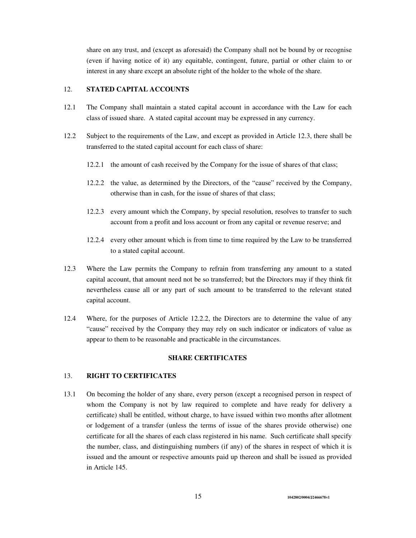share on any trust, and (except as aforesaid) the Company shall not be bound by or recognise (even if having notice of it) any equitable, contingent, future, partial or other claim to or interest in any share except an absolute right of the holder to the whole of the share.

# 12. **STATED CAPITAL ACCOUNTS**

- 12.1 The Company shall maintain a stated capital account in accordance with the Law for each class of issued share. A stated capital account may be expressed in any currency.
- 12.2 Subject to the requirements of the Law, and except as provided in Article 12.3, there shall be transferred to the stated capital account for each class of share:
	- 12.2.1 the amount of cash received by the Company for the issue of shares of that class;
	- 12.2.2 the value, as determined by the Directors, of the "cause" received by the Company, otherwise than in cash, for the issue of shares of that class;
	- 12.2.3 every amount which the Company, by special resolution, resolves to transfer to such account from a profit and loss account or from any capital or revenue reserve; and
	- 12.2.4 every other amount which is from time to time required by the Law to be transferred to a stated capital account.
- 12.3 Where the Law permits the Company to refrain from transferring any amount to a stated capital account, that amount need not be so transferred; but the Directors may if they think fit nevertheless cause all or any part of such amount to be transferred to the relevant stated capital account.
- 12.4 Where, for the purposes of Article 12.2.2, the Directors are to determine the value of any "cause" received by the Company they may rely on such indicator or indicators of value as appear to them to be reasonable and practicable in the circumstances.

### **SHARE CERTIFICATES**

## 13. **RIGHT TO CERTIFICATES**

13.1 On becoming the holder of any share, every person (except a recognised person in respect of whom the Company is not by law required to complete and have ready for delivery a certificate) shall be entitled, without charge, to have issued within two months after allotment or lodgement of a transfer (unless the terms of issue of the shares provide otherwise) one certificate for all the shares of each class registered in his name. Such certificate shall specify the number, class, and distinguishing numbers (if any) of the shares in respect of which it is issued and the amount or respective amounts paid up thereon and shall be issued as provided in Article 145.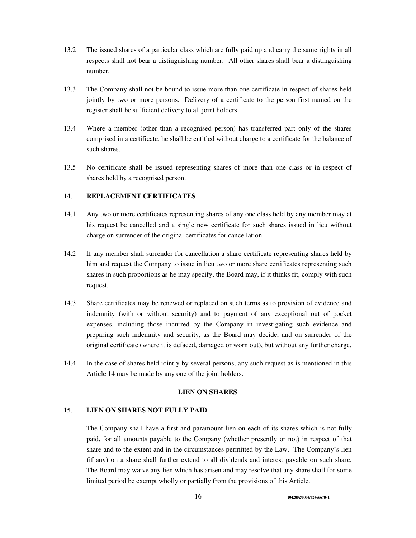- 13.2 The issued shares of a particular class which are fully paid up and carry the same rights in all respects shall not bear a distinguishing number. All other shares shall bear a distinguishing number.
- 13.3 The Company shall not be bound to issue more than one certificate in respect of shares held jointly by two or more persons. Delivery of a certificate to the person first named on the register shall be sufficient delivery to all joint holders.
- 13.4 Where a member (other than a recognised person) has transferred part only of the shares comprised in a certificate, he shall be entitled without charge to a certificate for the balance of such shares.
- 13.5 No certificate shall be issued representing shares of more than one class or in respect of shares held by a recognised person.

# 14. **REPLACEMENT CERTIFICATES**

- 14.1 Any two or more certificates representing shares of any one class held by any member may at his request be cancelled and a single new certificate for such shares issued in lieu without charge on surrender of the original certificates for cancellation.
- 14.2 If any member shall surrender for cancellation a share certificate representing shares held by him and request the Company to issue in lieu two or more share certificates representing such shares in such proportions as he may specify, the Board may, if it thinks fit, comply with such request.
- 14.3 Share certificates may be renewed or replaced on such terms as to provision of evidence and indemnity (with or without security) and to payment of any exceptional out of pocket expenses, including those incurred by the Company in investigating such evidence and preparing such indemnity and security, as the Board may decide, and on surrender of the original certificate (where it is defaced, damaged or worn out), but without any further charge.
- 14.4 In the case of shares held jointly by several persons, any such request as is mentioned in this Article 14 may be made by any one of the joint holders.

# **LIEN ON SHARES**

### 15. **LIEN ON SHARES NOT FULLY PAID**

The Company shall have a first and paramount lien on each of its shares which is not fully paid, for all amounts payable to the Company (whether presently or not) in respect of that share and to the extent and in the circumstances permitted by the Law. The Company's lien (if any) on a share shall further extend to all dividends and interest payable on such share. The Board may waive any lien which has arisen and may resolve that any share shall for some limited period be exempt wholly or partially from the provisions of this Article.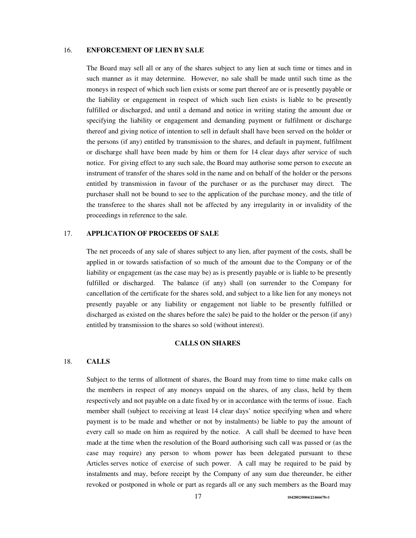## 16. **ENFORCEMENT OF LIEN BY SALE**

The Board may sell all or any of the shares subject to any lien at such time or times and in such manner as it may determine. However, no sale shall be made until such time as the moneys in respect of which such lien exists or some part thereof are or is presently payable or the liability or engagement in respect of which such lien exists is liable to be presently fulfilled or discharged, and until a demand and notice in writing stating the amount due or specifying the liability or engagement and demanding payment or fulfilment or discharge thereof and giving notice of intention to sell in default shall have been served on the holder or the persons (if any) entitled by transmission to the shares, and default in payment, fulfilment or discharge shall have been made by him or them for 14 clear days after service of such notice. For giving effect to any such sale, the Board may authorise some person to execute an instrument of transfer of the shares sold in the name and on behalf of the holder or the persons entitled by transmission in favour of the purchaser or as the purchaser may direct. The purchaser shall not be bound to see to the application of the purchase money, and the title of the transferee to the shares shall not be affected by any irregularity in or invalidity of the proceedings in reference to the sale.

### 17. **APPLICATION OF PROCEEDS OF SALE**

The net proceeds of any sale of shares subject to any lien, after payment of the costs, shall be applied in or towards satisfaction of so much of the amount due to the Company or of the liability or engagement (as the case may be) as is presently payable or is liable to be presently fulfilled or discharged. The balance (if any) shall (on surrender to the Company for cancellation of the certificate for the shares sold, and subject to a like lien for any moneys not presently payable or any liability or engagement not liable to be presently fulfilled or discharged as existed on the shares before the sale) be paid to the holder or the person (if any) entitled by transmission to the shares so sold (without interest).

## **CALLS ON SHARES**

#### 18. **CALLS**

Subject to the terms of allotment of shares, the Board may from time to time make calls on the members in respect of any moneys unpaid on the shares, of any class, held by them respectively and not payable on a date fixed by or in accordance with the terms of issue. Each member shall (subject to receiving at least 14 clear days' notice specifying when and where payment is to be made and whether or not by instalments) be liable to pay the amount of every call so made on him as required by the notice. A call shall be deemed to have been made at the time when the resolution of the Board authorising such call was passed or (as the case may require) any person to whom power has been delegated pursuant to these Articles serves notice of exercise of such power. A call may be required to be paid by instalments and may, before receipt by the Company of any sum due thereunder, be either revoked or postponed in whole or part as regards all or any such members as the Board may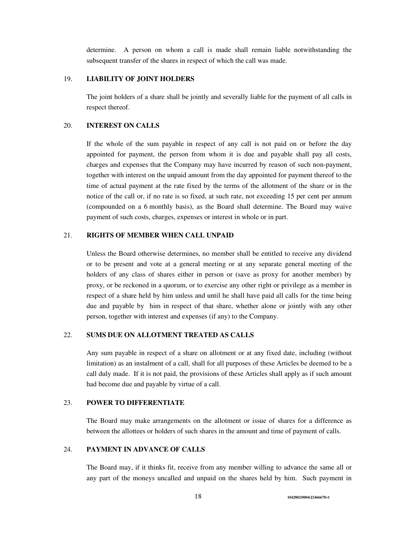determine. A person on whom a call is made shall remain liable notwithstanding the subsequent transfer of the shares in respect of which the call was made.

# 19. **LIABILITY OF JOINT HOLDERS**

The joint holders of a share shall be jointly and severally liable for the payment of all calls in respect thereof.

### 20. **INTEREST ON CALLS**

If the whole of the sum payable in respect of any call is not paid on or before the day appointed for payment, the person from whom it is due and payable shall pay all costs, charges and expenses that the Company may have incurred by reason of such non-payment, together with interest on the unpaid amount from the day appointed for payment thereof to the time of actual payment at the rate fixed by the terms of the allotment of the share or in the notice of the call or, if no rate is so fixed, at such rate, not exceeding 15 per cent per annum (compounded on a 6 monthly basis), as the Board shall determine. The Board may waive payment of such costs, charges, expenses or interest in whole or in part.

# 21. **RIGHTS OF MEMBER WHEN CALL UNPAID**

Unless the Board otherwise determines, no member shall be entitled to receive any dividend or to be present and vote at a general meeting or at any separate general meeting of the holders of any class of shares either in person or (save as proxy for another member) by proxy, or be reckoned in a quorum, or to exercise any other right or privilege as a member in respect of a share held by him unless and until he shall have paid all calls for the time being due and payable by him in respect of that share, whether alone or jointly with any other person, together with interest and expenses (if any) to the Company.

### 22. **SUMS DUE ON ALLOTMENT TREATED AS CALLS**

Any sum payable in respect of a share on allotment or at any fixed date, including (without limitation) as an instalment of a call, shall for all purposes of these Articles be deemed to be a call duly made. If it is not paid, the provisions of these Articles shall apply as if such amount had become due and payable by virtue of a call.

#### 23. **POWER TO DIFFERENTIATE**

The Board may make arrangements on the allotment or issue of shares for a difference as between the allottees or holders of such shares in the amount and time of payment of calls.

# 24. **PAYMENT IN ADVANCE OF CALLS**

The Board may, if it thinks fit, receive from any member willing to advance the same all or any part of the moneys uncalled and unpaid on the shares held by him. Such payment in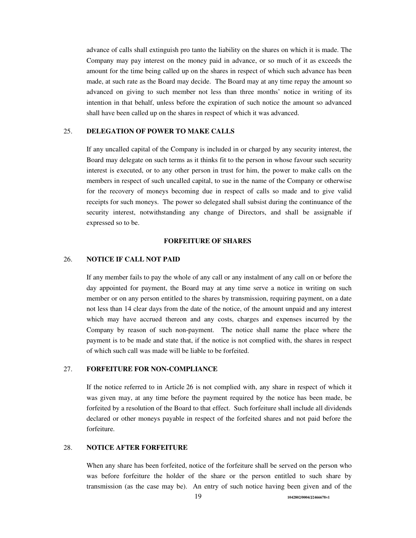advance of calls shall extinguish pro tanto the liability on the shares on which it is made. The Company may pay interest on the money paid in advance, or so much of it as exceeds the amount for the time being called up on the shares in respect of which such advance has been made, at such rate as the Board may decide. The Board may at any time repay the amount so advanced on giving to such member not less than three months' notice in writing of its intention in that behalf, unless before the expiration of such notice the amount so advanced shall have been called up on the shares in respect of which it was advanced.

### 25. **DELEGATION OF POWER TO MAKE CALLS**

If any uncalled capital of the Company is included in or charged by any security interest, the Board may delegate on such terms as it thinks fit to the person in whose favour such security interest is executed, or to any other person in trust for him, the power to make calls on the members in respect of such uncalled capital, to sue in the name of the Company or otherwise for the recovery of moneys becoming due in respect of calls so made and to give valid receipts for such moneys. The power so delegated shall subsist during the continuance of the security interest, notwithstanding any change of Directors, and shall be assignable if expressed so to be.

#### **FORFEITURE OF SHARES**

### 26. **NOTICE IF CALL NOT PAID**

If any member fails to pay the whole of any call or any instalment of any call on or before the day appointed for payment, the Board may at any time serve a notice in writing on such member or on any person entitled to the shares by transmission, requiring payment, on a date not less than 14 clear days from the date of the notice, of the amount unpaid and any interest which may have accrued thereon and any costs, charges and expenses incurred by the Company by reason of such non-payment. The notice shall name the place where the payment is to be made and state that, if the notice is not complied with, the shares in respect of which such call was made will be liable to be forfeited.

#### 27. **FORFEITURE FOR NON-COMPLIANCE**

If the notice referred to in Article 26 is not complied with, any share in respect of which it was given may, at any time before the payment required by the notice has been made, be forfeited by a resolution of the Board to that effect. Such forfeiture shall include all dividends declared or other moneys payable in respect of the forfeited shares and not paid before the forfeiture.

#### 28. **NOTICE AFTER FORFEITURE**

When any share has been forfeited, notice of the forfeiture shall be served on the person who was before forfeiture the holder of the share or the person entitled to such share by transmission (as the case may be). An entry of such notice having been given and of the

19 **1042802/0004/J2466678v1**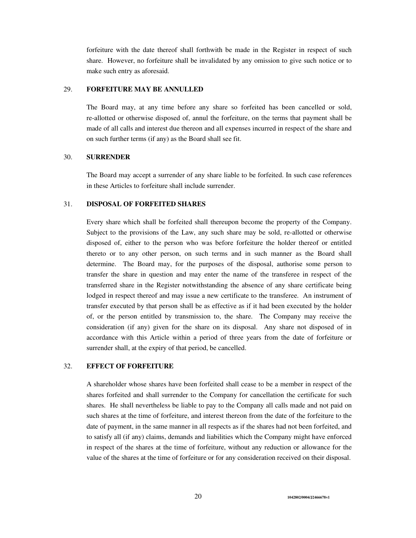forfeiture with the date thereof shall forthwith be made in the Register in respect of such share. However, no forfeiture shall be invalidated by any omission to give such notice or to make such entry as aforesaid.

# 29. **FORFEITURE MAY BE ANNULLED**

The Board may, at any time before any share so forfeited has been cancelled or sold, re-allotted or otherwise disposed of, annul the forfeiture, on the terms that payment shall be made of all calls and interest due thereon and all expenses incurred in respect of the share and on such further terms (if any) as the Board shall see fit.

## 30. **SURRENDER**

The Board may accept a surrender of any share liable to be forfeited. In such case references in these Articles to forfeiture shall include surrender.

#### 31. **DISPOSAL OF FORFEITED SHARES**

Every share which shall be forfeited shall thereupon become the property of the Company. Subject to the provisions of the Law, any such share may be sold, re-allotted or otherwise disposed of, either to the person who was before forfeiture the holder thereof or entitled thereto or to any other person, on such terms and in such manner as the Board shall determine. The Board may, for the purposes of the disposal, authorise some person to transfer the share in question and may enter the name of the transferee in respect of the transferred share in the Register notwithstanding the absence of any share certificate being lodged in respect thereof and may issue a new certificate to the transferee. An instrument of transfer executed by that person shall be as effective as if it had been executed by the holder of, or the person entitled by transmission to, the share. The Company may receive the consideration (if any) given for the share on its disposal. Any share not disposed of in accordance with this Article within a period of three years from the date of forfeiture or surrender shall, at the expiry of that period, be cancelled.

# 32. **EFFECT OF FORFEITURE**

A shareholder whose shares have been forfeited shall cease to be a member in respect of the shares forfeited and shall surrender to the Company for cancellation the certificate for such shares. He shall nevertheless be liable to pay to the Company all calls made and not paid on such shares at the time of forfeiture, and interest thereon from the date of the forfeiture to the date of payment, in the same manner in all respects as if the shares had not been forfeited, and to satisfy all (if any) claims, demands and liabilities which the Company might have enforced in respect of the shares at the time of forfeiture, without any reduction or allowance for the value of the shares at the time of forfeiture or for any consideration received on their disposal.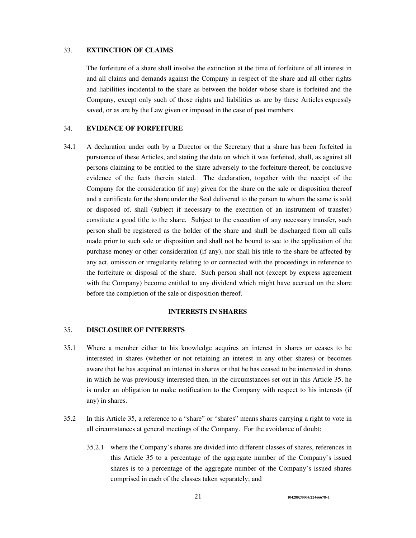## 33. **EXTINCTION OF CLAIMS**

The forfeiture of a share shall involve the extinction at the time of forfeiture of all interest in and all claims and demands against the Company in respect of the share and all other rights and liabilities incidental to the share as between the holder whose share is forfeited and the Company, except only such of those rights and liabilities as are by these Articles expressly saved, or as are by the Law given or imposed in the case of past members.

# 34. **EVIDENCE OF FORFEITURE**

34.1 A declaration under oath by a Director or the Secretary that a share has been forfeited in pursuance of these Articles, and stating the date on which it was forfeited, shall, as against all persons claiming to be entitled to the share adversely to the forfeiture thereof, be conclusive evidence of the facts therein stated. The declaration, together with the receipt of the Company for the consideration (if any) given for the share on the sale or disposition thereof and a certificate for the share under the Seal delivered to the person to whom the same is sold or disposed of, shall (subject if necessary to the execution of an instrument of transfer) constitute a good title to the share. Subject to the execution of any necessary transfer, such person shall be registered as the holder of the share and shall be discharged from all calls made prior to such sale or disposition and shall not be bound to see to the application of the purchase money or other consideration (if any), nor shall his title to the share be affected by any act, omission or irregularity relating to or connected with the proceedings in reference to the forfeiture or disposal of the share. Such person shall not (except by express agreement with the Company) become entitled to any dividend which might have accrued on the share before the completion of the sale or disposition thereof.

## **INTERESTS IN SHARES**

#### 35. **DISCLOSURE OF INTERESTS**

- 35.1 Where a member either to his knowledge acquires an interest in shares or ceases to be interested in shares (whether or not retaining an interest in any other shares) or becomes aware that he has acquired an interest in shares or that he has ceased to be interested in shares in which he was previously interested then, in the circumstances set out in this Article 35, he is under an obligation to make notification to the Company with respect to his interests (if any) in shares.
- 35.2 In this Article 35, a reference to a "share" or "shares" means shares carrying a right to vote in all circumstances at general meetings of the Company. For the avoidance of doubt:
	- 35.2.1 where the Company's shares are divided into different classes of shares, references in this Article 35 to a percentage of the aggregate number of the Company's issued shares is to a percentage of the aggregate number of the Company's issued shares comprised in each of the classes taken separately; and

21 **1042802/0004/J2466678v1**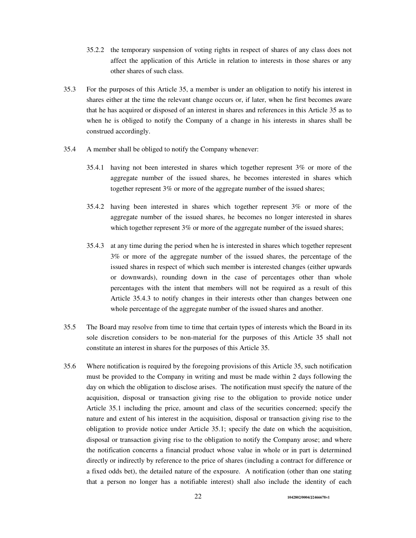- 35.2.2 the temporary suspension of voting rights in respect of shares of any class does not affect the application of this Article in relation to interests in those shares or any other shares of such class.
- 35.3 For the purposes of this Article 35, a member is under an obligation to notify his interest in shares either at the time the relevant change occurs or, if later, when he first becomes aware that he has acquired or disposed of an interest in shares and references in this Article 35 as to when he is obliged to notify the Company of a change in his interests in shares shall be construed accordingly.
- 35.4 A member shall be obliged to notify the Company whenever:
	- 35.4.1 having not been interested in shares which together represent 3% or more of the aggregate number of the issued shares, he becomes interested in shares which together represent 3% or more of the aggregate number of the issued shares;
	- 35.4.2 having been interested in shares which together represent 3% or more of the aggregate number of the issued shares, he becomes no longer interested in shares which together represent 3% or more of the aggregate number of the issued shares;
	- 35.4.3 at any time during the period when he is interested in shares which together represent 3% or more of the aggregate number of the issued shares, the percentage of the issued shares in respect of which such member is interested changes (either upwards or downwards), rounding down in the case of percentages other than whole percentages with the intent that members will not be required as a result of this Article 35.4.3 to notify changes in their interests other than changes between one whole percentage of the aggregate number of the issued shares and another.
- 35.5 The Board may resolve from time to time that certain types of interests which the Board in its sole discretion considers to be non-material for the purposes of this Article 35 shall not constitute an interest in shares for the purposes of this Article 35.
- 35.6 Where notification is required by the foregoing provisions of this Article 35, such notification must be provided to the Company in writing and must be made within 2 days following the day on which the obligation to disclose arises. The notification must specify the nature of the acquisition, disposal or transaction giving rise to the obligation to provide notice under Article 35.1 including the price, amount and class of the securities concerned; specify the nature and extent of his interest in the acquisition, disposal or transaction giving rise to the obligation to provide notice under Article 35.1; specify the date on which the acquisition, disposal or transaction giving rise to the obligation to notify the Company arose; and where the notification concerns a financial product whose value in whole or in part is determined directly or indirectly by reference to the price of shares (including a contract for difference or a fixed odds bet), the detailed nature of the exposure. A notification (other than one stating that a person no longer has a notifiable interest) shall also include the identity of each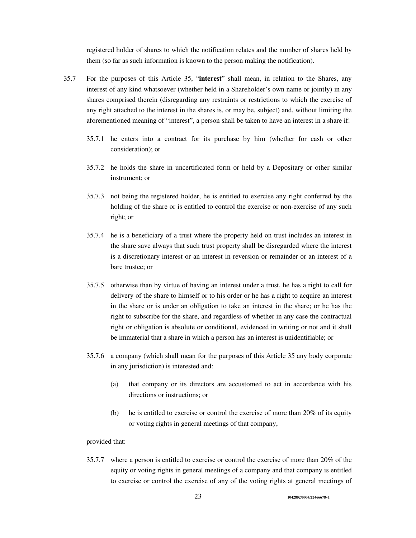registered holder of shares to which the notification relates and the number of shares held by them (so far as such information is known to the person making the notification).

- 35.7 For the purposes of this Article 35, "**interest**" shall mean, in relation to the Shares, any interest of any kind whatsoever (whether held in a Shareholder's own name or jointly) in any shares comprised therein (disregarding any restraints or restrictions to which the exercise of any right attached to the interest in the shares is, or may be, subject) and, without limiting the aforementioned meaning of "interest", a person shall be taken to have an interest in a share if:
	- 35.7.1 he enters into a contract for its purchase by him (whether for cash or other consideration); or
	- 35.7.2 he holds the share in uncertificated form or held by a Depositary or other similar instrument; or
	- 35.7.3 not being the registered holder, he is entitled to exercise any right conferred by the holding of the share or is entitled to control the exercise or non-exercise of any such right; or
	- 35.7.4 he is a beneficiary of a trust where the property held on trust includes an interest in the share save always that such trust property shall be disregarded where the interest is a discretionary interest or an interest in reversion or remainder or an interest of a bare trustee; or
	- 35.7.5 otherwise than by virtue of having an interest under a trust, he has a right to call for delivery of the share to himself or to his order or he has a right to acquire an interest in the share or is under an obligation to take an interest in the share; or he has the right to subscribe for the share, and regardless of whether in any case the contractual right or obligation is absolute or conditional, evidenced in writing or not and it shall be immaterial that a share in which a person has an interest is unidentifiable; or
	- 35.7.6 a company (which shall mean for the purposes of this Article 35 any body corporate in any jurisdiction) is interested and:
		- (a) that company or its directors are accustomed to act in accordance with his directions or instructions; or
		- (b) he is entitled to exercise or control the exercise of more than 20% of its equity or voting rights in general meetings of that company,

## provided that:

35.7.7 where a person is entitled to exercise or control the exercise of more than 20% of the equity or voting rights in general meetings of a company and that company is entitled to exercise or control the exercise of any of the voting rights at general meetings of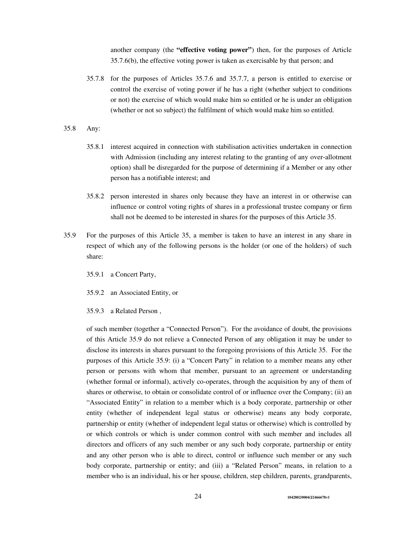another company (the **"effective voting power"**) then, for the purposes of Article 35.7.6(b), the effective voting power is taken as exercisable by that person; and

- 35.7.8 for the purposes of Articles 35.7.6 and 35.7.7, a person is entitled to exercise or control the exercise of voting power if he has a right (whether subject to conditions or not) the exercise of which would make him so entitled or he is under an obligation (whether or not so subject) the fulfilment of which would make him so entitled.
- 35.8 Any:
	- 35.8.1 interest acquired in connection with stabilisation activities undertaken in connection with Admission (including any interest relating to the granting of any over-allotment option) shall be disregarded for the purpose of determining if a Member or any other person has a notifiable interest; and
	- 35.8.2 person interested in shares only because they have an interest in or otherwise can influence or control voting rights of shares in a professional trustee company or firm shall not be deemed to be interested in shares for the purposes of this Article 35.
- 35.9 For the purposes of this Article 35, a member is taken to have an interest in any share in respect of which any of the following persons is the holder (or one of the holders) of such share:
	- 35.9.1 a Concert Party,
	- 35.9.2 an Associated Entity, or
	- 35.9.3 a Related Person ,

of such member (together a "Connected Person"). For the avoidance of doubt, the provisions of this Article 35.9 do not relieve a Connected Person of any obligation it may be under to disclose its interests in shares pursuant to the foregoing provisions of this Article 35. For the purposes of this Article 35.9: (i) a "Concert Party" in relation to a member means any other person or persons with whom that member, pursuant to an agreement or understanding (whether formal or informal), actively co-operates, through the acquisition by any of them of shares or otherwise, to obtain or consolidate control of or influence over the Company; (ii) an "Associated Entity" in relation to a member which is a body corporate, partnership or other entity (whether of independent legal status or otherwise) means any body corporate, partnership or entity (whether of independent legal status or otherwise) which is controlled by or which controls or which is under common control with such member and includes all directors and officers of any such member or any such body corporate, partnership or entity and any other person who is able to direct, control or influence such member or any such body corporate, partnership or entity; and (iii) a "Related Person" means, in relation to a member who is an individual, his or her spouse, children, step children, parents, grandparents,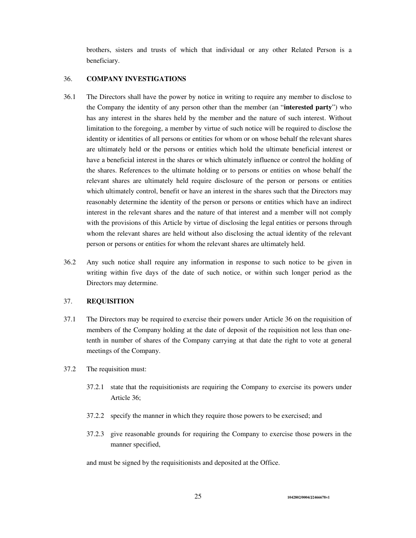brothers, sisters and trusts of which that individual or any other Related Person is a beneficiary.

# 36. **COMPANY INVESTIGATIONS**

- 36.1 The Directors shall have the power by notice in writing to require any member to disclose to the Company the identity of any person other than the member (an "**interested party**") who has any interest in the shares held by the member and the nature of such interest. Without limitation to the foregoing, a member by virtue of such notice will be required to disclose the identity or identities of all persons or entities for whom or on whose behalf the relevant shares are ultimately held or the persons or entities which hold the ultimate beneficial interest or have a beneficial interest in the shares or which ultimately influence or control the holding of the shares. References to the ultimate holding or to persons or entities on whose behalf the relevant shares are ultimately held require disclosure of the person or persons or entities which ultimately control, benefit or have an interest in the shares such that the Directors may reasonably determine the identity of the person or persons or entities which have an indirect interest in the relevant shares and the nature of that interest and a member will not comply with the provisions of this Article by virtue of disclosing the legal entities or persons through whom the relevant shares are held without also disclosing the actual identity of the relevant person or persons or entities for whom the relevant shares are ultimately held.
- 36.2 Any such notice shall require any information in response to such notice to be given in writing within five days of the date of such notice, or within such longer period as the Directors may determine.

### 37. **REQUISITION**

- 37.1 The Directors may be required to exercise their powers under Article 36 on the requisition of members of the Company holding at the date of deposit of the requisition not less than onetenth in number of shares of the Company carrying at that date the right to vote at general meetings of the Company.
- 37.2 The requisition must:
	- 37.2.1 state that the requisitionists are requiring the Company to exercise its powers under Article 36;
	- 37.2.2 specify the manner in which they require those powers to be exercised; and
	- 37.2.3 give reasonable grounds for requiring the Company to exercise those powers in the manner specified,

and must be signed by the requisitionists and deposited at the Office.

25 **1042802/0004/J2466678v1**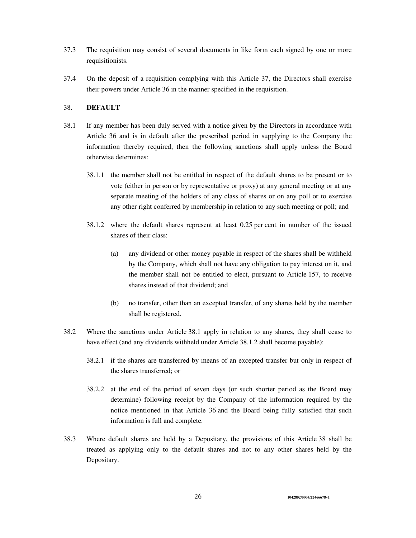- 37.3 The requisition may consist of several documents in like form each signed by one or more requisitionists.
- 37.4 On the deposit of a requisition complying with this Article 37, the Directors shall exercise their powers under Article 36 in the manner specified in the requisition.

## 38. **DEFAULT**

- 38.1 If any member has been duly served with a notice given by the Directors in accordance with Article 36 and is in default after the prescribed period in supplying to the Company the information thereby required, then the following sanctions shall apply unless the Board otherwise determines:
	- 38.1.1 the member shall not be entitled in respect of the default shares to be present or to vote (either in person or by representative or proxy) at any general meeting or at any separate meeting of the holders of any class of shares or on any poll or to exercise any other right conferred by membership in relation to any such meeting or poll; and
	- 38.1.2 where the default shares represent at least 0.25 per cent in number of the issued shares of their class:
		- (a) any dividend or other money payable in respect of the shares shall be withheld by the Company, which shall not have any obligation to pay interest on it, and the member shall not be entitled to elect, pursuant to Article 157, to receive shares instead of that dividend; and
		- (b) no transfer, other than an excepted transfer, of any shares held by the member shall be registered.
- 38.2 Where the sanctions under Article 38.1 apply in relation to any shares, they shall cease to have effect (and any dividends withheld under Article 38.1.2 shall become payable):
	- 38.2.1 if the shares are transferred by means of an excepted transfer but only in respect of the shares transferred; or
	- 38.2.2 at the end of the period of seven days (or such shorter period as the Board may determine) following receipt by the Company of the information required by the notice mentioned in that Article 36 and the Board being fully satisfied that such information is full and complete.
- 38.3 Where default shares are held by a Depositary, the provisions of this Article 38 shall be treated as applying only to the default shares and not to any other shares held by the Depositary.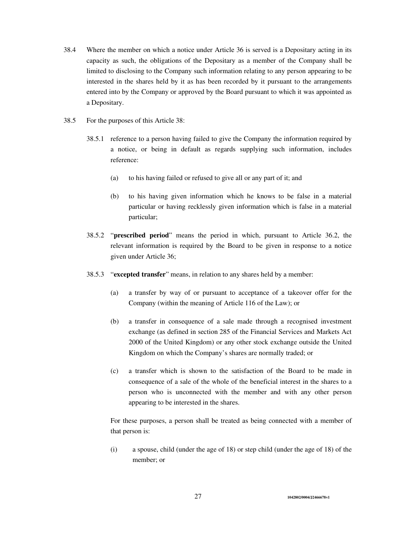- 38.4 Where the member on which a notice under Article 36 is served is a Depositary acting in its capacity as such, the obligations of the Depositary as a member of the Company shall be limited to disclosing to the Company such information relating to any person appearing to be interested in the shares held by it as has been recorded by it pursuant to the arrangements entered into by the Company or approved by the Board pursuant to which it was appointed as a Depositary.
- 38.5 For the purposes of this Article 38:
	- 38.5.1 reference to a person having failed to give the Company the information required by a notice, or being in default as regards supplying such information, includes reference:
		- (a) to his having failed or refused to give all or any part of it; and
		- (b) to his having given information which he knows to be false in a material particular or having recklessly given information which is false in a material particular;
	- 38.5.2 "**prescribed period**" means the period in which, pursuant to Article 36.2, the relevant information is required by the Board to be given in response to a notice given under Article 36;
	- 38.5.3 "**excepted transfer**" means, in relation to any shares held by a member:
		- (a) a transfer by way of or pursuant to acceptance of a takeover offer for the Company (within the meaning of Article 116 of the Law); or
		- (b) a transfer in consequence of a sale made through a recognised investment exchange (as defined in section 285 of the Financial Services and Markets Act 2000 of the United Kingdom) or any other stock exchange outside the United Kingdom on which the Company's shares are normally traded; or
		- (c) a transfer which is shown to the satisfaction of the Board to be made in consequence of a sale of the whole of the beneficial interest in the shares to a person who is unconnected with the member and with any other person appearing to be interested in the shares.

For these purposes, a person shall be treated as being connected with a member of that person is:

(i) a spouse, child (under the age of 18) or step child (under the age of 18) of the member; or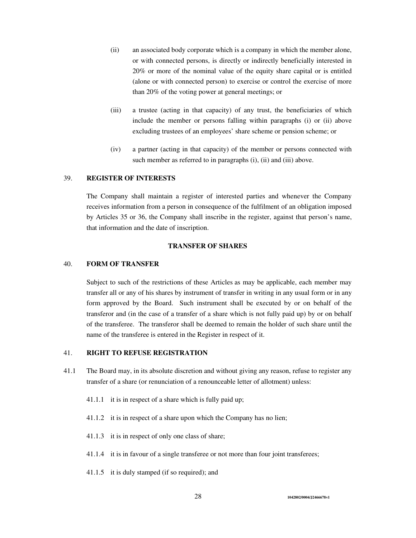- (ii) an associated body corporate which is a company in which the member alone, or with connected persons, is directly or indirectly beneficially interested in 20% or more of the nominal value of the equity share capital or is entitled (alone or with connected person) to exercise or control the exercise of more than 20% of the voting power at general meetings; or
- (iii) a trustee (acting in that capacity) of any trust, the beneficiaries of which include the member or persons falling within paragraphs (i) or (ii) above excluding trustees of an employees' share scheme or pension scheme; or
- (iv) a partner (acting in that capacity) of the member or persons connected with such member as referred to in paragraphs (i), (ii) and (iii) above.

### 39. **REGISTER OF INTERESTS**

The Company shall maintain a register of interested parties and whenever the Company receives information from a person in consequence of the fulfilment of an obligation imposed by Articles 35 or 36, the Company shall inscribe in the register, against that person's name, that information and the date of inscription.

### **TRANSFER OF SHARES**

#### 40. **FORM OF TRANSFER**

Subject to such of the restrictions of these Articles as may be applicable, each member may transfer all or any of his shares by instrument of transfer in writing in any usual form or in any form approved by the Board. Such instrument shall be executed by or on behalf of the transferor and (in the case of a transfer of a share which is not fully paid up) by or on behalf of the transferee. The transferor shall be deemed to remain the holder of such share until the name of the transferee is entered in the Register in respect of it.

### 41. **RIGHT TO REFUSE REGISTRATION**

- 41.1 The Board may, in its absolute discretion and without giving any reason, refuse to register any transfer of a share (or renunciation of a renounceable letter of allotment) unless:
	- 41.1.1 it is in respect of a share which is fully paid up;
	- 41.1.2 it is in respect of a share upon which the Company has no lien;
	- 41.1.3 it is in respect of only one class of share;
	- 41.1.4 it is in favour of a single transferee or not more than four joint transferees;
	- 41.1.5 it is duly stamped (if so required); and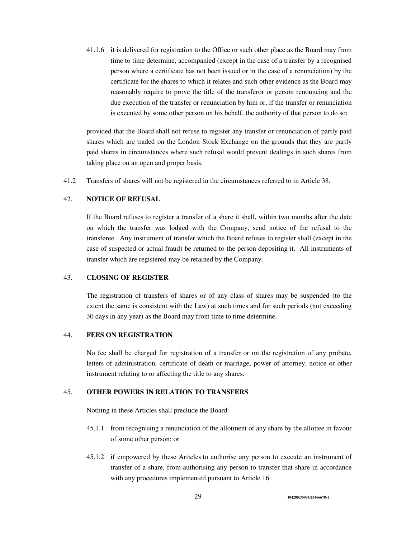41.1.6 it is delivered for registration to the Office or such other place as the Board may from time to time determine, accompanied (except in the case of a transfer by a recognised person where a certificate has not been issued or in the case of a renunciation) by the certificate for the shares to which it relates and such other evidence as the Board may reasonably require to prove the title of the transferor or person renouncing and the due execution of the transfer or renunciation by him or, if the transfer or renunciation is executed by some other person on his behalf, the authority of that person to do so;

provided that the Board shall not refuse to register any transfer or renunciation of partly paid shares which are traded on the London Stock Exchange on the grounds that they are partly paid shares in circumstances where such refusal would prevent dealings in such shares from taking place on an open and proper basis.

41.2 Transfers of shares will not be registered in the circumstances referred to in Article 38.

### 42. **NOTICE OF REFUSAL**

If the Board refuses to register a transfer of a share it shall, within two months after the date on which the transfer was lodged with the Company, send notice of the refusal to the transferee. Any instrument of transfer which the Board refuses to register shall (except in the case of suspected or actual fraud) be returned to the person depositing it. All instruments of transfer which are registered may be retained by the Company.

# 43. **CLOSING OF REGISTER**

The registration of transfers of shares or of any class of shares may be suspended (to the extent the same is consistent with the Law) at such times and for such periods (not exceeding 30 days in any year) as the Board may from time to time determine.

### 44. **FEES ON REGISTRATION**

No fee shall be charged for registration of a transfer or on the registration of any probate, letters of administration, certificate of death or marriage, power of attorney, notice or other instrument relating to or affecting the title to any shares.

# 45. **OTHER POWERS IN RELATION TO TRANSFERS**

Nothing in these Articles shall preclude the Board:

- 45.1.1 from recognising a renunciation of the allotment of any share by the allottee in favour of some other person; or
- 45.1.2 if empowered by these Articles to authorise any person to execute an instrument of transfer of a share, from authorising any person to transfer that share in accordance with any procedures implemented pursuant to Article 16.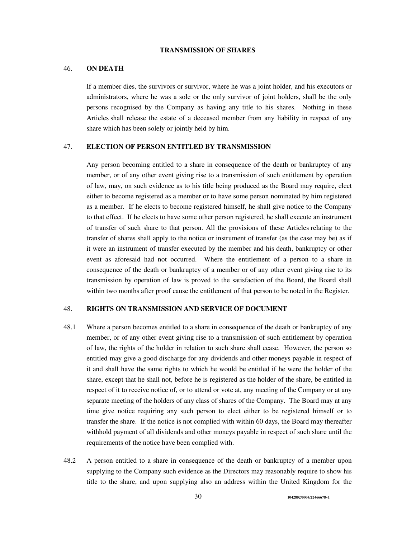### **TRANSMISSION OF SHARES**

### 46. **ON DEATH**

If a member dies, the survivors or survivor, where he was a joint holder, and his executors or administrators, where he was a sole or the only survivor of joint holders, shall be the only persons recognised by the Company as having any title to his shares. Nothing in these Articles shall release the estate of a deceased member from any liability in respect of any share which has been solely or jointly held by him.

## 47. **ELECTION OF PERSON ENTITLED BY TRANSMISSION**

Any person becoming entitled to a share in consequence of the death or bankruptcy of any member, or of any other event giving rise to a transmission of such entitlement by operation of law, may, on such evidence as to his title being produced as the Board may require, elect either to become registered as a member or to have some person nominated by him registered as a member. If he elects to become registered himself, he shall give notice to the Company to that effect. If he elects to have some other person registered, he shall execute an instrument of transfer of such share to that person. All the provisions of these Articles relating to the transfer of shares shall apply to the notice or instrument of transfer (as the case may be) as if it were an instrument of transfer executed by the member and his death, bankruptcy or other event as aforesaid had not occurred. Where the entitlement of a person to a share in consequence of the death or bankruptcy of a member or of any other event giving rise to its transmission by operation of law is proved to the satisfaction of the Board, the Board shall within two months after proof cause the entitlement of that person to be noted in the Register.

### 48. **RIGHTS ON TRANSMISSION AND SERVICE OF DOCUMENT**

- 48.1 Where a person becomes entitled to a share in consequence of the death or bankruptcy of any member, or of any other event giving rise to a transmission of such entitlement by operation of law, the rights of the holder in relation to such share shall cease. However, the person so entitled may give a good discharge for any dividends and other moneys payable in respect of it and shall have the same rights to which he would be entitled if he were the holder of the share, except that he shall not, before he is registered as the holder of the share, be entitled in respect of it to receive notice of, or to attend or vote at, any meeting of the Company or at any separate meeting of the holders of any class of shares of the Company. The Board may at any time give notice requiring any such person to elect either to be registered himself or to transfer the share. If the notice is not complied with within 60 days, the Board may thereafter withhold payment of all dividends and other moneys payable in respect of such share until the requirements of the notice have been complied with.
- 48.2 A person entitled to a share in consequence of the death or bankruptcy of a member upon supplying to the Company such evidence as the Directors may reasonably require to show his title to the share, and upon supplying also an address within the United Kingdom for the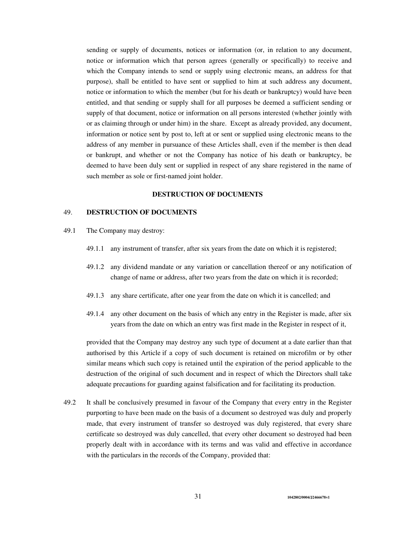sending or supply of documents, notices or information (or, in relation to any document, notice or information which that person agrees (generally or specifically) to receive and which the Company intends to send or supply using electronic means, an address for that purpose), shall be entitled to have sent or supplied to him at such address any document, notice or information to which the member (but for his death or bankruptcy) would have been entitled, and that sending or supply shall for all purposes be deemed a sufficient sending or supply of that document, notice or information on all persons interested (whether jointly with or as claiming through or under him) in the share. Except as already provided, any document, information or notice sent by post to, left at or sent or supplied using electronic means to the address of any member in pursuance of these Articles shall, even if the member is then dead or bankrupt, and whether or not the Company has notice of his death or bankruptcy, be deemed to have been duly sent or supplied in respect of any share registered in the name of such member as sole or first-named joint holder.

## **DESTRUCTION OF DOCUMENTS**

## 49. **DESTRUCTION OF DOCUMENTS**

- 49.1 The Company may destroy:
	- 49.1.1 any instrument of transfer, after six years from the date on which it is registered;
	- 49.1.2 any dividend mandate or any variation or cancellation thereof or any notification of change of name or address, after two years from the date on which it is recorded;
	- 49.1.3 any share certificate, after one year from the date on which it is cancelled; and
	- 49.1.4 any other document on the basis of which any entry in the Register is made, after six years from the date on which an entry was first made in the Register in respect of it,

provided that the Company may destroy any such type of document at a date earlier than that authorised by this Article if a copy of such document is retained on microfilm or by other similar means which such copy is retained until the expiration of the period applicable to the destruction of the original of such document and in respect of which the Directors shall take adequate precautions for guarding against falsification and for facilitating its production.

49.2 It shall be conclusively presumed in favour of the Company that every entry in the Register purporting to have been made on the basis of a document so destroyed was duly and properly made, that every instrument of transfer so destroyed was duly registered, that every share certificate so destroyed was duly cancelled, that every other document so destroyed had been properly dealt with in accordance with its terms and was valid and effective in accordance with the particulars in the records of the Company, provided that: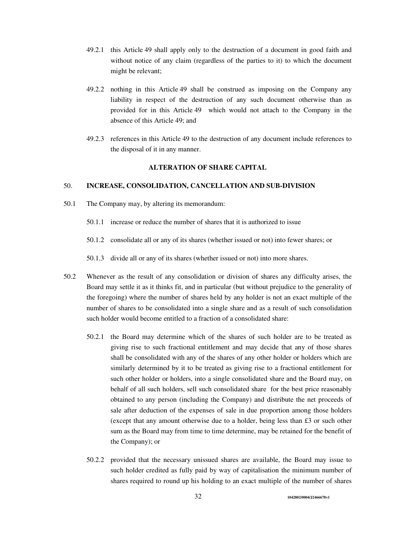- 49.2.1 this Article 49 shall apply only to the destruction of a document in good faith and without notice of any claim (regardless of the parties to it) to which the document might be relevant;
- 49.2.2 nothing in this Article 49 shall be construed as imposing on the Company any liability in respect of the destruction of any such document otherwise than as provided for in this Article 49 which would not attach to the Company in the absence of this Article 49; and
- 49.2.3 references in this Article 49 to the destruction of any document include references to the disposal of it in any manner.

# **ALTERATION OF SHARE CAPITAL**

### 50. **INCREASE, CONSOLIDATION, CANCELLATION AND SUB-DIVISION**

- 50.1 The Company may, by altering its memorandum:
	- 50.1.1 increase or reduce the number of shares that it is authorized to issue
	- 50.1.2 consolidate all or any of its shares (whether issued or not) into fewer shares; or

50.1.3 divide all or any of its shares (whether issued or not) into more shares.

- 50.2 Whenever as the result of any consolidation or division of shares any difficulty arises, the Board may settle it as it thinks fit, and in particular (but without prejudice to the generality of the foregoing) where the number of shares held by any holder is not an exact multiple of the number of shares to be consolidated into a single share and as a result of such consolidation such holder would become entitled to a fraction of a consolidated share:
	- 50.2.1 the Board may determine which of the shares of such holder are to be treated as giving rise to such fractional entitlement and may decide that any of those shares shall be consolidated with any of the shares of any other holder or holders which are similarly determined by it to be treated as giving rise to a fractional entitlement for such other holder or holders, into a single consolidated share and the Board may, on behalf of all such holders, sell such consolidated share for the best price reasonably obtained to any person (including the Company) and distribute the net proceeds of sale after deduction of the expenses of sale in due proportion among those holders (except that any amount otherwise due to a holder, being less than £3 or such other sum as the Board may from time to time determine, may be retained for the benefit of the Company); or
	- 50.2.2 provided that the necessary unissued shares are available, the Board may issue to such holder credited as fully paid by way of capitalisation the minimum number of shares required to round up his holding to an exact multiple of the number of shares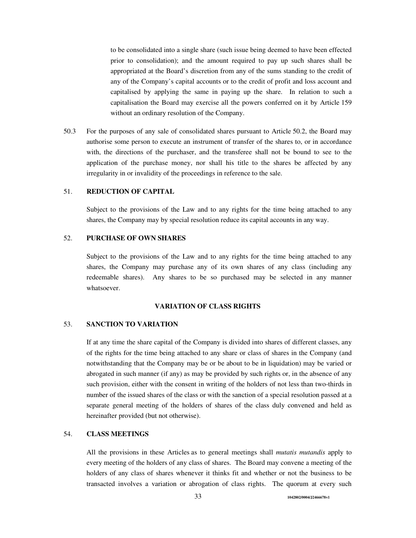to be consolidated into a single share (such issue being deemed to have been effected prior to consolidation); and the amount required to pay up such shares shall be appropriated at the Board's discretion from any of the sums standing to the credit of any of the Company's capital accounts or to the credit of profit and loss account and capitalised by applying the same in paying up the share. In relation to such a capitalisation the Board may exercise all the powers conferred on it by Article 159 without an ordinary resolution of the Company.

50.3 For the purposes of any sale of consolidated shares pursuant to Article 50.2, the Board may authorise some person to execute an instrument of transfer of the shares to, or in accordance with, the directions of the purchaser, and the transferee shall not be bound to see to the application of the purchase money, nor shall his title to the shares be affected by any irregularity in or invalidity of the proceedings in reference to the sale.

# 51. **REDUCTION OF CAPITAL**

Subject to the provisions of the Law and to any rights for the time being attached to any shares, the Company may by special resolution reduce its capital accounts in any way.

### 52. **PURCHASE OF OWN SHARES**

Subject to the provisions of the Law and to any rights for the time being attached to any shares, the Company may purchase any of its own shares of any class (including any redeemable shares). Any shares to be so purchased may be selected in any manner whatsoever.

#### **VARIATION OF CLASS RIGHTS**

### 53. **SANCTION TO VARIATION**

If at any time the share capital of the Company is divided into shares of different classes, any of the rights for the time being attached to any share or class of shares in the Company (and notwithstanding that the Company may be or be about to be in liquidation) may be varied or abrogated in such manner (if any) as may be provided by such rights or, in the absence of any such provision, either with the consent in writing of the holders of not less than two-thirds in number of the issued shares of the class or with the sanction of a special resolution passed at a separate general meeting of the holders of shares of the class duly convened and held as hereinafter provided (but not otherwise).

## 54. **CLASS MEETINGS**

All the provisions in these Articles as to general meetings shall *mutatis mutandis* apply to every meeting of the holders of any class of shares. The Board may convene a meeting of the holders of any class of shares whenever it thinks fit and whether or not the business to be transacted involves a variation or abrogation of class rights. The quorum at every such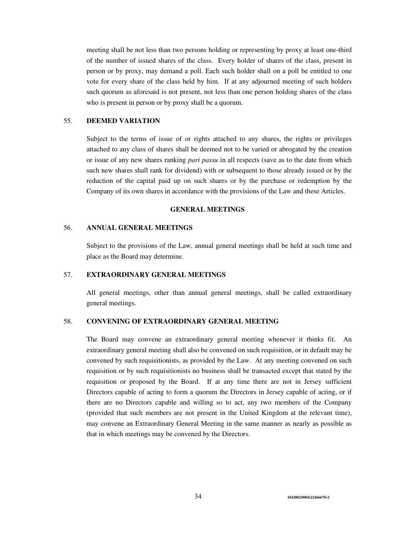meeting shall be not less than two persons holding or representing by proxy at least one-third of the number of issued shares of the class. Every holder of shares of the class, present in person or by proxy, may demand a poll. Each such holder shall on a poll be entitled to one vote for every share of the class held by him. If at any adjourned meeting of such holders such quorum as aforesaid is not present, not less than one person holding shares of the class who is present in person or by proxy shall be a quorum.

### 55. **DEEMED VARIATION**

Subject to the terms of issue of or rights attached to any shares, the rights or privileges attached to any class of shares shall be deemed not to be varied or abrogated by the creation or issue of any new shares ranking *pari passu* in all respects (save as to the date from which such new shares shall rank for dividend) with or subsequent to those already issued or by the reduction of the capital paid up on such shares or by the purchase or redemption by the Company of its own shares in accordance with the provisions of the Law and these Articles.

### **GENERAL MEETINGS**

### 56. **ANNUAL GENERAL MEETINGS**

Subject to the provisions of the Law, annual general meetings shall be held at such time and place as the Board may determine.

## 57. **EXTRAORDINARY GENERAL MEETINGS**

All general meetings, other than annual general meetings, shall be called extraordinary general meetings.

## 58. **CONVENING OF EXTRAORDINARY GENERAL MEETING**

The Board may convene an extraordinary general meeting whenever it thinks fit. An extraordinary general meeting shall also be convened on such requisition, or in default may be convened by such requisitionists, as provided by the Law. At any meeting convened on such requisition or by such requisitionists no business shall be transacted except that stated by the requisition or proposed by the Board. If at any time there are not in Jersey sufficient Directors capable of acting to form a quorum the Directors in Jersey capable of acting, or if there are no Directors capable and willing so to act, any two members of the Company (provided that such members are not present in the United Kingdom at the relevant time), may convene an Extraordinary General Meeting in the same manner as nearly as possible as that in which meetings may be convened by the Directors.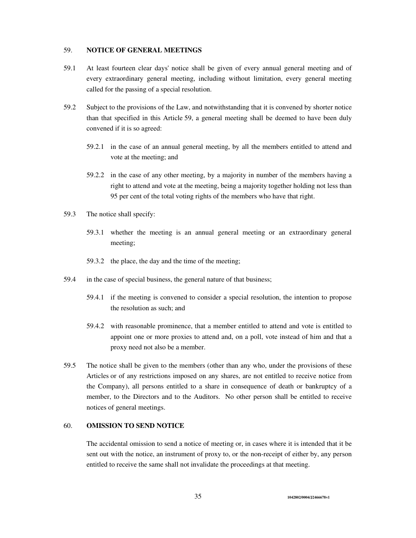### 59. **NOTICE OF GENERAL MEETINGS**

- 59.1 At least fourteen clear days' notice shall be given of every annual general meeting and of every extraordinary general meeting, including without limitation, every general meeting called for the passing of a special resolution.
- 59.2 Subject to the provisions of the Law, and notwithstanding that it is convened by shorter notice than that specified in this Article 59, a general meeting shall be deemed to have been duly convened if it is so agreed:
	- 59.2.1 in the case of an annual general meeting, by all the members entitled to attend and vote at the meeting; and
	- 59.2.2 in the case of any other meeting, by a majority in number of the members having a right to attend and vote at the meeting, being a majority together holding not less than 95 per cent of the total voting rights of the members who have that right.
- 59.3 The notice shall specify:
	- 59.3.1 whether the meeting is an annual general meeting or an extraordinary general meeting;
	- 59.3.2 the place, the day and the time of the meeting;
- 59.4 in the case of special business, the general nature of that business;
	- 59.4.1 if the meeting is convened to consider a special resolution, the intention to propose the resolution as such; and
	- 59.4.2 with reasonable prominence, that a member entitled to attend and vote is entitled to appoint one or more proxies to attend and, on a poll, vote instead of him and that a proxy need not also be a member.
- 59.5 The notice shall be given to the members (other than any who, under the provisions of these Articles or of any restrictions imposed on any shares, are not entitled to receive notice from the Company), all persons entitled to a share in consequence of death or bankruptcy of a member, to the Directors and to the Auditors. No other person shall be entitled to receive notices of general meetings.

# 60. **OMISSION TO SEND NOTICE**

The accidental omission to send a notice of meeting or, in cases where it is intended that it be sent out with the notice, an instrument of proxy to, or the non-receipt of either by, any person entitled to receive the same shall not invalidate the proceedings at that meeting.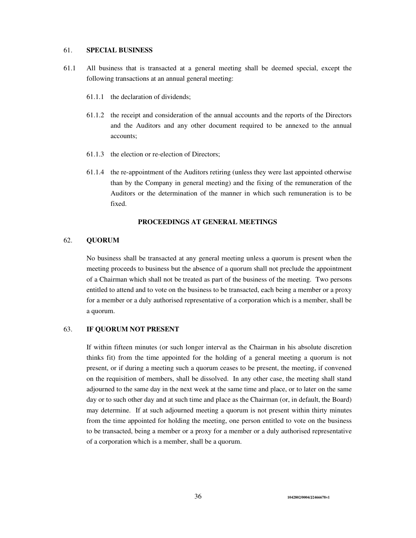### 61. **SPECIAL BUSINESS**

- 61.1 All business that is transacted at a general meeting shall be deemed special, except the following transactions at an annual general meeting:
	- 61.1.1 the declaration of dividends;
	- 61.1.2 the receipt and consideration of the annual accounts and the reports of the Directors and the Auditors and any other document required to be annexed to the annual accounts;
	- 61.1.3 the election or re-election of Directors;
	- 61.1.4 the re-appointment of the Auditors retiring (unless they were last appointed otherwise than by the Company in general meeting) and the fixing of the remuneration of the Auditors or the determination of the manner in which such remuneration is to be fixed.

### **PROCEEDINGS AT GENERAL MEETINGS**

### 62. **QUORUM**

No business shall be transacted at any general meeting unless a quorum is present when the meeting proceeds to business but the absence of a quorum shall not preclude the appointment of a Chairman which shall not be treated as part of the business of the meeting. Two persons entitled to attend and to vote on the business to be transacted, each being a member or a proxy for a member or a duly authorised representative of a corporation which is a member, shall be a quorum.

### 63. **IF QUORUM NOT PRESENT**

If within fifteen minutes (or such longer interval as the Chairman in his absolute discretion thinks fit) from the time appointed for the holding of a general meeting a quorum is not present, or if during a meeting such a quorum ceases to be present, the meeting, if convened on the requisition of members, shall be dissolved. In any other case, the meeting shall stand adjourned to the same day in the next week at the same time and place, or to later on the same day or to such other day and at such time and place as the Chairman (or, in default, the Board) may determine. If at such adjourned meeting a quorum is not present within thirty minutes from the time appointed for holding the meeting, one person entitled to vote on the business to be transacted, being a member or a proxy for a member or a duly authorised representative of a corporation which is a member, shall be a quorum.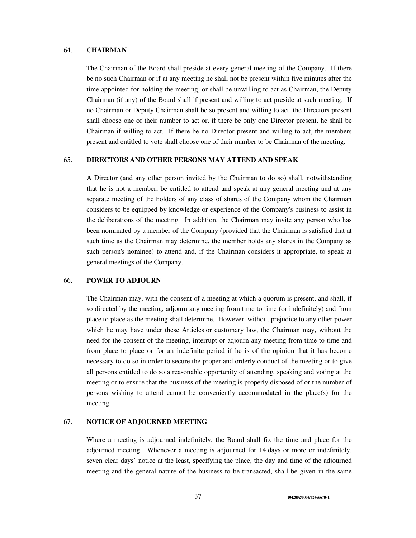#### 64. **CHAIRMAN**

The Chairman of the Board shall preside at every general meeting of the Company. If there be no such Chairman or if at any meeting he shall not be present within five minutes after the time appointed for holding the meeting, or shall be unwilling to act as Chairman, the Deputy Chairman (if any) of the Board shall if present and willing to act preside at such meeting. If no Chairman or Deputy Chairman shall be so present and willing to act, the Directors present shall choose one of their number to act or, if there be only one Director present, he shall be Chairman if willing to act. If there be no Director present and willing to act, the members present and entitled to vote shall choose one of their number to be Chairman of the meeting.

### 65. **DIRECTORS AND OTHER PERSONS MAY ATTEND AND SPEAK**

A Director (and any other person invited by the Chairman to do so) shall, notwithstanding that he is not a member, be entitled to attend and speak at any general meeting and at any separate meeting of the holders of any class of shares of the Company whom the Chairman considers to be equipped by knowledge or experience of the Company's business to assist in the deliberations of the meeting. In addition, the Chairman may invite any person who has been nominated by a member of the Company (provided that the Chairman is satisfied that at such time as the Chairman may determine, the member holds any shares in the Company as such person's nominee) to attend and, if the Chairman considers it appropriate, to speak at general meetings of the Company.

# 66. **POWER TO ADJOURN**

The Chairman may, with the consent of a meeting at which a quorum is present, and shall, if so directed by the meeting, adjourn any meeting from time to time (or indefinitely) and from place to place as the meeting shall determine. However, without prejudice to any other power which he may have under these Articles or customary law, the Chairman may, without the need for the consent of the meeting, interrupt or adjourn any meeting from time to time and from place to place or for an indefinite period if he is of the opinion that it has become necessary to do so in order to secure the proper and orderly conduct of the meeting or to give all persons entitled to do so a reasonable opportunity of attending, speaking and voting at the meeting or to ensure that the business of the meeting is properly disposed of or the number of persons wishing to attend cannot be conveniently accommodated in the place(s) for the meeting.

### 67. **NOTICE OF ADJOURNED MEETING**

Where a meeting is adjourned indefinitely, the Board shall fix the time and place for the adjourned meeting. Whenever a meeting is adjourned for 14 days or more or indefinitely, seven clear days' notice at the least, specifying the place, the day and time of the adjourned meeting and the general nature of the business to be transacted, shall be given in the same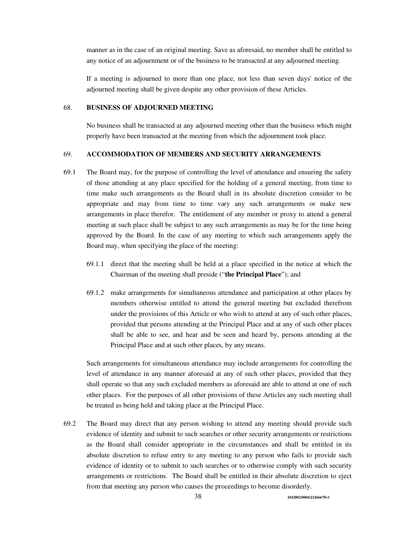manner as in the case of an original meeting. Save as aforesaid, no member shall be entitled to any notice of an adjournment or of the business to be transacted at any adjourned meeting.

If a meeting is adjourned to more than one place, not less than seven days' notice of the adjourned meeting shall be given despite any other provision of these Articles.

#### 68. **BUSINESS OF ADJOURNED MEETING**

No business shall be transacted at any adjourned meeting other than the business which might properly have been transacted at the meeting from which the adjournment took place.

## 69. **ACCOMMODATION OF MEMBERS AND SECURITY ARRANGEMENTS**

- 69.1 The Board may, for the purpose of controlling the level of attendance and ensuring the safety of those attending at any place specified for the holding of a general meeting, from time to time make such arrangements as the Board shall in its absolute discretion consider to be appropriate and may from time to time vary any such arrangements or make new arrangements in place therefor. The entitlement of any member or proxy to attend a general meeting at such place shall be subject to any such arrangements as may be for the time being approved by the Board. In the case of any meeting to which such arrangements apply the Board may, when specifying the place of the meeting:
	- 69.1.1 direct that the meeting shall be held at a place specified in the notice at which the Chairman of the meeting shall preside ("**the Principal Place**"); and
	- 69.1.2 make arrangements for simultaneous attendance and participation at other places by members otherwise entitled to attend the general meeting but excluded therefrom under the provisions of this Article or who wish to attend at any of such other places, provided that persons attending at the Principal Place and at any of such other places shall be able to see, and hear and be seen and heard by, persons attending at the Principal Place and at such other places, by any means.

Such arrangements for simultaneous attendance may include arrangements for controlling the level of attendance in any manner aforesaid at any of such other places, provided that they shall operate so that any such excluded members as aforesaid are able to attend at one of such other places. For the purposes of all other provisions of these Articles any such meeting shall be treated as being held and taking place at the Principal Place.

69.2 The Board may direct that any person wishing to attend any meeting should provide such evidence of identity and submit to such searches or other security arrangements or restrictions as the Board shall consider appropriate in the circumstances and shall be entitled in its absolute discretion to refuse entry to any meeting to any person who fails to provide such evidence of identity or to submit to such searches or to otherwise comply with such security arrangements or restrictions. The Board shall be entitled in their absolute discretion to eject from that meeting any person who causes the proceedings to become disorderly.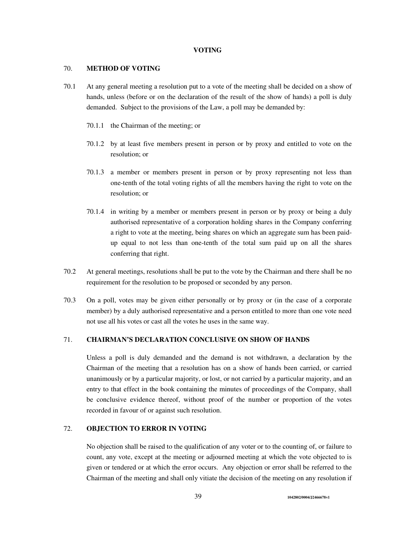### **VOTING**

#### 70. **METHOD OF VOTING**

- 70.1 At any general meeting a resolution put to a vote of the meeting shall be decided on a show of hands, unless (before or on the declaration of the result of the show of hands) a poll is duly demanded. Subject to the provisions of the Law, a poll may be demanded by:
	- 70.1.1 the Chairman of the meeting; or
	- 70.1.2 by at least five members present in person or by proxy and entitled to vote on the resolution; or
	- 70.1.3 a member or members present in person or by proxy representing not less than one-tenth of the total voting rights of all the members having the right to vote on the resolution; or
	- 70.1.4 in writing by a member or members present in person or by proxy or being a duly authorised representative of a corporation holding shares in the Company conferring a right to vote at the meeting, being shares on which an aggregate sum has been paidup equal to not less than one-tenth of the total sum paid up on all the shares conferring that right.
- 70.2 At general meetings, resolutions shall be put to the vote by the Chairman and there shall be no requirement for the resolution to be proposed or seconded by any person.
- 70.3 On a poll, votes may be given either personally or by proxy or (in the case of a corporate member) by a duly authorised representative and a person entitled to more than one vote need not use all his votes or cast all the votes he uses in the same way.

### 71. **CHAIRMAN'S DECLARATION CONCLUSIVE ON SHOW OF HANDS**

Unless a poll is duly demanded and the demand is not withdrawn, a declaration by the Chairman of the meeting that a resolution has on a show of hands been carried, or carried unanimously or by a particular majority, or lost, or not carried by a particular majority, and an entry to that effect in the book containing the minutes of proceedings of the Company, shall be conclusive evidence thereof, without proof of the number or proportion of the votes recorded in favour of or against such resolution.

### 72. **OBJECTION TO ERROR IN VOTING**

No objection shall be raised to the qualification of any voter or to the counting of, or failure to count, any vote, except at the meeting or adjourned meeting at which the vote objected to is given or tendered or at which the error occurs. Any objection or error shall be referred to the Chairman of the meeting and shall only vitiate the decision of the meeting on any resolution if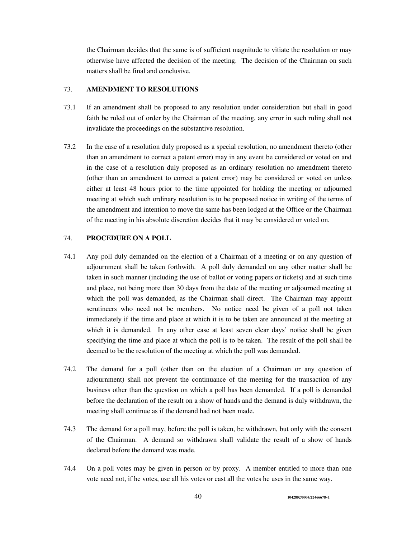the Chairman decides that the same is of sufficient magnitude to vitiate the resolution or may otherwise have affected the decision of the meeting. The decision of the Chairman on such matters shall be final and conclusive.

## 73. **AMENDMENT TO RESOLUTIONS**

- 73.1 If an amendment shall be proposed to any resolution under consideration but shall in good faith be ruled out of order by the Chairman of the meeting, any error in such ruling shall not invalidate the proceedings on the substantive resolution.
- 73.2 In the case of a resolution duly proposed as a special resolution, no amendment thereto (other than an amendment to correct a patent error) may in any event be considered or voted on and in the case of a resolution duly proposed as an ordinary resolution no amendment thereto (other than an amendment to correct a patent error) may be considered or voted on unless either at least 48 hours prior to the time appointed for holding the meeting or adjourned meeting at which such ordinary resolution is to be proposed notice in writing of the terms of the amendment and intention to move the same has been lodged at the Office or the Chairman of the meeting in his absolute discretion decides that it may be considered or voted on.

### 74. **PROCEDURE ON A POLL**

- 74.1 Any poll duly demanded on the election of a Chairman of a meeting or on any question of adjournment shall be taken forthwith. A poll duly demanded on any other matter shall be taken in such manner (including the use of ballot or voting papers or tickets) and at such time and place, not being more than 30 days from the date of the meeting or adjourned meeting at which the poll was demanded, as the Chairman shall direct. The Chairman may appoint scrutineers who need not be members. No notice need be given of a poll not taken immediately if the time and place at which it is to be taken are announced at the meeting at which it is demanded. In any other case at least seven clear days' notice shall be given specifying the time and place at which the poll is to be taken. The result of the poll shall be deemed to be the resolution of the meeting at which the poll was demanded.
- 74.2 The demand for a poll (other than on the election of a Chairman or any question of adjournment) shall not prevent the continuance of the meeting for the transaction of any business other than the question on which a poll has been demanded. If a poll is demanded before the declaration of the result on a show of hands and the demand is duly withdrawn, the meeting shall continue as if the demand had not been made.
- 74.3 The demand for a poll may, before the poll is taken, be withdrawn, but only with the consent of the Chairman. A demand so withdrawn shall validate the result of a show of hands declared before the demand was made.
- 74.4 On a poll votes may be given in person or by proxy. A member entitled to more than one vote need not, if he votes, use all his votes or cast all the votes he uses in the same way.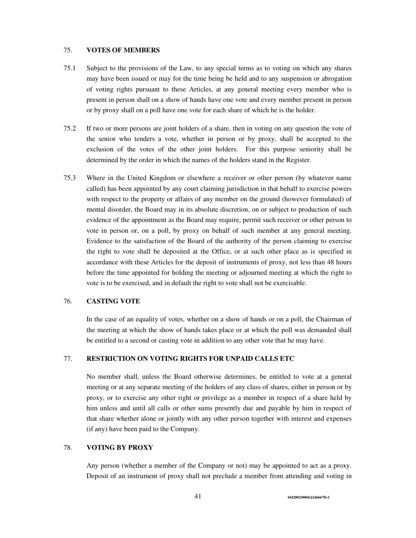### 75. **VOTES OF MEMBERS**

- 75.1 Subject to the provisions of the Law, to any special terms as to voting on which any shares may have been issued or may for the time being be held and to any suspension or abrogation of voting rights pursuant to these Articles, at any general meeting every member who is present in person shall on a show of hands have one vote and every member present in person or by proxy shall on a poll have one vote for each share of which he is the holder.
- 75.2 If two or more persons are joint holders of a share, then in voting on any question the vote of the senior who tenders a vote, whether in person or by proxy, shall be accepted to the exclusion of the votes of the other joint holders. For this purpose seniority shall be determined by the order in which the names of the holders stand in the Register.
- 75.3 Where in the United Kingdom or elsewhere a receiver or other person (by whatever name called) has been appointed by any court claiming jurisdiction in that behalf to exercise powers with respect to the property or affairs of any member on the ground (however formulated) of mental disorder, the Board may in its absolute discretion, on or subject to production of such evidence of the appointment as the Board may require, permit such receiver or other person to vote in person or, on a poll, by proxy on behalf of such member at any general meeting. Evidence to the satisfaction of the Board of the authority of the person claiming to exercise the right to vote shall be deposited at the Office, or at such other place as is specified in accordance with these Articles for the deposit of instruments of proxy, not less than 48 hours before the time appointed for holding the meeting or adjourned meeting at which the right to vote is to be exercised, and in default the right to vote shall not be exercisable.

### 76. **CASTING VOTE**

In the case of an equality of votes, whether on a show of hands or on a poll, the Chairman of the meeting at which the show of hands takes place or at which the poll was demanded shall be entitled to a second or casting vote in addition to any other vote that he may have.

# 77. **RESTRICTION ON VOTING RIGHTS FOR UNPAID CALLS ETC**

No member shall, unless the Board otherwise determines, be entitled to vote at a general meeting or at any separate meeting of the holders of any class of shares, either in person or by proxy, or to exercise any other right or privilege as a member in respect of a share held by him unless and until all calls or other sums presently due and payable by him in respect of that share whether alone or jointly with any other person together with interest and expenses (if any) have been paid to the Company.

### 78. **VOTING BY PROXY**

Any person (whether a member of the Company or not) may be appointed to act as a proxy. Deposit of an instrument of proxy shall not preclude a member from attending and voting in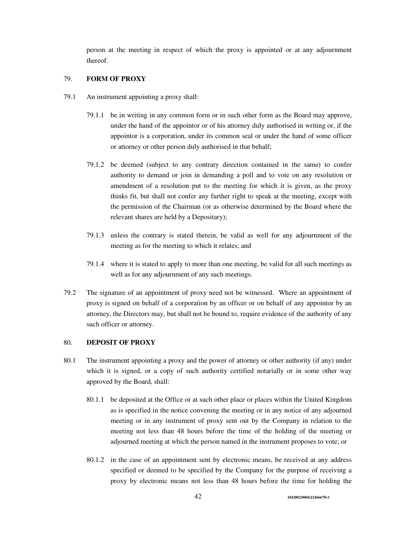person at the meeting in respect of which the proxy is appointed or at any adjournment thereof.

# 79. **FORM OF PROXY**

- 79.1 An instrument appointing a proxy shall:
	- 79.1.1 be in writing in any common form or in such other form as the Board may approve, under the hand of the appointor or of his attorney duly authorised in writing or, if the appointor is a corporation, under its common seal or under the hand of some officer or attorney or other person duly authorised in that behalf;
	- 79.1.2 be deemed (subject to any contrary direction contained in the same) to confer authority to demand or join in demanding a poll and to vote on any resolution or amendment of a resolution put to the meeting for which it is given, as the proxy thinks fit, but shall not confer any further right to speak at the meeting, except with the permission of the Chairman (or as otherwise determined by the Board where the relevant shares are held by a Depositary);
	- 79.1.3 unless the contrary is stated therein, be valid as well for any adjournment of the meeting as for the meeting to which it relates; and
	- 79.1.4 where it is stated to apply to more than one meeting, be valid for all such meetings as well as for any adjournment of any such meetings.
- 79.2 The signature of an appointment of proxy need not be witnessed. Where an appointment of proxy is signed on behalf of a corporation by an officer or on behalf of any appointor by an attorney, the Directors may, but shall not be bound to, require evidence of the authority of any such officer or attorney.

### 80. **DEPOSIT OF PROXY**

- 80.1 The instrument appointing a proxy and the power of attorney or other authority (if any) under which it is signed, or a copy of such authority certified notarially or in some other way approved by the Board, shall:
	- 80.1.1 be deposited at the Office or at such other place or places within the United Kingdom as is specified in the notice convening the meeting or in any notice of any adjourned meeting or in any instrument of proxy sent out by the Company in relation to the meeting not less than 48 hours before the time of the holding of the meeting or adjourned meeting at which the person named in the instrument proposes to vote; or
	- 80.1.2 in the case of an appointment sent by electronic means, be received at any address specified or deemed to be specified by the Company for the purpose of receiving a proxy by electronic means not less than 48 hours before the time for holding the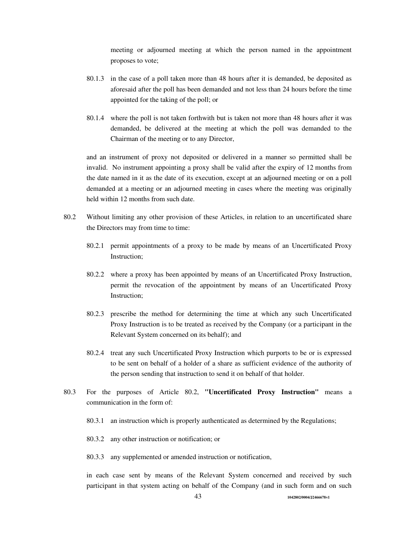meeting or adjourned meeting at which the person named in the appointment proposes to vote;

- 80.1.3 in the case of a poll taken more than 48 hours after it is demanded, be deposited as aforesaid after the poll has been demanded and not less than 24 hours before the time appointed for the taking of the poll; or
- 80.1.4 where the poll is not taken forthwith but is taken not more than 48 hours after it was demanded, be delivered at the meeting at which the poll was demanded to the Chairman of the meeting or to any Director,

and an instrument of proxy not deposited or delivered in a manner so permitted shall be invalid. No instrument appointing a proxy shall be valid after the expiry of 12 months from the date named in it as the date of its execution, except at an adjourned meeting or on a poll demanded at a meeting or an adjourned meeting in cases where the meeting was originally held within 12 months from such date.

- 80.2 Without limiting any other provision of these Articles, in relation to an uncertificated share the Directors may from time to time:
	- 80.2.1 permit appointments of a proxy to be made by means of an Uncertificated Proxy Instruction;
	- 80.2.2 where a proxy has been appointed by means of an Uncertificated Proxy Instruction, permit the revocation of the appointment by means of an Uncertificated Proxy Instruction;
	- 80.2.3 prescribe the method for determining the time at which any such Uncertificated Proxy Instruction is to be treated as received by the Company (or a participant in the Relevant System concerned on its behalf); and
	- 80.2.4 treat any such Uncertificated Proxy Instruction which purports to be or is expressed to be sent on behalf of a holder of a share as sufficient evidence of the authority of the person sending that instruction to send it on behalf of that holder.
- 80.3 For the purposes of Article 80.2, **"Uncertificated Proxy Instruction"** means a communication in the form of:
	- 80.3.1 an instruction which is properly authenticated as determined by the Regulations;
	- 80.3.2 any other instruction or notification; or
	- 80.3.3 any supplemented or amended instruction or notification,

in each case sent by means of the Relevant System concerned and received by such participant in that system acting on behalf of the Company (and in such form and on such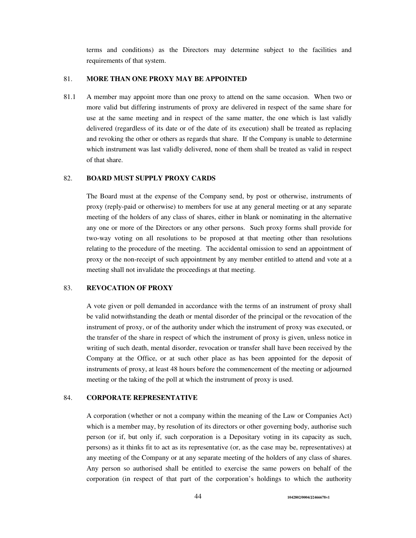terms and conditions) as the Directors may determine subject to the facilities and requirements of that system.

## 81. **MORE THAN ONE PROXY MAY BE APPOINTED**

81.1 A member may appoint more than one proxy to attend on the same occasion. When two or more valid but differing instruments of proxy are delivered in respect of the same share for use at the same meeting and in respect of the same matter, the one which is last validly delivered (regardless of its date or of the date of its execution) shall be treated as replacing and revoking the other or others as regards that share. If the Company is unable to determine which instrument was last validly delivered, none of them shall be treated as valid in respect of that share.

### 82. **BOARD MUST SUPPLY PROXY CARDS**

The Board must at the expense of the Company send, by post or otherwise, instruments of proxy (reply-paid or otherwise) to members for use at any general meeting or at any separate meeting of the holders of any class of shares, either in blank or nominating in the alternative any one or more of the Directors or any other persons. Such proxy forms shall provide for two-way voting on all resolutions to be proposed at that meeting other than resolutions relating to the procedure of the meeting. The accidental omission to send an appointment of proxy or the non-receipt of such appointment by any member entitled to attend and vote at a meeting shall not invalidate the proceedings at that meeting.

## 83. **REVOCATION OF PROXY**

A vote given or poll demanded in accordance with the terms of an instrument of proxy shall be valid notwithstanding the death or mental disorder of the principal or the revocation of the instrument of proxy, or of the authority under which the instrument of proxy was executed, or the transfer of the share in respect of which the instrument of proxy is given, unless notice in writing of such death, mental disorder, revocation or transfer shall have been received by the Company at the Office, or at such other place as has been appointed for the deposit of instruments of proxy, at least 48 hours before the commencement of the meeting or adjourned meeting or the taking of the poll at which the instrument of proxy is used.

# 84. **CORPORATE REPRESENTATIVE**

A corporation (whether or not a company within the meaning of the Law or Companies Act) which is a member may, by resolution of its directors or other governing body, authorise such person (or if, but only if, such corporation is a Depositary voting in its capacity as such, persons) as it thinks fit to act as its representative (or, as the case may be, representatives) at any meeting of the Company or at any separate meeting of the holders of any class of shares. Any person so authorised shall be entitled to exercise the same powers on behalf of the corporation (in respect of that part of the corporation's holdings to which the authority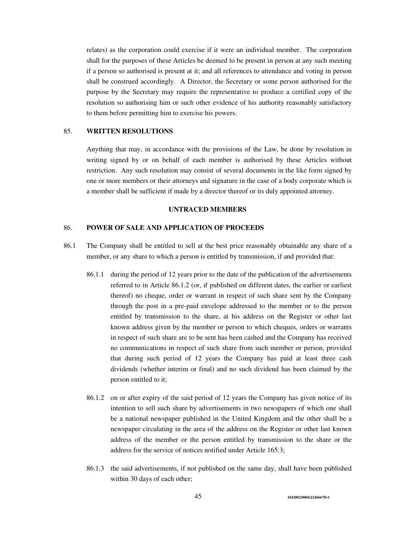relates) as the corporation could exercise if it were an individual member. The corporation shall for the purposes of these Articles be deemed to be present in person at any such meeting if a person so authorised is present at it; and all references to attendance and voting in person shall be construed accordingly. A Director, the Secretary or some person authorised for the purpose by the Secretary may require the representative to produce a certified copy of the resolution so authorising him or such other evidence of his authority reasonably satisfactory to them before permitting him to exercise his powers.

### 85. **WRITTEN RESOLUTIONS**

Anything that may, in accordance with the provisions of the Law, be done by resolution in writing signed by or on behalf of each member is authorised by these Articles without restriction. Any such resolution may consist of several documents in the like form signed by one or more members or their attorneys and signature in the case of a body corporate which is a member shall be sufficient if made by a director thereof or its duly appointed attorney.

### **UNTRACED MEMBERS**

### 86. **POWER OF SALE AND APPLICATION OF PROCEEDS**

- 86.1 The Company shall be entitled to sell at the best price reasonably obtainable any share of a member, or any share to which a person is entitled by transmission, if and provided that:
	- 86.1.1 during the period of 12 years prior to the date of the publication of the advertisements referred to in Article 86.1.2 (or, if published on different dates, the earlier or earliest thereof) no cheque, order or warrant in respect of such share sent by the Company through the post in a pre-paid envelope addressed to the member or to the person entitled by transmission to the share, at his address on the Register or other last known address given by the member or person to which cheques, orders or warrants in respect of such share are to be sent has been cashed and the Company has received no communications in respect of such share from such member or person, provided that during such period of 12 years the Company has paid at least three cash dividends (whether interim or final) and no such dividend has been claimed by the person entitled to it;
	- 86.1.2 on or after expiry of the said period of 12 years the Company has given notice of its intention to sell such share by advertisements in two newspapers of which one shall be a national newspaper published in the United Kingdom and the other shall be a newspaper circulating in the area of the address on the Register or other last known address of the member or the person entitled by transmission to the share or the address for the service of notices notified under Article 165.3;
	- 86.1.3 the said advertisements, if not published on the same day, shall have been published within 30 days of each other;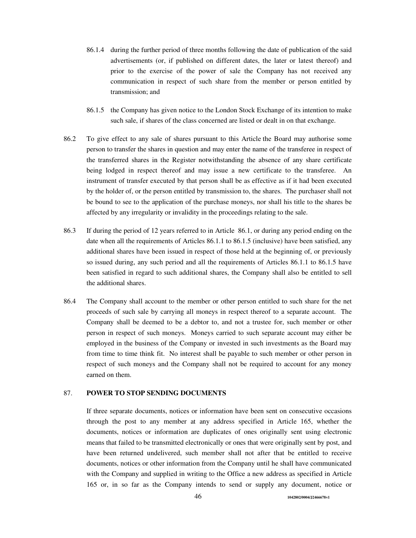- 86.1.4 during the further period of three months following the date of publication of the said advertisements (or, if published on different dates, the later or latest thereof) and prior to the exercise of the power of sale the Company has not received any communication in respect of such share from the member or person entitled by transmission; and
- 86.1.5 the Company has given notice to the London Stock Exchange of its intention to make such sale, if shares of the class concerned are listed or dealt in on that exchange.
- 86.2 To give effect to any sale of shares pursuant to this Article the Board may authorise some person to transfer the shares in question and may enter the name of the transferee in respect of the transferred shares in the Register notwithstanding the absence of any share certificate being lodged in respect thereof and may issue a new certificate to the transferee. An instrument of transfer executed by that person shall be as effective as if it had been executed by the holder of, or the person entitled by transmission to, the shares. The purchaser shall not be bound to see to the application of the purchase moneys, nor shall his title to the shares be affected by any irregularity or invalidity in the proceedings relating to the sale.
- 86.3 If during the period of 12 years referred to in Article 86.1, or during any period ending on the date when all the requirements of Articles 86.1.1 to 86.1.5 (inclusive) have been satisfied, any additional shares have been issued in respect of those held at the beginning of, or previously so issued during, any such period and all the requirements of Articles 86.1.1 to 86.1.5 have been satisfied in regard to such additional shares, the Company shall also be entitled to sell the additional shares.
- 86.4 The Company shall account to the member or other person entitled to such share for the net proceeds of such sale by carrying all moneys in respect thereof to a separate account. The Company shall be deemed to be a debtor to, and not a trustee for, such member or other person in respect of such moneys. Moneys carried to such separate account may either be employed in the business of the Company or invested in such investments as the Board may from time to time think fit. No interest shall be payable to such member or other person in respect of such moneys and the Company shall not be required to account for any money earned on them.

#### 87. **POWER TO STOP SENDING DOCUMENTS**

If three separate documents, notices or information have been sent on consecutive occasions through the post to any member at any address specified in Article 165, whether the documents, notices or information are duplicates of ones originally sent using electronic means that failed to be transmitted electronically or ones that were originally sent by post, and have been returned undelivered, such member shall not after that be entitled to receive documents, notices or other information from the Company until he shall have communicated with the Company and supplied in writing to the Office a new address as specified in Article 165 or, in so far as the Company intends to send or supply any document, notice or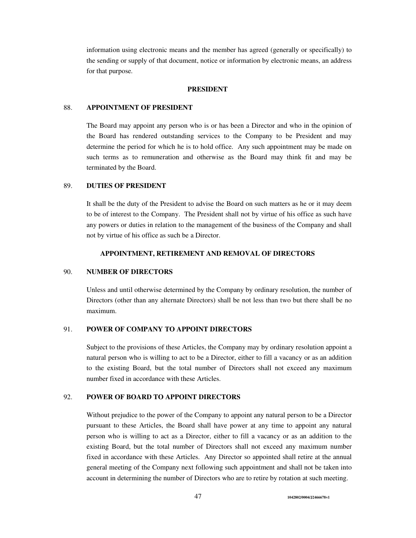information using electronic means and the member has agreed (generally or specifically) to the sending or supply of that document, notice or information by electronic means, an address for that purpose.

## **PRESIDENT**

#### 88. **APPOINTMENT OF PRESIDENT**

The Board may appoint any person who is or has been a Director and who in the opinion of the Board has rendered outstanding services to the Company to be President and may determine the period for which he is to hold office. Any such appointment may be made on such terms as to remuneration and otherwise as the Board may think fit and may be terminated by the Board.

### 89. **DUTIES OF PRESIDENT**

It shall be the duty of the President to advise the Board on such matters as he or it may deem to be of interest to the Company. The President shall not by virtue of his office as such have any powers or duties in relation to the management of the business of the Company and shall not by virtue of his office as such be a Director.

#### **APPOINTMENT, RETIREMENT AND REMOVAL OF DIRECTORS**

#### 90. **NUMBER OF DIRECTORS**

Unless and until otherwise determined by the Company by ordinary resolution, the number of Directors (other than any alternate Directors) shall be not less than two but there shall be no maximum.

## 91. **POWER OF COMPANY TO APPOINT DIRECTORS**

Subject to the provisions of these Articles, the Company may by ordinary resolution appoint a natural person who is willing to act to be a Director, either to fill a vacancy or as an addition to the existing Board, but the total number of Directors shall not exceed any maximum number fixed in accordance with these Articles.

### 92. **POWER OF BOARD TO APPOINT DIRECTORS**

Without prejudice to the power of the Company to appoint any natural person to be a Director pursuant to these Articles, the Board shall have power at any time to appoint any natural person who is willing to act as a Director, either to fill a vacancy or as an addition to the existing Board, but the total number of Directors shall not exceed any maximum number fixed in accordance with these Articles. Any Director so appointed shall retire at the annual general meeting of the Company next following such appointment and shall not be taken into account in determining the number of Directors who are to retire by rotation at such meeting.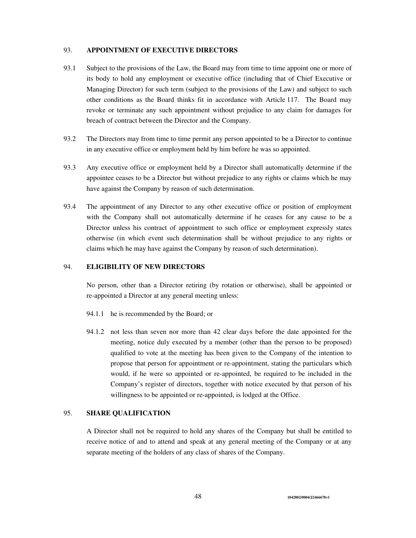### 93. **APPOINTMENT OF EXECUTIVE DIRECTORS**

- 93.1 Subject to the provisions of the Law, the Board may from time to time appoint one or more of its body to hold any employment or executive office (including that of Chief Executive or Managing Director) for such term (subject to the provisions of the Law) and subject to such other conditions as the Board thinks fit in accordance with Article 117. The Board may revoke or terminate any such appointment without prejudice to any claim for damages for breach of contract between the Director and the Company.
- 93.2 The Directors may from time to time permit any person appointed to be a Director to continue in any executive office or employment held by him before he was so appointed.
- 93.3 Any executive office or employment held by a Director shall automatically determine if the appointee ceases to be a Director but without prejudice to any rights or claims which he may have against the Company by reason of such determination.
- 93.4 The appointment of any Director to any other executive office or position of employment with the Company shall not automatically determine if he ceases for any cause to be a Director unless his contract of appointment to such office or employment expressly states otherwise (in which event such determination shall be without prejudice to any rights or claims which he may have against the Company by reason of such determination).

### 94. **ELIGIBILITY OF NEW DIRECTORS**

No person, other than a Director retiring (by rotation or otherwise), shall be appointed or re-appointed a Director at any general meeting unless:

- 94.1.1 he is recommended by the Board; or
- 94.1.2 not less than seven nor more than 42 clear days before the date appointed for the meeting, notice duly executed by a member (other than the person to be proposed) qualified to vote at the meeting has been given to the Company of the intention to propose that person for appointment or re-appointment, stating the particulars which would, if he were so appointed or re-appointed, be required to be included in the Company's register of directors, together with notice executed by that person of his willingness to be appointed or re-appointed, is lodged at the Office.

### 95. **SHARE QUALIFICATION**

A Director shall not be required to hold any shares of the Company but shall be entitled to receive notice of and to attend and speak at any general meeting of the Company or at any separate meeting of the holders of any class of shares of the Company.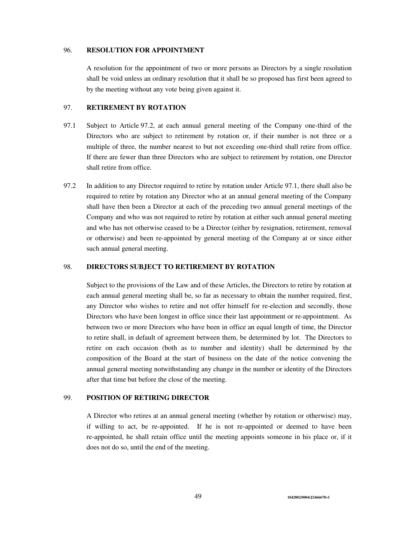### 96. **RESOLUTION FOR APPOINTMENT**

A resolution for the appointment of two or more persons as Directors by a single resolution shall be void unless an ordinary resolution that it shall be so proposed has first been agreed to by the meeting without any vote being given against it.

# 97. **RETIREMENT BY ROTATION**

- 97.1 Subject to Article 97.2, at each annual general meeting of the Company one-third of the Directors who are subject to retirement by rotation or, if their number is not three or a multiple of three, the number nearest to but not exceeding one-third shall retire from office. If there are fewer than three Directors who are subject to retirement by rotation, one Director shall retire from office.
- 97.2 In addition to any Director required to retire by rotation under Article 97.1, there shall also be required to retire by rotation any Director who at an annual general meeting of the Company shall have then been a Director at each of the preceding two annual general meetings of the Company and who was not required to retire by rotation at either such annual general meeting and who has not otherwise ceased to be a Director (either by resignation, retirement, removal or otherwise) and been re-appointed by general meeting of the Company at or since either such annual general meeting.

### 98. **DIRECTORS SUBJECT TO RETIREMENT BY ROTATION**

Subject to the provisions of the Law and of these Articles, the Directors to retire by rotation at each annual general meeting shall be, so far as necessary to obtain the number required, first, any Director who wishes to retire and not offer himself for re-election and secondly, those Directors who have been longest in office since their last appointment or re-appointment. As between two or more Directors who have been in office an equal length of time, the Director to retire shall, in default of agreement between them, be determined by lot. The Directors to retire on each occasion (both as to number and identity) shall be determined by the composition of the Board at the start of business on the date of the notice convening the annual general meeting notwithstanding any change in the number or identity of the Directors after that time but before the close of the meeting.

## 99. **POSITION OF RETIRING DIRECTOR**

A Director who retires at an annual general meeting (whether by rotation or otherwise) may, if willing to act, be re-appointed. If he is not re-appointed or deemed to have been re-appointed, he shall retain office until the meeting appoints someone in his place or, if it does not do so, until the end of the meeting.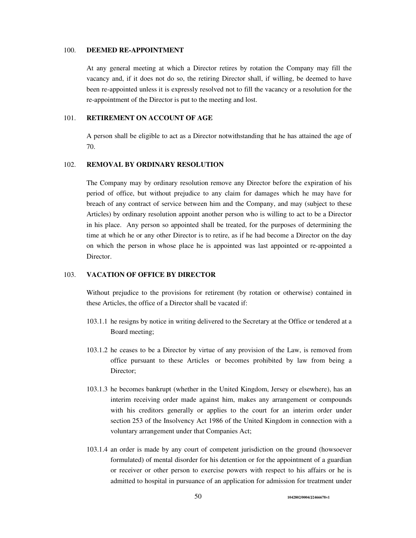### 100. **DEEMED RE-APPOINTMENT**

At any general meeting at which a Director retires by rotation the Company may fill the vacancy and, if it does not do so, the retiring Director shall, if willing, be deemed to have been re-appointed unless it is expressly resolved not to fill the vacancy or a resolution for the re-appointment of the Director is put to the meeting and lost.

## 101. **RETIREMENT ON ACCOUNT OF AGE**

A person shall be eligible to act as a Director notwithstanding that he has attained the age of 70.

# 102. **REMOVAL BY ORDINARY RESOLUTION**

The Company may by ordinary resolution remove any Director before the expiration of his period of office, but without prejudice to any claim for damages which he may have for breach of any contract of service between him and the Company, and may (subject to these Articles) by ordinary resolution appoint another person who is willing to act to be a Director in his place. Any person so appointed shall be treated, for the purposes of determining the time at which he or any other Director is to retire, as if he had become a Director on the day on which the person in whose place he is appointed was last appointed or re-appointed a Director.

### 103. **VACATION OF OFFICE BY DIRECTOR**

Without prejudice to the provisions for retirement (by rotation or otherwise) contained in these Articles, the office of a Director shall be vacated if:

- 103.1.1 he resigns by notice in writing delivered to the Secretary at the Office or tendered at a Board meeting;
- 103.1.2 he ceases to be a Director by virtue of any provision of the Law, is removed from office pursuant to these Articles or becomes prohibited by law from being a Director;
- 103.1.3 he becomes bankrupt (whether in the United Kingdom, Jersey or elsewhere), has an interim receiving order made against him, makes any arrangement or compounds with his creditors generally or applies to the court for an interim order under section 253 of the Insolvency Act 1986 of the United Kingdom in connection with a voluntary arrangement under that Companies Act;
- 103.1.4 an order is made by any court of competent jurisdiction on the ground (howsoever formulated) of mental disorder for his detention or for the appointment of a guardian or receiver or other person to exercise powers with respect to his affairs or he is admitted to hospital in pursuance of an application for admission for treatment under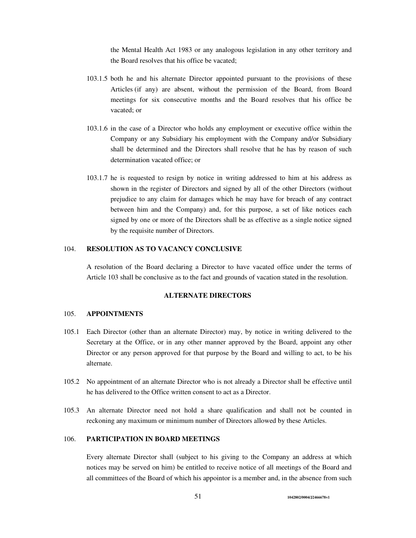the Mental Health Act 1983 or any analogous legislation in any other territory and the Board resolves that his office be vacated;

- 103.1.5 both he and his alternate Director appointed pursuant to the provisions of these Articles (if any) are absent, without the permission of the Board, from Board meetings for six consecutive months and the Board resolves that his office be vacated; or
- 103.1.6 in the case of a Director who holds any employment or executive office within the Company or any Subsidiary his employment with the Company and/or Subsidiary shall be determined and the Directors shall resolve that he has by reason of such determination vacated office; or
- 103.1.7 he is requested to resign by notice in writing addressed to him at his address as shown in the register of Directors and signed by all of the other Directors (without prejudice to any claim for damages which he may have for breach of any contract between him and the Company) and, for this purpose, a set of like notices each signed by one or more of the Directors shall be as effective as a single notice signed by the requisite number of Directors.

### 104. **RESOLUTION AS TO VACANCY CONCLUSIVE**

A resolution of the Board declaring a Director to have vacated office under the terms of Article 103 shall be conclusive as to the fact and grounds of vacation stated in the resolution.

### **ALTERNATE DIRECTORS**

### 105. **APPOINTMENTS**

- 105.1 Each Director (other than an alternate Director) may, by notice in writing delivered to the Secretary at the Office, or in any other manner approved by the Board, appoint any other Director or any person approved for that purpose by the Board and willing to act, to be his alternate.
- 105.2 No appointment of an alternate Director who is not already a Director shall be effective until he has delivered to the Office written consent to act as a Director.
- 105.3 An alternate Director need not hold a share qualification and shall not be counted in reckoning any maximum or minimum number of Directors allowed by these Articles.

### 106. **PARTICIPATION IN BOARD MEETINGS**

Every alternate Director shall (subject to his giving to the Company an address at which notices may be served on him) be entitled to receive notice of all meetings of the Board and all committees of the Board of which his appointor is a member and, in the absence from such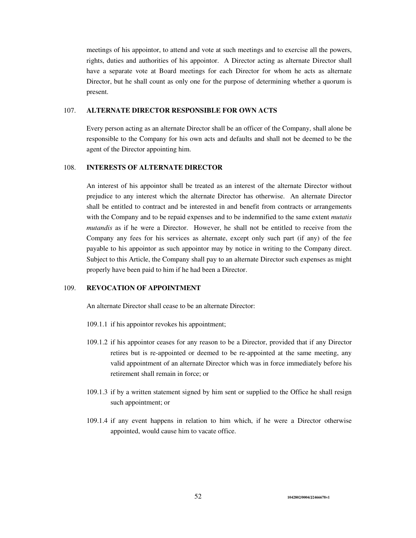meetings of his appointor, to attend and vote at such meetings and to exercise all the powers, rights, duties and authorities of his appointor. A Director acting as alternate Director shall have a separate vote at Board meetings for each Director for whom he acts as alternate Director, but he shall count as only one for the purpose of determining whether a quorum is present.

### 107. **ALTERNATE DIRECTOR RESPONSIBLE FOR OWN ACTS**

Every person acting as an alternate Director shall be an officer of the Company, shall alone be responsible to the Company for his own acts and defaults and shall not be deemed to be the agent of the Director appointing him.

# 108. **INTERESTS OF ALTERNATE DIRECTOR**

An interest of his appointor shall be treated as an interest of the alternate Director without prejudice to any interest which the alternate Director has otherwise. An alternate Director shall be entitled to contract and be interested in and benefit from contracts or arrangements with the Company and to be repaid expenses and to be indemnified to the same extent *mutatis mutandis* as if he were a Director. However, he shall not be entitled to receive from the Company any fees for his services as alternate, except only such part (if any) of the fee payable to his appointor as such appointor may by notice in writing to the Company direct. Subject to this Article, the Company shall pay to an alternate Director such expenses as might properly have been paid to him if he had been a Director.

## 109. **REVOCATION OF APPOINTMENT**

An alternate Director shall cease to be an alternate Director:

- 109.1.1 if his appointor revokes his appointment;
- 109.1.2 if his appointor ceases for any reason to be a Director, provided that if any Director retires but is re-appointed or deemed to be re-appointed at the same meeting, any valid appointment of an alternate Director which was in force immediately before his retirement shall remain in force; or
- 109.1.3 if by a written statement signed by him sent or supplied to the Office he shall resign such appointment; or
- 109.1.4 if any event happens in relation to him which, if he were a Director otherwise appointed, would cause him to vacate office.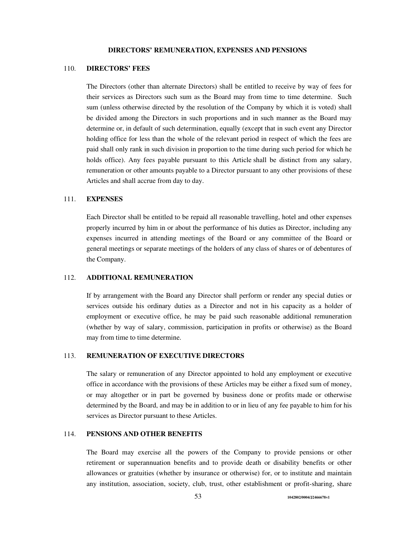#### **DIRECTORS' REMUNERATION, EXPENSES AND PENSIONS**

#### 110. **DIRECTORS' FEES**

The Directors (other than alternate Directors) shall be entitled to receive by way of fees for their services as Directors such sum as the Board may from time to time determine. Such sum (unless otherwise directed by the resolution of the Company by which it is voted) shall be divided among the Directors in such proportions and in such manner as the Board may determine or, in default of such determination, equally (except that in such event any Director holding office for less than the whole of the relevant period in respect of which the fees are paid shall only rank in such division in proportion to the time during such period for which he holds office). Any fees payable pursuant to this Article shall be distinct from any salary, remuneration or other amounts payable to a Director pursuant to any other provisions of these Articles and shall accrue from day to day.

### 111. **EXPENSES**

Each Director shall be entitled to be repaid all reasonable travelling, hotel and other expenses properly incurred by him in or about the performance of his duties as Director, including any expenses incurred in attending meetings of the Board or any committee of the Board or general meetings or separate meetings of the holders of any class of shares or of debentures of the Company.

## 112. **ADDITIONAL REMUNERATION**

If by arrangement with the Board any Director shall perform or render any special duties or services outside his ordinary duties as a Director and not in his capacity as a holder of employment or executive office, he may be paid such reasonable additional remuneration (whether by way of salary, commission, participation in profits or otherwise) as the Board may from time to time determine.

## 113. **REMUNERATION OF EXECUTIVE DIRECTORS**

The salary or remuneration of any Director appointed to hold any employment or executive office in accordance with the provisions of these Articles may be either a fixed sum of money, or may altogether or in part be governed by business done or profits made or otherwise determined by the Board, and may be in addition to or in lieu of any fee payable to him for his services as Director pursuant to these Articles.

### 114. **PENSIONS AND OTHER BENEFITS**

The Board may exercise all the powers of the Company to provide pensions or other retirement or superannuation benefits and to provide death or disability benefits or other allowances or gratuities (whether by insurance or otherwise) for, or to institute and maintain any institution, association, society, club, trust, other establishment or profit-sharing, share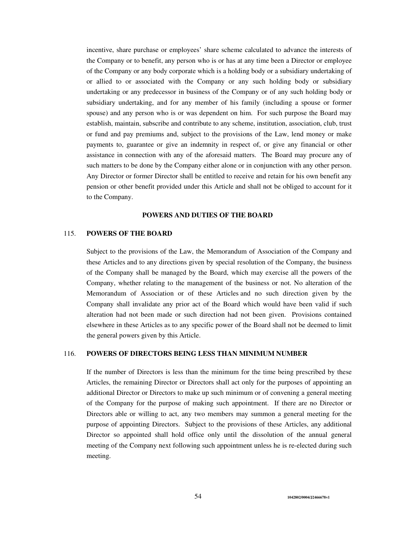incentive, share purchase or employees' share scheme calculated to advance the interests of the Company or to benefit, any person who is or has at any time been a Director or employee of the Company or any body corporate which is a holding body or a subsidiary undertaking of or allied to or associated with the Company or any such holding body or subsidiary undertaking or any predecessor in business of the Company or of any such holding body or subsidiary undertaking, and for any member of his family (including a spouse or former spouse) and any person who is or was dependent on him. For such purpose the Board may establish, maintain, subscribe and contribute to any scheme, institution, association, club, trust or fund and pay premiums and, subject to the provisions of the Law, lend money or make payments to, guarantee or give an indemnity in respect of, or give any financial or other assistance in connection with any of the aforesaid matters. The Board may procure any of such matters to be done by the Company either alone or in conjunction with any other person. Any Director or former Director shall be entitled to receive and retain for his own benefit any pension or other benefit provided under this Article and shall not be obliged to account for it to the Company.

#### **POWERS AND DUTIES OF THE BOARD**

### 115. **POWERS OF THE BOARD**

Subject to the provisions of the Law, the Memorandum of Association of the Company and these Articles and to any directions given by special resolution of the Company, the business of the Company shall be managed by the Board, which may exercise all the powers of the Company, whether relating to the management of the business or not. No alteration of the Memorandum of Association or of these Articles and no such direction given by the Company shall invalidate any prior act of the Board which would have been valid if such alteration had not been made or such direction had not been given. Provisions contained elsewhere in these Articles as to any specific power of the Board shall not be deemed to limit the general powers given by this Article.

#### 116. **POWERS OF DIRECTORS BEING LESS THAN MINIMUM NUMBER**

If the number of Directors is less than the minimum for the time being prescribed by these Articles, the remaining Director or Directors shall act only for the purposes of appointing an additional Director or Directors to make up such minimum or of convening a general meeting of the Company for the purpose of making such appointment. If there are no Director or Directors able or willing to act, any two members may summon a general meeting for the purpose of appointing Directors. Subject to the provisions of these Articles, any additional Director so appointed shall hold office only until the dissolution of the annual general meeting of the Company next following such appointment unless he is re-elected during such meeting.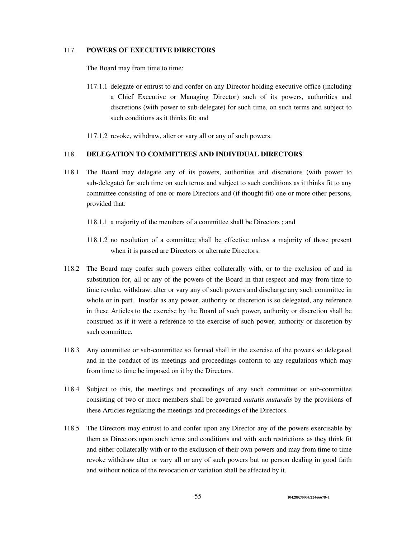### 117. **POWERS OF EXECUTIVE DIRECTORS**

The Board may from time to time:

117.1.1 delegate or entrust to and confer on any Director holding executive office (including a Chief Executive or Managing Director) such of its powers, authorities and discretions (with power to sub-delegate) for such time, on such terms and subject to such conditions as it thinks fit; and

117.1.2 revoke, withdraw, alter or vary all or any of such powers.

### 118. **DELEGATION TO COMMITTEES AND INDIVIDUAL DIRECTORS**

- 118.1 The Board may delegate any of its powers, authorities and discretions (with power to sub-delegate) for such time on such terms and subject to such conditions as it thinks fit to any committee consisting of one or more Directors and (if thought fit) one or more other persons, provided that:
	- 118.1.1 a majority of the members of a committee shall be Directors ; and
	- 118.1.2 no resolution of a committee shall be effective unless a majority of those present when it is passed are Directors or alternate Directors.
- 118.2 The Board may confer such powers either collaterally with, or to the exclusion of and in substitution for, all or any of the powers of the Board in that respect and may from time to time revoke, withdraw, alter or vary any of such powers and discharge any such committee in whole or in part. Insofar as any power, authority or discretion is so delegated, any reference in these Articles to the exercise by the Board of such power, authority or discretion shall be construed as if it were a reference to the exercise of such power, authority or discretion by such committee.
- 118.3 Any committee or sub-committee so formed shall in the exercise of the powers so delegated and in the conduct of its meetings and proceedings conform to any regulations which may from time to time be imposed on it by the Directors.
- 118.4 Subject to this, the meetings and proceedings of any such committee or sub-committee consisting of two or more members shall be governed *mutatis mutandis* by the provisions of these Articles regulating the meetings and proceedings of the Directors.
- 118.5 The Directors may entrust to and confer upon any Director any of the powers exercisable by them as Directors upon such terms and conditions and with such restrictions as they think fit and either collaterally with or to the exclusion of their own powers and may from time to time revoke withdraw alter or vary all or any of such powers but no person dealing in good faith and without notice of the revocation or variation shall be affected by it.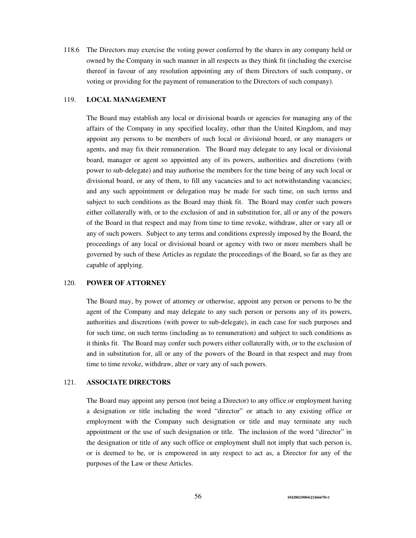118.6 The Directors may exercise the voting power conferred by the shares in any company held or owned by the Company in such manner in all respects as they think fit (including the exercise thereof in favour of any resolution appointing any of them Directors of such company, or voting or providing for the payment of remuneration to the Directors of such company).

### 119. **LOCAL MANAGEMENT**

The Board may establish any local or divisional boards or agencies for managing any of the affairs of the Company in any specified locality, other than the United Kingdom, and may appoint any persons to be members of such local or divisional board, or any managers or agents, and may fix their remuneration. The Board may delegate to any local or divisional board, manager or agent so appointed any of its powers, authorities and discretions (with power to sub-delegate) and may authorise the members for the time being of any such local or divisional board, or any of them, to fill any vacancies and to act notwithstanding vacancies; and any such appointment or delegation may be made for such time, on such terms and subject to such conditions as the Board may think fit. The Board may confer such powers either collaterally with, or to the exclusion of and in substitution for, all or any of the powers of the Board in that respect and may from time to time revoke, withdraw, alter or vary all or any of such powers. Subject to any terms and conditions expressly imposed by the Board, the proceedings of any local or divisional board or agency with two or more members shall be governed by such of these Articles as regulate the proceedings of the Board, so far as they are capable of applying.

#### 120. **POWER OF ATTORNEY**

The Board may, by power of attorney or otherwise, appoint any person or persons to be the agent of the Company and may delegate to any such person or persons any of its powers, authorities and discretions (with power to sub-delegate), in each case for such purposes and for such time, on such terms (including as to remuneration) and subject to such conditions as it thinks fit. The Board may confer such powers either collaterally with, or to the exclusion of and in substitution for, all or any of the powers of the Board in that respect and may from time to time revoke, withdraw, alter or vary any of such powers.

### 121. **ASSOCIATE DIRECTORS**

The Board may appoint any person (not being a Director) to any office or employment having a designation or title including the word "director" or attach to any existing office or employment with the Company such designation or title and may terminate any such appointment or the use of such designation or title. The inclusion of the word "director" in the designation or title of any such office or employment shall not imply that such person is, or is deemed to be, or is empowered in any respect to act as, a Director for any of the purposes of the Law or these Articles.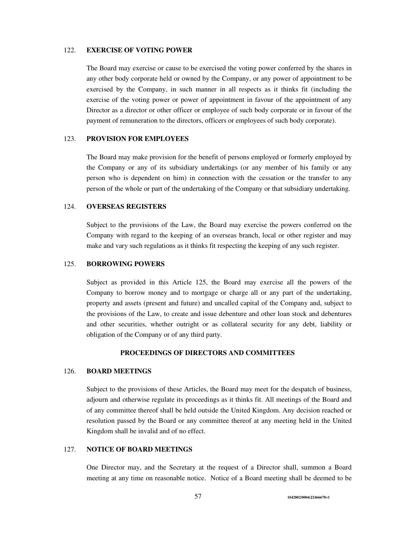### 122. **EXERCISE OF VOTING POWER**

The Board may exercise or cause to be exercised the voting power conferred by the shares in any other body corporate held or owned by the Company, or any power of appointment to be exercised by the Company, in such manner in all respects as it thinks fit (including the exercise of the voting power or power of appointment in favour of the appointment of any Director as a director or other officer or employee of such body corporate or in favour of the payment of remuneration to the directors, officers or employees of such body corporate).

# 123. **PROVISION FOR EMPLOYEES**

The Board may make provision for the benefit of persons employed or formerly employed by the Company or any of its subsidiary undertakings (or any member of his family or any person who is dependent on him) in connection with the cessation or the transfer to any person of the whole or part of the undertaking of the Company or that subsidiary undertaking.

### 124. **OVERSEAS REGISTERS**

Subject to the provisions of the Law, the Board may exercise the powers conferred on the Company with regard to the keeping of an overseas branch, local or other register and may make and vary such regulations as it thinks fit respecting the keeping of any such register.

#### 125. **BORROWING POWERS**

Subject as provided in this Article 125, the Board may exercise all the powers of the Company to borrow money and to mortgage or charge all or any part of the undertaking, property and assets (present and future) and uncalled capital of the Company and, subject to the provisions of the Law, to create and issue debenture and other loan stock and debentures and other securities, whether outright or as collateral security for any debt, liability or obligation of the Company or of any third party.

### **PROCEEDINGS OF DIRECTORS AND COMMITTEES**

#### 126. **BOARD MEETINGS**

Subject to the provisions of these Articles, the Board may meet for the despatch of business, adjourn and otherwise regulate its proceedings as it thinks fit. All meetings of the Board and of any committee thereof shall be held outside the United Kingdom. Any decision reached or resolution passed by the Board or any committee thereof at any meeting held in the United Kingdom shall be invalid and of no effect.

## 127. **NOTICE OF BOARD MEETINGS**

One Director may, and the Secretary at the request of a Director shall, summon a Board meeting at any time on reasonable notice. Notice of a Board meeting shall be deemed to be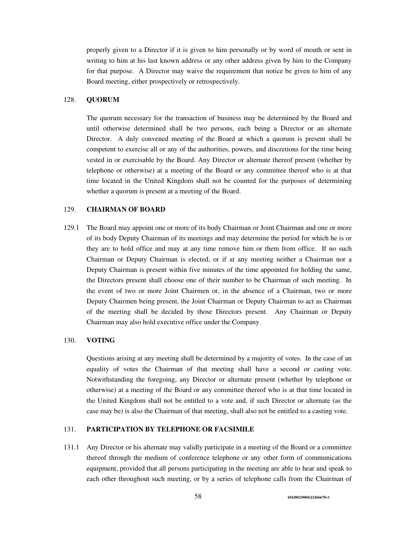properly given to a Director if it is given to him personally or by word of mouth or sent in writing to him at his last known address or any other address given by him to the Company for that purpose. A Director may waive the requirement that notice be given to him of any Board meeting, either prospectively or retrospectively.

## 128. **QUORUM**

The quorum necessary for the transaction of business may be determined by the Board and until otherwise determined shall be two persons, each being a Director or an alternate Director. A duly convened meeting of the Board at which a quorum is present shall be competent to exercise all or any of the authorities, powers, and discretions for the time being vested in or exercisable by the Board. Any Director or alternate thereof present (whether by telephone or otherwise) at a meeting of the Board or any committee thereof who is at that time located in the United Kingdom shall not be counted for the purposes of determining whether a quorum is present at a meeting of the Board.

## 129. **CHAIRMAN OF BOARD**

129.1 The Board may appoint one or more of its body Chairman or Joint Chairman and one or more of its body Deputy Chairman of its meetings and may determine the period for which he is or they are to hold office and may at any time remove him or them from office. If no such Chairman or Deputy Chairman is elected, or if at any meeting neither a Chairman nor a Deputy Chairman is present within five minutes of the time appointed for holding the same, the Directors present shall choose one of their number to be Chairman of such meeting. In the event of two or more Joint Chairmen or, in the absence of a Chairman, two or more Deputy Chairmen being present, the Joint Chairman or Deputy Chairman to act as Chairman of the meeting shall be decided by those Directors present. Any Chairman or Deputy Chairman may also hold executive office under the Company.

### 130. **VOTING**

Questions arising at any meeting shall be determined by a majority of votes. In the case of an equality of votes the Chairman of that meeting shall have a second or casting vote. Notwithstanding the foregoing, any Director or alternate present (whether by telephone or otherwise) at a meeting of the Board or any committee thereof who is at that time located in the United Kingdom shall not be entitled to a vote and, if such Director or alternate (as the case may be) is also the Chairman of that meeting, shall also not be entitled to a casting vote.

## 131. **PARTICIPATION BY TELEPHONE OR FACSIMILE**

131.1 Any Director or his alternate may validly participate in a meeting of the Board or a committee thereof through the medium of conference telephone or any other form of communications equipment, provided that all persons participating in the meeting are able to hear and speak to each other throughout such meeting, or by a series of telephone calls from the Chairman of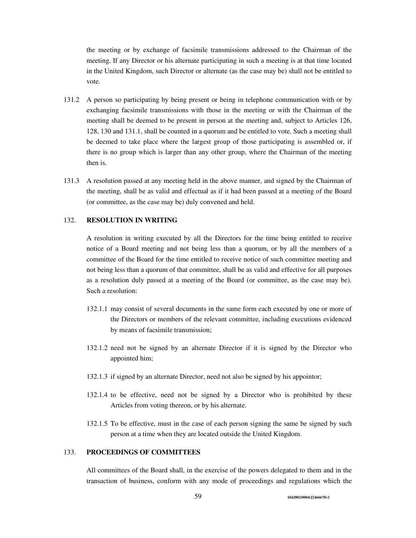the meeting or by exchange of facsimile transmissions addressed to the Chairman of the meeting. If any Director or his alternate participating in such a meeting is at that time located in the United Kingdom, such Director or alternate (as the case may be) shall not be entitled to vote.

- 131.2 A person so participating by being present or being in telephone communication with or by exchanging facsimile transmissions with those in the meeting or with the Chairman of the meeting shall be deemed to be present in person at the meeting and, subject to Articles 126, 128, 130 and 131.1, shall be counted in a quorum and be entitled to vote. Such a meeting shall be deemed to take place where the largest group of those participating is assembled or, if there is no group which is larger than any other group, where the Chairman of the meeting then is.
- 131.3 A resolution passed at any meeting held in the above manner, and signed by the Chairman of the meeting, shall be as valid and effectual as if it had been passed at a meeting of the Board (or committee, as the case may be) duly convened and held.

# 132. **RESOLUTION IN WRITING**

A resolution in writing executed by all the Directors for the time being entitled to receive notice of a Board meeting and not being less than a quorum, or by all the members of a committee of the Board for the time entitled to receive notice of such committee meeting and not being less than a quorum of that committee, shall be as valid and effective for all purposes as a resolution duly passed at a meeting of the Board (or committee, as the case may be). Such a resolution:

- 132.1.1 may consist of several documents in the same form each executed by one or more of the Directors or members of the relevant committee, including executions evidenced by means of facsimile transmission;
- 132.1.2 need not be signed by an alternate Director if it is signed by the Director who appointed him;
- 132.1.3 if signed by an alternate Director, need not also be signed by his appointor;
- 132.1.4 to be effective, need not be signed by a Director who is prohibited by these Articles from voting thereon, or by his alternate.
- 132.1.5 To be effective, must in the case of each person signing the same be signed by such person at a time when they are located outside the United Kingdom.

## 133. **PROCEEDINGS OF COMMITTEES**

All committees of the Board shall, in the exercise of the powers delegated to them and in the transaction of business, conform with any mode of proceedings and regulations which the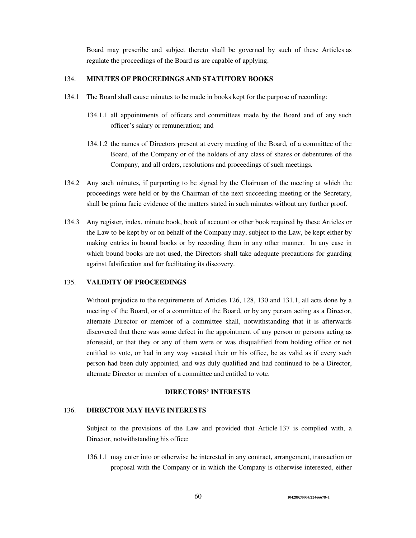Board may prescribe and subject thereto shall be governed by such of these Articles as regulate the proceedings of the Board as are capable of applying.

# 134. **MINUTES OF PROCEEDINGS AND STATUTORY BOOKS**

- 134.1 The Board shall cause minutes to be made in books kept for the purpose of recording:
	- 134.1.1 all appointments of officers and committees made by the Board and of any such officer's salary or remuneration; and
	- 134.1.2 the names of Directors present at every meeting of the Board, of a committee of the Board, of the Company or of the holders of any class of shares or debentures of the Company, and all orders, resolutions and proceedings of such meetings.
- 134.2 Any such minutes, if purporting to be signed by the Chairman of the meeting at which the proceedings were held or by the Chairman of the next succeeding meeting or the Secretary, shall be prima facie evidence of the matters stated in such minutes without any further proof.
- 134.3 Any register, index, minute book, book of account or other book required by these Articles or the Law to be kept by or on behalf of the Company may, subject to the Law, be kept either by making entries in bound books or by recording them in any other manner. In any case in which bound books are not used, the Directors shall take adequate precautions for guarding against falsification and for facilitating its discovery.

#### 135. **VALIDITY OF PROCEEDINGS**

Without prejudice to the requirements of Articles 126, 128, 130 and 131.1, all acts done by a meeting of the Board, or of a committee of the Board, or by any person acting as a Director, alternate Director or member of a committee shall, notwithstanding that it is afterwards discovered that there was some defect in the appointment of any person or persons acting as aforesaid, or that they or any of them were or was disqualified from holding office or not entitled to vote, or had in any way vacated their or his office, be as valid as if every such person had been duly appointed, and was duly qualified and had continued to be a Director, alternate Director or member of a committee and entitled to vote.

## **DIRECTORS' INTERESTS**

#### 136. **DIRECTOR MAY HAVE INTERESTS**

Subject to the provisions of the Law and provided that Article 137 is complied with, a Director, notwithstanding his office:

136.1.1 may enter into or otherwise be interested in any contract, arrangement, transaction or proposal with the Company or in which the Company is otherwise interested, either

60 **1042802/0004/J2466678v1**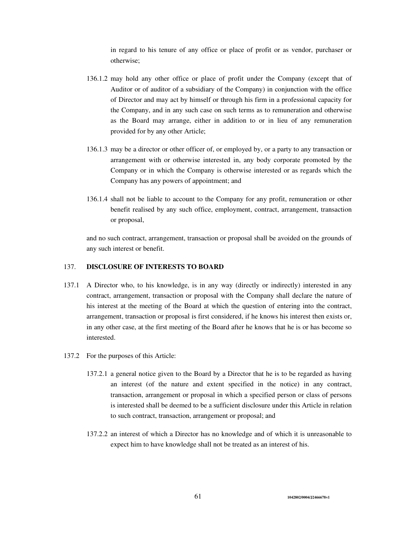in regard to his tenure of any office or place of profit or as vendor, purchaser or otherwise;

- 136.1.2 may hold any other office or place of profit under the Company (except that of Auditor or of auditor of a subsidiary of the Company) in conjunction with the office of Director and may act by himself or through his firm in a professional capacity for the Company, and in any such case on such terms as to remuneration and otherwise as the Board may arrange, either in addition to or in lieu of any remuneration provided for by any other Article;
- 136.1.3 may be a director or other officer of, or employed by, or a party to any transaction or arrangement with or otherwise interested in, any body corporate promoted by the Company or in which the Company is otherwise interested or as regards which the Company has any powers of appointment; and
- 136.1.4 shall not be liable to account to the Company for any profit, remuneration or other benefit realised by any such office, employment, contract, arrangement, transaction or proposal,

and no such contract, arrangement, transaction or proposal shall be avoided on the grounds of any such interest or benefit.

### 137. **DISCLOSURE OF INTERESTS TO BOARD**

- 137.1 A Director who, to his knowledge, is in any way (directly or indirectly) interested in any contract, arrangement, transaction or proposal with the Company shall declare the nature of his interest at the meeting of the Board at which the question of entering into the contract, arrangement, transaction or proposal is first considered, if he knows his interest then exists or, in any other case, at the first meeting of the Board after he knows that he is or has become so interested.
- 137.2 For the purposes of this Article:
	- 137.2.1 a general notice given to the Board by a Director that he is to be regarded as having an interest (of the nature and extent specified in the notice) in any contract, transaction, arrangement or proposal in which a specified person or class of persons is interested shall be deemed to be a sufficient disclosure under this Article in relation to such contract, transaction, arrangement or proposal; and
	- 137.2.2 an interest of which a Director has no knowledge and of which it is unreasonable to expect him to have knowledge shall not be treated as an interest of his.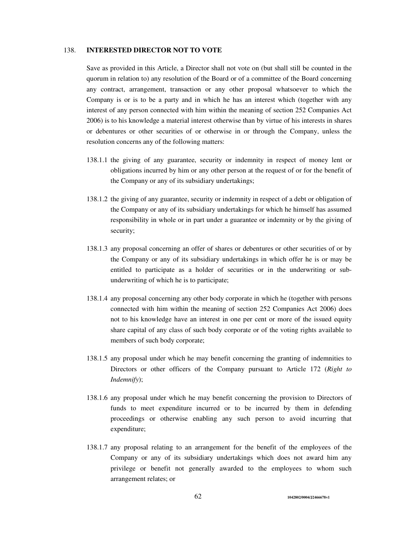### 138. **INTERESTED DIRECTOR NOT TO VOTE**

Save as provided in this Article, a Director shall not vote on (but shall still be counted in the quorum in relation to) any resolution of the Board or of a committee of the Board concerning any contract, arrangement, transaction or any other proposal whatsoever to which the Company is or is to be a party and in which he has an interest which (together with any interest of any person connected with him within the meaning of section 252 Companies Act 2006) is to his knowledge a material interest otherwise than by virtue of his interests in shares or debentures or other securities of or otherwise in or through the Company, unless the resolution concerns any of the following matters:

- 138.1.1 the giving of any guarantee, security or indemnity in respect of money lent or obligations incurred by him or any other person at the request of or for the benefit of the Company or any of its subsidiary undertakings;
- 138.1.2 the giving of any guarantee, security or indemnity in respect of a debt or obligation of the Company or any of its subsidiary undertakings for which he himself has assumed responsibility in whole or in part under a guarantee or indemnity or by the giving of security;
- 138.1.3 any proposal concerning an offer of shares or debentures or other securities of or by the Company or any of its subsidiary undertakings in which offer he is or may be entitled to participate as a holder of securities or in the underwriting or subunderwriting of which he is to participate;
- 138.1.4 any proposal concerning any other body corporate in which he (together with persons connected with him within the meaning of section 252 Companies Act 2006) does not to his knowledge have an interest in one per cent or more of the issued equity share capital of any class of such body corporate or of the voting rights available to members of such body corporate;
- 138.1.5 any proposal under which he may benefit concerning the granting of indemnities to Directors or other officers of the Company pursuant to Article 172 (*Right to Indemnify*);
- 138.1.6 any proposal under which he may benefit concerning the provision to Directors of funds to meet expenditure incurred or to be incurred by them in defending proceedings or otherwise enabling any such person to avoid incurring that expenditure;
- 138.1.7 any proposal relating to an arrangement for the benefit of the employees of the Company or any of its subsidiary undertakings which does not award him any privilege or benefit not generally awarded to the employees to whom such arrangement relates; or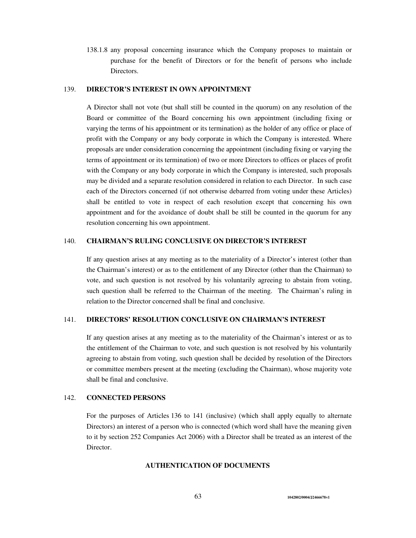138.1.8 any proposal concerning insurance which the Company proposes to maintain or purchase for the benefit of Directors or for the benefit of persons who include Directors.

# 139. **DIRECTOR'S INTEREST IN OWN APPOINTMENT**

A Director shall not vote (but shall still be counted in the quorum) on any resolution of the Board or committee of the Board concerning his own appointment (including fixing or varying the terms of his appointment or its termination) as the holder of any office or place of profit with the Company or any body corporate in which the Company is interested. Where proposals are under consideration concerning the appointment (including fixing or varying the terms of appointment or its termination) of two or more Directors to offices or places of profit with the Company or any body corporate in which the Company is interested, such proposals may be divided and a separate resolution considered in relation to each Director. In such case each of the Directors concerned (if not otherwise debarred from voting under these Articles) shall be entitled to vote in respect of each resolution except that concerning his own appointment and for the avoidance of doubt shall be still be counted in the quorum for any resolution concerning his own appointment.

### 140. **CHAIRMAN'S RULING CONCLUSIVE ON DIRECTOR'S INTEREST**

If any question arises at any meeting as to the materiality of a Director's interest (other than the Chairman's interest) or as to the entitlement of any Director (other than the Chairman) to vote, and such question is not resolved by his voluntarily agreeing to abstain from voting, such question shall be referred to the Chairman of the meeting. The Chairman's ruling in relation to the Director concerned shall be final and conclusive.

### 141. **DIRECTORS' RESOLUTION CONCLUSIVE ON CHAIRMAN'S INTEREST**

If any question arises at any meeting as to the materiality of the Chairman's interest or as to the entitlement of the Chairman to vote, and such question is not resolved by his voluntarily agreeing to abstain from voting, such question shall be decided by resolution of the Directors or committee members present at the meeting (excluding the Chairman), whose majority vote shall be final and conclusive.

## 142. **CONNECTED PERSONS**

For the purposes of Articles 136 to 141 (inclusive) (which shall apply equally to alternate Directors) an interest of a person who is connected (which word shall have the meaning given to it by section 252 Companies Act 2006) with a Director shall be treated as an interest of the Director.

## **AUTHENTICATION OF DOCUMENTS**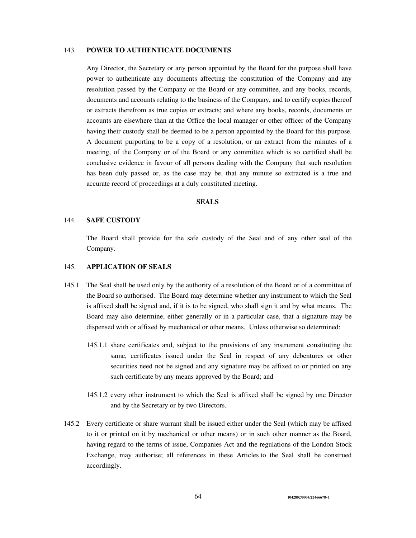## 143. **POWER TO AUTHENTICATE DOCUMENTS**

Any Director, the Secretary or any person appointed by the Board for the purpose shall have power to authenticate any documents affecting the constitution of the Company and any resolution passed by the Company or the Board or any committee, and any books, records, documents and accounts relating to the business of the Company, and to certify copies thereof or extracts therefrom as true copies or extracts; and where any books, records, documents or accounts are elsewhere than at the Office the local manager or other officer of the Company having their custody shall be deemed to be a person appointed by the Board for this purpose. A document purporting to be a copy of a resolution, or an extract from the minutes of a meeting, of the Company or of the Board or any committee which is so certified shall be conclusive evidence in favour of all persons dealing with the Company that such resolution has been duly passed or, as the case may be, that any minute so extracted is a true and accurate record of proceedings at a duly constituted meeting.

# **SEALS**

### 144. **SAFE CUSTODY**

The Board shall provide for the safe custody of the Seal and of any other seal of the Company.

#### 145. **APPLICATION OF SEALS**

- 145.1 The Seal shall be used only by the authority of a resolution of the Board or of a committee of the Board so authorised. The Board may determine whether any instrument to which the Seal is affixed shall be signed and, if it is to be signed, who shall sign it and by what means. The Board may also determine, either generally or in a particular case, that a signature may be dispensed with or affixed by mechanical or other means. Unless otherwise so determined:
	- 145.1.1 share certificates and, subject to the provisions of any instrument constituting the same, certificates issued under the Seal in respect of any debentures or other securities need not be signed and any signature may be affixed to or printed on any such certificate by any means approved by the Board; and
	- 145.1.2 every other instrument to which the Seal is affixed shall be signed by one Director and by the Secretary or by two Directors.
- 145.2 Every certificate or share warrant shall be issued either under the Seal (which may be affixed to it or printed on it by mechanical or other means) or in such other manner as the Board, having regard to the terms of issue, Companies Act and the regulations of the London Stock Exchange, may authorise; all references in these Articles to the Seal shall be construed accordingly.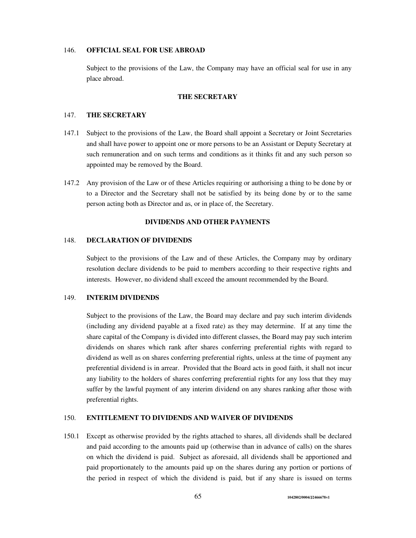## 146. **OFFICIAL SEAL FOR USE ABROAD**

Subject to the provisions of the Law, the Company may have an official seal for use in any place abroad.

## **THE SECRETARY**

### 147. **THE SECRETARY**

- 147.1 Subject to the provisions of the Law, the Board shall appoint a Secretary or Joint Secretaries and shall have power to appoint one or more persons to be an Assistant or Deputy Secretary at such remuneration and on such terms and conditions as it thinks fit and any such person so appointed may be removed by the Board.
- 147.2 Any provision of the Law or of these Articles requiring or authorising a thing to be done by or to a Director and the Secretary shall not be satisfied by its being done by or to the same person acting both as Director and as, or in place of, the Secretary.

## **DIVIDENDS AND OTHER PAYMENTS**

#### 148. **DECLARATION OF DIVIDENDS**

Subject to the provisions of the Law and of these Articles, the Company may by ordinary resolution declare dividends to be paid to members according to their respective rights and interests. However, no dividend shall exceed the amount recommended by the Board.

#### 149. **INTERIM DIVIDENDS**

Subject to the provisions of the Law, the Board may declare and pay such interim dividends (including any dividend payable at a fixed rate) as they may determine. If at any time the share capital of the Company is divided into different classes, the Board may pay such interim dividends on shares which rank after shares conferring preferential rights with regard to dividend as well as on shares conferring preferential rights, unless at the time of payment any preferential dividend is in arrear. Provided that the Board acts in good faith, it shall not incur any liability to the holders of shares conferring preferential rights for any loss that they may suffer by the lawful payment of any interim dividend on any shares ranking after those with preferential rights.

#### 150. **ENTITLEMENT TO DIVIDENDS AND WAIVER OF DIVIDENDS**

150.1 Except as otherwise provided by the rights attached to shares, all dividends shall be declared and paid according to the amounts paid up (otherwise than in advance of calls) on the shares on which the dividend is paid. Subject as aforesaid, all dividends shall be apportioned and paid proportionately to the amounts paid up on the shares during any portion or portions of the period in respect of which the dividend is paid, but if any share is issued on terms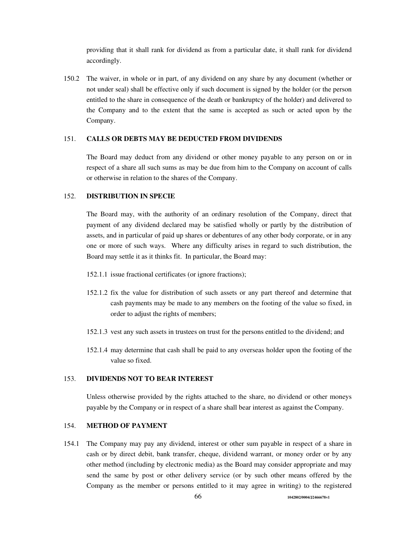providing that it shall rank for dividend as from a particular date, it shall rank for dividend accordingly.

150.2 The waiver, in whole or in part, of any dividend on any share by any document (whether or not under seal) shall be effective only if such document is signed by the holder (or the person entitled to the share in consequence of the death or bankruptcy of the holder) and delivered to the Company and to the extent that the same is accepted as such or acted upon by the Company.

# 151. **CALLS OR DEBTS MAY BE DEDUCTED FROM DIVIDENDS**

The Board may deduct from any dividend or other money payable to any person on or in respect of a share all such sums as may be due from him to the Company on account of calls or otherwise in relation to the shares of the Company.

#### 152. **DISTRIBUTION IN SPECIE**

The Board may, with the authority of an ordinary resolution of the Company, direct that payment of any dividend declared may be satisfied wholly or partly by the distribution of assets, and in particular of paid up shares or debentures of any other body corporate, or in any one or more of such ways. Where any difficulty arises in regard to such distribution, the Board may settle it as it thinks fit. In particular, the Board may:

- 152.1.1 issue fractional certificates (or ignore fractions);
- 152.1.2 fix the value for distribution of such assets or any part thereof and determine that cash payments may be made to any members on the footing of the value so fixed, in order to adjust the rights of members;
- 152.1.3 vest any such assets in trustees on trust for the persons entitled to the dividend; and
- 152.1.4 may determine that cash shall be paid to any overseas holder upon the footing of the value so fixed.

#### 153. **DIVIDENDS NOT TO BEAR INTEREST**

Unless otherwise provided by the rights attached to the share, no dividend or other moneys payable by the Company or in respect of a share shall bear interest as against the Company.

# 154. **METHOD OF PAYMENT**

154.1 The Company may pay any dividend, interest or other sum payable in respect of a share in cash or by direct debit, bank transfer, cheque, dividend warrant, or money order or by any other method (including by electronic media) as the Board may consider appropriate and may send the same by post or other delivery service (or by such other means offered by the Company as the member or persons entitled to it may agree in writing) to the registered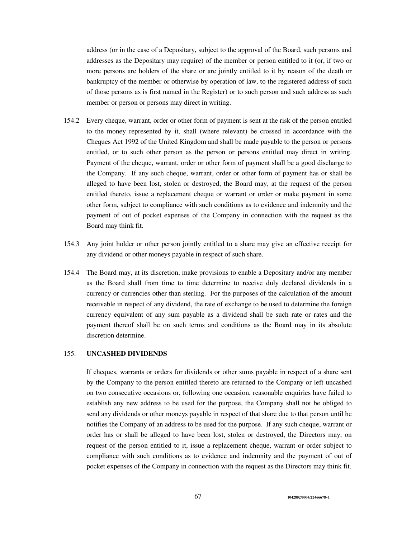address (or in the case of a Depositary, subject to the approval of the Board, such persons and addresses as the Depositary may require) of the member or person entitled to it (or, if two or more persons are holders of the share or are jointly entitled to it by reason of the death or bankruptcy of the member or otherwise by operation of law, to the registered address of such of those persons as is first named in the Register) or to such person and such address as such member or person or persons may direct in writing.

- 154.2 Every cheque, warrant, order or other form of payment is sent at the risk of the person entitled to the money represented by it, shall (where relevant) be crossed in accordance with the Cheques Act 1992 of the United Kingdom and shall be made payable to the person or persons entitled, or to such other person as the person or persons entitled may direct in writing. Payment of the cheque, warrant, order or other form of payment shall be a good discharge to the Company. If any such cheque, warrant, order or other form of payment has or shall be alleged to have been lost, stolen or destroyed, the Board may, at the request of the person entitled thereto, issue a replacement cheque or warrant or order or make payment in some other form, subject to compliance with such conditions as to evidence and indemnity and the payment of out of pocket expenses of the Company in connection with the request as the Board may think fit.
- 154.3 Any joint holder or other person jointly entitled to a share may give an effective receipt for any dividend or other moneys payable in respect of such share.
- 154.4 The Board may, at its discretion, make provisions to enable a Depositary and/or any member as the Board shall from time to time determine to receive duly declared dividends in a currency or currencies other than sterling. For the purposes of the calculation of the amount receivable in respect of any dividend, the rate of exchange to be used to determine the foreign currency equivalent of any sum payable as a dividend shall be such rate or rates and the payment thereof shall be on such terms and conditions as the Board may in its absolute discretion determine.

### 155. **UNCASHED DIVIDENDS**

If cheques, warrants or orders for dividends or other sums payable in respect of a share sent by the Company to the person entitled thereto are returned to the Company or left uncashed on two consecutive occasions or, following one occasion, reasonable enquiries have failed to establish any new address to be used for the purpose, the Company shall not be obliged to send any dividends or other moneys payable in respect of that share due to that person until he notifies the Company of an address to be used for the purpose. If any such cheque, warrant or order has or shall be alleged to have been lost, stolen or destroyed, the Directors may, on request of the person entitled to it, issue a replacement cheque, warrant or order subject to compliance with such conditions as to evidence and indemnity and the payment of out of pocket expenses of the Company in connection with the request as the Directors may think fit.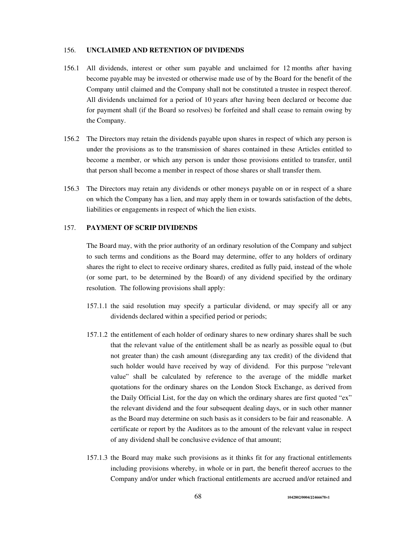## 156. **UNCLAIMED AND RETENTION OF DIVIDENDS**

- 156.1 All dividends, interest or other sum payable and unclaimed for 12 months after having become payable may be invested or otherwise made use of by the Board for the benefit of the Company until claimed and the Company shall not be constituted a trustee in respect thereof. All dividends unclaimed for a period of 10 years after having been declared or become due for payment shall (if the Board so resolves) be forfeited and shall cease to remain owing by the Company.
- 156.2 The Directors may retain the dividends payable upon shares in respect of which any person is under the provisions as to the transmission of shares contained in these Articles entitled to become a member, or which any person is under those provisions entitled to transfer, until that person shall become a member in respect of those shares or shall transfer them.
- 156.3 The Directors may retain any dividends or other moneys payable on or in respect of a share on which the Company has a lien, and may apply them in or towards satisfaction of the debts, liabilities or engagements in respect of which the lien exists.

# 157. **PAYMENT OF SCRIP DIVIDENDS**

The Board may, with the prior authority of an ordinary resolution of the Company and subject to such terms and conditions as the Board may determine, offer to any holders of ordinary shares the right to elect to receive ordinary shares, credited as fully paid, instead of the whole (or some part, to be determined by the Board) of any dividend specified by the ordinary resolution. The following provisions shall apply:

- 157.1.1 the said resolution may specify a particular dividend, or may specify all or any dividends declared within a specified period or periods;
- 157.1.2 the entitlement of each holder of ordinary shares to new ordinary shares shall be such that the relevant value of the entitlement shall be as nearly as possible equal to (but not greater than) the cash amount (disregarding any tax credit) of the dividend that such holder would have received by way of dividend. For this purpose "relevant value" shall be calculated by reference to the average of the middle market quotations for the ordinary shares on the London Stock Exchange, as derived from the Daily Official List, for the day on which the ordinary shares are first quoted "ex" the relevant dividend and the four subsequent dealing days, or in such other manner as the Board may determine on such basis as it considers to be fair and reasonable. A certificate or report by the Auditors as to the amount of the relevant value in respect of any dividend shall be conclusive evidence of that amount;
- 157.1.3 the Board may make such provisions as it thinks fit for any fractional entitlements including provisions whereby, in whole or in part, the benefit thereof accrues to the Company and/or under which fractional entitlements are accrued and/or retained and

68 **1042802/0004/J2466678v1**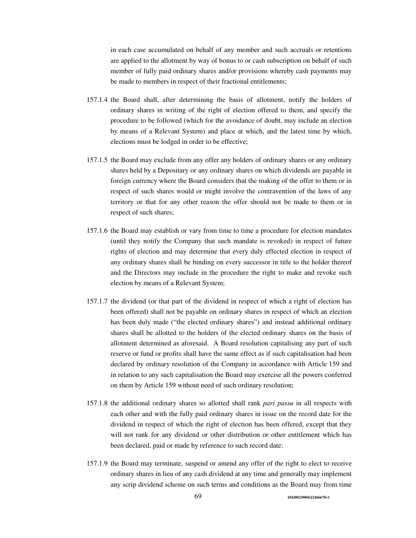in each case accumulated on behalf of any member and such accruals or retentions are applied to the allotment by way of bonus to or cash subscription on behalf of such member of fully paid ordinary shares and/or provisions whereby cash payments may be made to members in respect of their fractional entitlements;

- 157.1.4 the Board shall, after determining the basis of allotment, notify the holders of ordinary shares in writing of the right of election offered to them, and specify the procedure to be followed (which for the avoidance of doubt, may include an election by means of a Relevant System) and place at which, and the latest time by which, elections must be lodged in order to be effective;
- 157.1.5 the Board may exclude from any offer any holders of ordinary shares or any ordinary shares held by a Depositary or any ordinary shares on which dividends are payable in foreign currency where the Board considers that the making of the offer to them or in respect of such shares would or might involve the contravention of the laws of any territory or that for any other reason the offer should not be made to them or in respect of such shares;
- 157.1.6 the Board may establish or vary from time to time a procedure for election mandates (until they notify the Company that such mandate is revoked) in respect of future rights of election and may determine that every duly effected election in respect of any ordinary shares shall be binding on every successor in title to the holder thereof and the Directors may include in the procedure the right to make and revoke such election by means of a Relevant System;
- 157.1.7 the dividend (or that part of the dividend in respect of which a right of election has been offered) shall not be payable on ordinary shares in respect of which an election has been duly made ("the elected ordinary shares") and instead additional ordinary shares shall be allotted to the holders of the elected ordinary shares on the basis of allotment determined as aforesaid. A Board resolution capitalising any part of such reserve or fund or profits shall have the same effect as if such capitalisation had been declared by ordinary resolution of the Company in accordance with Article 159 and in relation to any such capitalisation the Board may exercise all the powers conferred on them by Article 159 without need of such ordinary resolution;
- 157.1.8 the additional ordinary shares so allotted shall rank *pari passu* in all respects with each other and with the fully paid ordinary shares in issue on the record date for the dividend in respect of which the right of election has been offered, except that they will not rank for any dividend or other distribution or other entitlement which has been declared, paid or made by reference to such record date;
- 157.1.9 the Board may terminate, suspend or amend any offer of the right to elect to receive ordinary shares in lieu of any cash dividend at any time and generally may implement any scrip dividend scheme on such terms and conditions as the Board may from time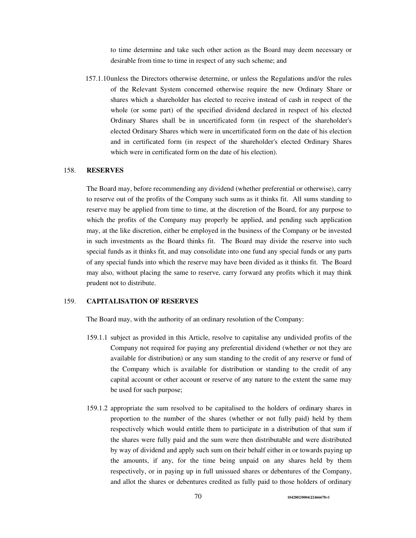to time determine and take such other action as the Board may deem necessary or desirable from time to time in respect of any such scheme; and

157.1.10unless the Directors otherwise determine, or unless the Regulations and/or the rules of the Relevant System concerned otherwise require the new Ordinary Share or shares which a shareholder has elected to receive instead of cash in respect of the whole (or some part) of the specified dividend declared in respect of his elected Ordinary Shares shall be in uncertificated form (in respect of the shareholder's elected Ordinary Shares which were in uncertificated form on the date of his election and in certificated form (in respect of the shareholder's elected Ordinary Shares which were in certificated form on the date of his election).

## 158. **RESERVES**

The Board may, before recommending any dividend (whether preferential or otherwise), carry to reserve out of the profits of the Company such sums as it thinks fit. All sums standing to reserve may be applied from time to time, at the discretion of the Board, for any purpose to which the profits of the Company may properly be applied, and pending such application may, at the like discretion, either be employed in the business of the Company or be invested in such investments as the Board thinks fit. The Board may divide the reserve into such special funds as it thinks fit, and may consolidate into one fund any special funds or any parts of any special funds into which the reserve may have been divided as it thinks fit. The Board may also, without placing the same to reserve, carry forward any profits which it may think prudent not to distribute.

#### 159. **CAPITALISATION OF RESERVES**

The Board may, with the authority of an ordinary resolution of the Company:

- 159.1.1 subject as provided in this Article, resolve to capitalise any undivided profits of the Company not required for paying any preferential dividend (whether or not they are available for distribution) or any sum standing to the credit of any reserve or fund of the Company which is available for distribution or standing to the credit of any capital account or other account or reserve of any nature to the extent the same may be used for such purpose;
- 159.1.2 appropriate the sum resolved to be capitalised to the holders of ordinary shares in proportion to the number of the shares (whether or not fully paid) held by them respectively which would entitle them to participate in a distribution of that sum if the shares were fully paid and the sum were then distributable and were distributed by way of dividend and apply such sum on their behalf either in or towards paying up the amounts, if any, for the time being unpaid on any shares held by them respectively, or in paying up in full unissued shares or debentures of the Company, and allot the shares or debentures credited as fully paid to those holders of ordinary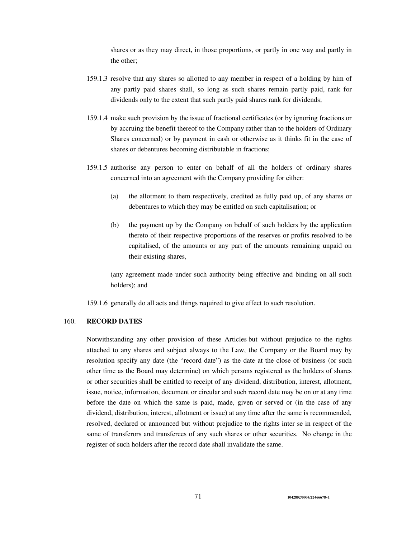shares or as they may direct, in those proportions, or partly in one way and partly in the other;

- 159.1.3 resolve that any shares so allotted to any member in respect of a holding by him of any partly paid shares shall, so long as such shares remain partly paid, rank for dividends only to the extent that such partly paid shares rank for dividends;
- 159.1.4 make such provision by the issue of fractional certificates (or by ignoring fractions or by accruing the benefit thereof to the Company rather than to the holders of Ordinary Shares concerned) or by payment in cash or otherwise as it thinks fit in the case of shares or debentures becoming distributable in fractions;
- 159.1.5 authorise any person to enter on behalf of all the holders of ordinary shares concerned into an agreement with the Company providing for either:
	- (a) the allotment to them respectively, credited as fully paid up, of any shares or debentures to which they may be entitled on such capitalisation; or
	- (b) the payment up by the Company on behalf of such holders by the application thereto of their respective proportions of the reserves or profits resolved to be capitalised, of the amounts or any part of the amounts remaining unpaid on their existing shares,

(any agreement made under such authority being effective and binding on all such holders); and

159.1.6 generally do all acts and things required to give effect to such resolution.

# 160. **RECORD DATES**

Notwithstanding any other provision of these Articles but without prejudice to the rights attached to any shares and subject always to the Law, the Company or the Board may by resolution specify any date (the "record date") as the date at the close of business (or such other time as the Board may determine) on which persons registered as the holders of shares or other securities shall be entitled to receipt of any dividend, distribution, interest, allotment, issue, notice, information, document or circular and such record date may be on or at any time before the date on which the same is paid, made, given or served or (in the case of any dividend, distribution, interest, allotment or issue) at any time after the same is recommended, resolved, declared or announced but without prejudice to the rights inter se in respect of the same of transferors and transferees of any such shares or other securities. No change in the register of such holders after the record date shall invalidate the same.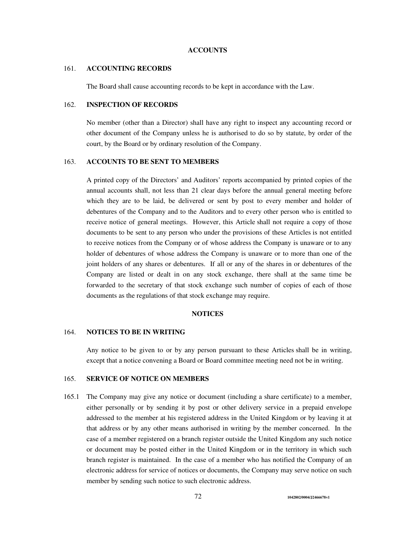#### **ACCOUNTS**

#### 161. **ACCOUNTING RECORDS**

The Board shall cause accounting records to be kept in accordance with the Law.

## 162. **INSPECTION OF RECORDS**

No member (other than a Director) shall have any right to inspect any accounting record or other document of the Company unless he is authorised to do so by statute, by order of the court, by the Board or by ordinary resolution of the Company.

## 163. **ACCOUNTS TO BE SENT TO MEMBERS**

A printed copy of the Directors' and Auditors' reports accompanied by printed copies of the annual accounts shall, not less than 21 clear days before the annual general meeting before which they are to be laid, be delivered or sent by post to every member and holder of debentures of the Company and to the Auditors and to every other person who is entitled to receive notice of general meetings. However, this Article shall not require a copy of those documents to be sent to any person who under the provisions of these Articles is not entitled to receive notices from the Company or of whose address the Company is unaware or to any holder of debentures of whose address the Company is unaware or to more than one of the joint holders of any shares or debentures. If all or any of the shares in or debentures of the Company are listed or dealt in on any stock exchange, there shall at the same time be forwarded to the secretary of that stock exchange such number of copies of each of those documents as the regulations of that stock exchange may require.

### **NOTICES**

#### 164. **NOTICES TO BE IN WRITING**

Any notice to be given to or by any person pursuant to these Articles shall be in writing, except that a notice convening a Board or Board committee meeting need not be in writing.

### 165. **SERVICE OF NOTICE ON MEMBERS**

165.1 The Company may give any notice or document (including a share certificate) to a member, either personally or by sending it by post or other delivery service in a prepaid envelope addressed to the member at his registered address in the United Kingdom or by leaving it at that address or by any other means authorised in writing by the member concerned. In the case of a member registered on a branch register outside the United Kingdom any such notice or document may be posted either in the United Kingdom or in the territory in which such branch register is maintained. In the case of a member who has notified the Company of an electronic address for service of notices or documents, the Company may serve notice on such member by sending such notice to such electronic address.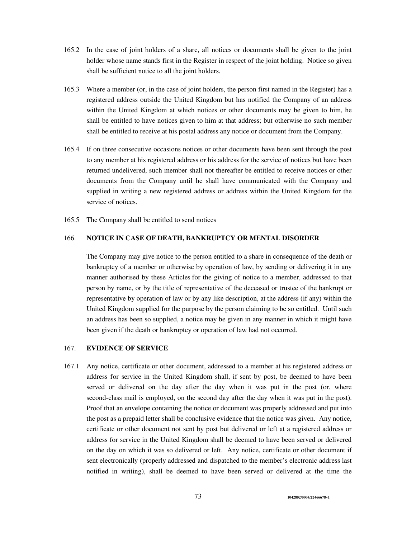- 165.2 In the case of joint holders of a share, all notices or documents shall be given to the joint holder whose name stands first in the Register in respect of the joint holding. Notice so given shall be sufficient notice to all the joint holders.
- 165.3 Where a member (or, in the case of joint holders, the person first named in the Register) has a registered address outside the United Kingdom but has notified the Company of an address within the United Kingdom at which notices or other documents may be given to him, he shall be entitled to have notices given to him at that address; but otherwise no such member shall be entitled to receive at his postal address any notice or document from the Company.
- 165.4 If on three consecutive occasions notices or other documents have been sent through the post to any member at his registered address or his address for the service of notices but have been returned undelivered, such member shall not thereafter be entitled to receive notices or other documents from the Company until he shall have communicated with the Company and supplied in writing a new registered address or address within the United Kingdom for the service of notices.
- 165.5 The Company shall be entitled to send notices

## 166. **NOTICE IN CASE OF DEATH, BANKRUPTCY OR MENTAL DISORDER**

The Company may give notice to the person entitled to a share in consequence of the death or bankruptcy of a member or otherwise by operation of law, by sending or delivering it in any manner authorised by these Articles for the giving of notice to a member, addressed to that person by name, or by the title of representative of the deceased or trustee of the bankrupt or representative by operation of law or by any like description, at the address (if any) within the United Kingdom supplied for the purpose by the person claiming to be so entitled. Until such an address has been so supplied, a notice may be given in any manner in which it might have been given if the death or bankruptcy or operation of law had not occurred.

## 167. **EVIDENCE OF SERVICE**

167.1 Any notice, certificate or other document, addressed to a member at his registered address or address for service in the United Kingdom shall, if sent by post, be deemed to have been served or delivered on the day after the day when it was put in the post (or, where second-class mail is employed, on the second day after the day when it was put in the post). Proof that an envelope containing the notice or document was properly addressed and put into the post as a prepaid letter shall be conclusive evidence that the notice was given. Any notice, certificate or other document not sent by post but delivered or left at a registered address or address for service in the United Kingdom shall be deemed to have been served or delivered on the day on which it was so delivered or left. Any notice, certificate or other document if sent electronically (properly addressed and dispatched to the member's electronic address last notified in writing), shall be deemed to have been served or delivered at the time the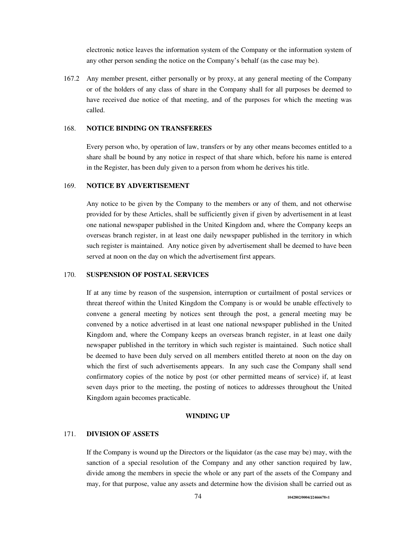electronic notice leaves the information system of the Company or the information system of any other person sending the notice on the Company's behalf (as the case may be).

167.2 Any member present, either personally or by proxy, at any general meeting of the Company or of the holders of any class of share in the Company shall for all purposes be deemed to have received due notice of that meeting, and of the purposes for which the meeting was called.

## 168. **NOTICE BINDING ON TRANSFEREES**

Every person who, by operation of law, transfers or by any other means becomes entitled to a share shall be bound by any notice in respect of that share which, before his name is entered in the Register, has been duly given to a person from whom he derives his title.

## 169. **NOTICE BY ADVERTISEMENT**

Any notice to be given by the Company to the members or any of them, and not otherwise provided for by these Articles, shall be sufficiently given if given by advertisement in at least one national newspaper published in the United Kingdom and, where the Company keeps an overseas branch register, in at least one daily newspaper published in the territory in which such register is maintained. Any notice given by advertisement shall be deemed to have been served at noon on the day on which the advertisement first appears.

#### 170. **SUSPENSION OF POSTAL SERVICES**

If at any time by reason of the suspension, interruption or curtailment of postal services or threat thereof within the United Kingdom the Company is or would be unable effectively to convene a general meeting by notices sent through the post, a general meeting may be convened by a notice advertised in at least one national newspaper published in the United Kingdom and, where the Company keeps an overseas branch register, in at least one daily newspaper published in the territory in which such register is maintained. Such notice shall be deemed to have been duly served on all members entitled thereto at noon on the day on which the first of such advertisements appears. In any such case the Company shall send confirmatory copies of the notice by post (or other permitted means of service) if, at least seven days prior to the meeting, the posting of notices to addresses throughout the United Kingdom again becomes practicable.

#### **WINDING UP**

## 171. **DIVISION OF ASSETS**

If the Company is wound up the Directors or the liquidator (as the case may be) may, with the sanction of a special resolution of the Company and any other sanction required by law, divide among the members in specie the whole or any part of the assets of the Company and may, for that purpose, value any assets and determine how the division shall be carried out as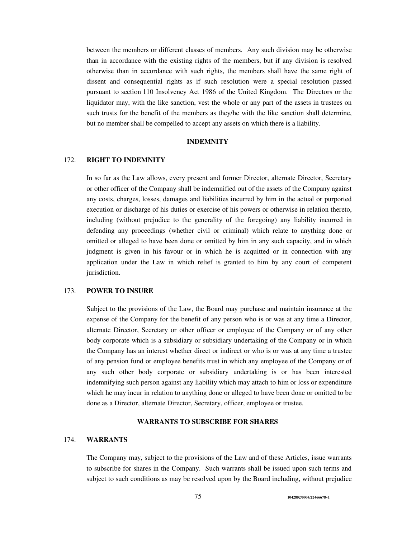between the members or different classes of members. Any such division may be otherwise than in accordance with the existing rights of the members, but if any division is resolved otherwise than in accordance with such rights, the members shall have the same right of dissent and consequential rights as if such resolution were a special resolution passed pursuant to section 110 Insolvency Act 1986 of the United Kingdom. The Directors or the liquidator may, with the like sanction, vest the whole or any part of the assets in trustees on such trusts for the benefit of the members as they/he with the like sanction shall determine, but no member shall be compelled to accept any assets on which there is a liability.

## **INDEMNITY**

## 172. **RIGHT TO INDEMNITY**

In so far as the Law allows, every present and former Director, alternate Director, Secretary or other officer of the Company shall be indemnified out of the assets of the Company against any costs, charges, losses, damages and liabilities incurred by him in the actual or purported execution or discharge of his duties or exercise of his powers or otherwise in relation thereto, including (without prejudice to the generality of the foregoing) any liability incurred in defending any proceedings (whether civil or criminal) which relate to anything done or omitted or alleged to have been done or omitted by him in any such capacity, and in which judgment is given in his favour or in which he is acquitted or in connection with any application under the Law in which relief is granted to him by any court of competent jurisdiction.

#### 173. **POWER TO INSURE**

Subject to the provisions of the Law, the Board may purchase and maintain insurance at the expense of the Company for the benefit of any person who is or was at any time a Director, alternate Director, Secretary or other officer or employee of the Company or of any other body corporate which is a subsidiary or subsidiary undertaking of the Company or in which the Company has an interest whether direct or indirect or who is or was at any time a trustee of any pension fund or employee benefits trust in which any employee of the Company or of any such other body corporate or subsidiary undertaking is or has been interested indemnifying such person against any liability which may attach to him or loss or expenditure which he may incur in relation to anything done or alleged to have been done or omitted to be done as a Director, alternate Director, Secretary, officer, employee or trustee.

### **WARRANTS TO SUBSCRIBE FOR SHARES**

## 174. **WARRANTS**

The Company may, subject to the provisions of the Law and of these Articles, issue warrants to subscribe for shares in the Company. Such warrants shall be issued upon such terms and subject to such conditions as may be resolved upon by the Board including, without prejudice